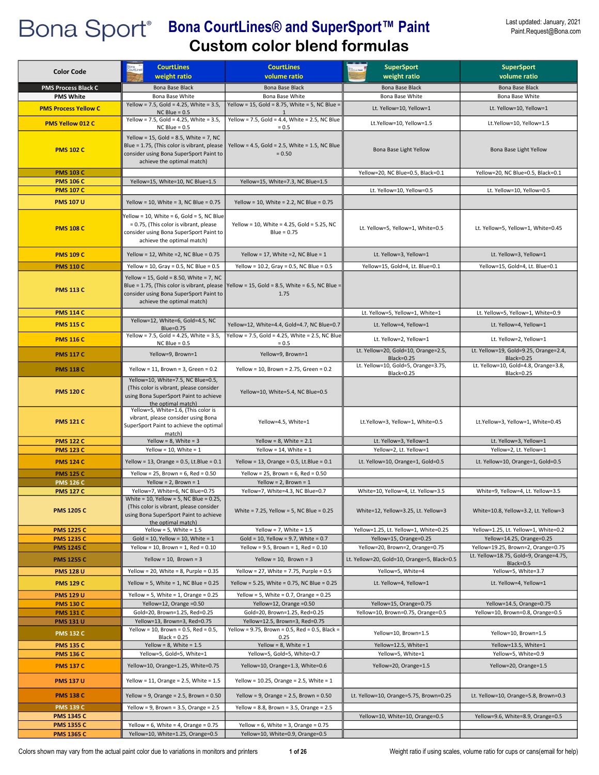| <b>Color Code</b>                    | <b>CourtLines</b><br>weight ratio                                                                                                                               | <b>CourtLines</b><br>volume ratio                                                          | <b>SuperSport</b><br>weight ratio                 | <b>SuperSport</b><br>volume ratio                                            |
|--------------------------------------|-----------------------------------------------------------------------------------------------------------------------------------------------------------------|--------------------------------------------------------------------------------------------|---------------------------------------------------|------------------------------------------------------------------------------|
| <b>PMS Process Black C</b>           | Bona Base Black                                                                                                                                                 | Bona Base Black                                                                            | Bona Base Black                                   | Bona Base Black                                                              |
| <b>PMS White</b>                     | Bona Base White                                                                                                                                                 | Bona Base White                                                                            | Bona Base White                                   | Bona Base White                                                              |
| <b>PMS Process Yellow C</b>          | Yellow = 7.5, Gold = 4.25, White = 3.5,                                                                                                                         | Yellow = $15$ , Gold = 8.75, White = 5, NC Blue =                                          | Lt. Yellow=10, Yellow=1                           | Lt. Yellow=10, Yellow=1                                                      |
| <b>PMS Yellow 012 C</b>              | $NC$ Blue = $0.5$<br>Yellow = 7.5, Gold = 4.25, White = $3.5$ ,<br>$NC$ Blue = 0.5                                                                              | Yellow = 7.5, Gold = 4.4, White = 2.5, NC Blue<br>$= 0.5$                                  | Lt.Yellow=10, Yellow=1.5                          | Lt.Yellow=10, Yellow=1.5                                                     |
| <b>PMS 102 C</b>                     | Yellow = 15, Gold = 8.5, White = 7, NC<br>Blue = 1.75, (This color is vibrant, please<br>consider using Bona SuperSport Paint to<br>achieve the optimal match)  | Yellow = 4.5, Gold = 2.5, White = 1.5, NC Blue<br>$= 0.50$                                 | Bona Base Light Yellow                            | Bona Base Light Yellow                                                       |
| <b>PMS 103 C</b>                     |                                                                                                                                                                 |                                                                                            | Yellow=20, NC Blue=0.5, Black=0.1                 | Yellow=20, NC Blue=0.5, Black=0.1                                            |
| <b>PMS 106 C</b>                     | Yellow=15, White=10, NC Blue=1.5                                                                                                                                | Yellow=15, White=7.3, NC Blue=1.5                                                          |                                                   |                                                                              |
| <b>PMS 107 C</b>                     |                                                                                                                                                                 |                                                                                            | Lt. Yellow=10, Yellow=0.5                         | Lt. Yellow=10, Yellow=0.5                                                    |
| <b>PMS 107 U</b>                     | Yellow = 10, White = 3, NC Blue = $0.75$                                                                                                                        | Yellow = 10, White = 2.2, NC Blue = $0.75$                                                 |                                                   |                                                                              |
| <b>PMS 108 C</b>                     | Yellow = 10, White = 6, Gold = 5, NC Blue<br>= 0.75, (This color is vibrant, please<br>consider using Bona SuperSport Paint to<br>achieve the optimal match)    | Yellow = 10, White = 4.25, Gold = 5.25, NC<br>$Blue = 0.75$                                | Lt. Yellow=5, Yellow=1, White=0.5                 | Lt. Yellow=5, Yellow=1, White=0.45                                           |
| <b>PMS 109 C</b>                     | Yellow = 12, White = 2, NC Blue = $0.75$                                                                                                                        | Yellow = 17, White = 2, NC Blue = $1$                                                      | Lt. Yellow=3, Yellow=1                            | Lt. Yellow=3, Yellow=1                                                       |
| <b>PMS 110 C</b>                     | Yellow = 10, Gray = 0.5, NC Blue = $0.5$                                                                                                                        | Yellow = 10.2, Gray = 0.5, NC Blue = $0.5$                                                 | Yellow=15, Gold=4, Lt. Blue=0.1                   | Yellow=15, Gold=4, Lt. Blue=0.1                                              |
| <b>PMS 113 C</b>                     | Yellow = 15, Gold = 8.50, White = 7, NC<br>Blue = 1.75, (This color is vibrant, please<br>consider using Bona SuperSport Paint to<br>achieve the optimal match) | Yellow = 15, Gold = 8.5, White = 6.5, NC Blue =<br>1.75                                    |                                                   |                                                                              |
| <b>PMS 114 C</b>                     |                                                                                                                                                                 |                                                                                            | Lt. Yellow=5, Yellow=1, White=1                   | Lt. Yellow=5, Yellow=1, White=0.9                                            |
| <b>PMS 115 C</b>                     | Yellow=12, White=6, Gold=4.5, NC<br>Blue=0.75                                                                                                                   | Yellow=12, White=4.4, Gold=4.7, NC Blue=0.7                                                | Lt. Yellow=4, Yellow=1                            | Lt. Yellow=4, Yellow=1                                                       |
| <b>PMS 116 C</b>                     | Yellow = 7.5, Gold = 4.25, White = 3.5,<br>$NC$ Blue = 0.5                                                                                                      | Yellow = 7.5, Gold = 4.25, White = 2.5, NC Blue<br>$= 0.5$                                 | Lt. Yellow=2, Yellow=1                            | Lt. Yellow=2, Yellow=1                                                       |
| <b>PMS 117 C</b>                     | Yellow=9, Brown=1                                                                                                                                               | Yellow=9, Brown=1                                                                          | Lt. Yellow=20, Gold=10, Orange=2.5,<br>Black=0.25 | Lt. Yellow=19, Gold=9.25, Orange=2.4,<br><b>Black=0.25</b>                   |
| <b>PMS 118 C</b>                     | Yellow = 11, Brown = 3, Green = $0.2$                                                                                                                           | Yellow = 10, Brown = 2.75, Green = 0.2                                                     | Lt. Yellow=10, Gold=5, Orange=3.75,<br>Black=0.25 | Lt. Yellow=10, Gold=4.8, Orange=3.8,<br><b>Black=0.25</b>                    |
| <b>PMS 120 C</b>                     | Yellow=10, White=7.5, NC Blue=0.5,<br>(This color is vibrant, please consider<br>using Bona SuperSport Paint to achieve<br>the optimal match)                   | Yellow=10, White=5.4, NC Blue=0.5                                                          |                                                   |                                                                              |
| <b>PMS 121 C</b>                     | Yellow=5, White=1.6, (This color is<br>vibrant, please consider using Bona<br>SuperSport Paint to achieve the optimal<br>match)                                 | Yellow=4.5, White=1                                                                        | Lt.Yellow=3, Yellow=1, White=0.5                  | Lt.Yellow=3, Yellow=1, White=0.45                                            |
| <b>PMS 122 C</b>                     | Yellow = $8$ , White = $3$                                                                                                                                      | Yellow = $8$ , White = $2.1$                                                               | Lt. Yellow=3, Yellow=1                            | Lt. Yellow=3, Yellow=1                                                       |
| <b>PMS 123 C</b>                     | Yellow = 10, White = $1$                                                                                                                                        | Yellow = $14$ , White = $1$                                                                | Yellow=2, Lt. Yellow=1                            | Yellow=2, Lt. Yellow=1                                                       |
| <b>PMS 124 C</b>                     | Yellow = 13, Orange = $0.5$ , Lt.Blue = $0.1$                                                                                                                   | Yellow = 13, Orange = $0.5$ , Lt.Blue = $0.1$                                              | Lt. Yellow=10, Orange=1, Gold=0.5                 | Lt. Yellow=10, Orange=1, Gold=0.5                                            |
| <b>PMS 125 C</b>                     | Yellow = 25, Brown = $6$ , Red = 0.50                                                                                                                           | Yellow = 25, Brown = $6$ , Red = 0.50                                                      |                                                   |                                                                              |
| <b>PMS 126 C</b><br><b>PMS 127 C</b> | Yellow = $2$ , Brown = $1$<br>Yellow=7, White=6, NC Blue=0.75                                                                                                   | Yellow = $2$ , Brown = $1$<br>Yellow=7, White=4.3, NC Blue=0.7                             | White=10, Yellow=4, Lt. Yellow=3.5                | White=9, Yellow=4, Lt. Yellow=3.5                                            |
| <b>PMS 1205 C</b>                    | White = 10, Yellow = 5, NC Blue = 0.25,<br>(This color is vibrant, please consider<br>using Bona SuperSport Paint to achieve<br>the optimal match)              | White = $7.25$ , Yellow = $5$ , NC Blue = 0.25                                             | White=12, Yellow=3.25, Lt. Yellow=3               | White=10.8, Yellow=3.2, Lt. Yellow=3                                         |
| <b>PMS 1225 C</b>                    | Yellow = $5$ , White = $1.5$                                                                                                                                    | Yellow = 7, White = $1.5$                                                                  | Yellow=1.25, Lt. Yellow=1, White=0.25             | Yellow=1.25, Lt. Yellow=1, White=0.2                                         |
| <b>PMS 1235 C</b>                    | Gold = 10, Yellow = 10, White = $1$                                                                                                                             | Gold = 10, Yellow = 9.7, White = $0.7$                                                     | Yellow=15, Orange=0.25                            | Yellow=14.25, Orange=0.25                                                    |
| <b>PMS 1245 C</b>                    | Yellow = 10, Brown = 1, Red = $0.10$                                                                                                                            | Yellow = $9.5$ , Brown = $1$ , Red = $0.10$                                                | Yellow=20, Brown=2, Orange=0.75                   | Yellow=19.25, Brown=2, Orange=0.75<br>Lt. Yellow=18.75, Gold=9, Orange=4.75, |
| <b>PMS 1255 C</b>                    | Yellow = $10$ , Brown = $3$                                                                                                                                     | Yellow = $10$ , Brown = $3$                                                                | Lt. Yellow=20, Gold=10, Orange=5, Black=0.5       | Black=0.5                                                                    |
| <b>PMS 128 U</b>                     | Yellow = 20, White = 8, Purple = $0.35$                                                                                                                         | Yellow = 27, White = 7.75, Purple = $0.5$                                                  | Yellow=5, White=4                                 | Yellow=5, White=3.7                                                          |
| <b>PMS 129 C</b><br><b>PMS 129 U</b> | Yellow = 5, White = 1, NC Blue = $0.25$<br>Yellow = 5, White = 1, Orange = $0.25$                                                                               | Yellow = 5.25, White = 0.75, NC Blue = 0.25<br>Yellow = 5, White = $0.7$ , Orange = $0.25$ | Lt. Yellow=4, Yellow=1                            | Lt. Yellow=4, Yellow=1                                                       |
| <b>PMS 130 C</b>                     | Yellow=12, Orange = 0.50                                                                                                                                        | Yellow=12, Orange =0.50                                                                    | Yellow=15, Orange=0.75                            | Yellow=14.5, Orange=0.75                                                     |
| <b>PMS 131 C</b>                     | Gold=20, Brown=1.25, Red=0.25                                                                                                                                   | Gold=20, Brown=1.25, Red=0.25                                                              | Yellow=10, Brown=0.75, Orange=0.5                 | Yellow=10, Brown=0.8, Orange=0.5                                             |
| <b>PMS 131 U</b>                     | Yellow=13, Brown=3, Red=0.75                                                                                                                                    | Yellow=12.5, Brown=3, Red=0.75                                                             |                                                   |                                                                              |
| <b>PMS 132 C</b>                     | Yellow = 10, Brown = $0.5$ , Red = $0.5$ ,<br>$Black = 0.25$                                                                                                    | Yellow = 9.75, Brown = 0.5, Red = 0.5, Black =<br>0.25                                     | Yellow=10, Brown=1.5                              | Yellow=10, Brown=1.5                                                         |
| <b>PMS 135 C</b><br><b>PMS 136 C</b> | Yellow = $8$ , White = $1.5$                                                                                                                                    | Yellow = $8$ , White = $1$<br>Yellow=5, Gold=5, White=0.7                                  | Yellow=12.5, White=1                              | Yellow=13.5, White=1                                                         |
| <b>PMS 137 C</b>                     | Yellow=5, Gold=5, White=1<br>Yellow=10, Orange=1.25, White=0.75                                                                                                 | Yellow=10, Orange=1.3, White=0.6                                                           | Yellow=5, White=1<br>Yellow=20, Orange=1.5        | Yellow=5, White=0.9<br>Yellow=20, Orange=1.5                                 |
| <b>PMS 137 U</b>                     | Yellow = 11, Orange = $2.5$ , White = $1.5$                                                                                                                     | Yellow = 10.25, Orange = 2.5, White = 1                                                    |                                                   |                                                                              |
| <b>PMS 138 C</b>                     | Yellow = 9, Orange = $2.5$ , Brown = $0.50$                                                                                                                     | Yellow = 9, Orange = $2.5$ , Brown = $0.50$                                                | Lt. Yellow=10, Orange=5.75, Brown=0.25            | Lt. Yellow=10, Orange=5.8, Brown=0.3                                         |
| <b>PMS 139 C</b>                     | Yellow = 9, Brown = $3.5$ , Orange = $2.5$                                                                                                                      | Yellow = 8.8, Brown = 3.5, Orange = $2.5$                                                  |                                                   |                                                                              |
| <b>PMS 1345 C</b>                    |                                                                                                                                                                 |                                                                                            | Yellow=10, White=10, Orange=0.5                   | Yellow=9.6, White=8.9, Orange=0.5                                            |
| <b>PMS 1355 C</b>                    | Yellow = $6$ , White = $4$ , Orange = 0.75                                                                                                                      | Yellow = $6$ , White = $3$ , Orange = $0.75$                                               |                                                   |                                                                              |
| <b>PMS 1365 C</b>                    | Yellow=10, White=1.25, Orange=0.5                                                                                                                               | Yellow=10, White=0.9, Orange=0.5                                                           |                                                   |                                                                              |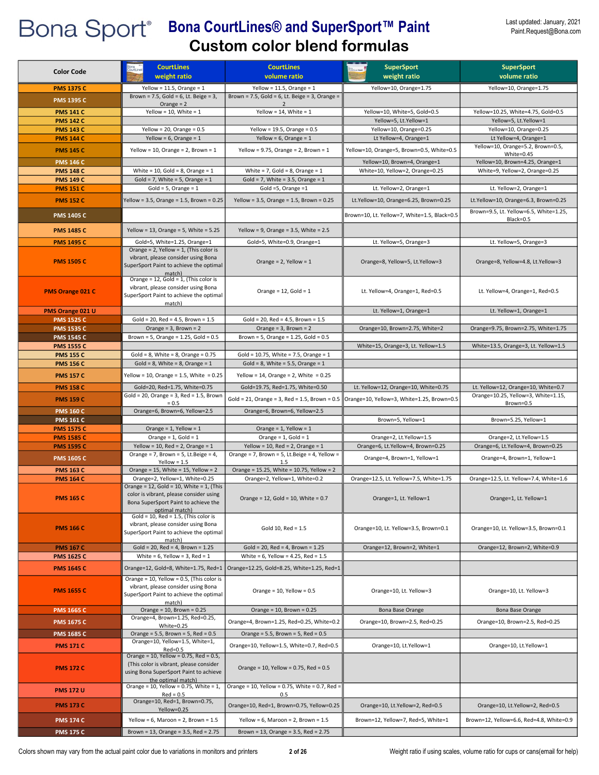| <b>Color Code</b>       | <b>CourtLines</b>                                                                                                                                      | <b>CourtLines</b>                                | <b>SuperSport</b>                                                                                    | <b>SuperSport</b>                        |
|-------------------------|--------------------------------------------------------------------------------------------------------------------------------------------------------|--------------------------------------------------|------------------------------------------------------------------------------------------------------|------------------------------------------|
|                         | weight ratio                                                                                                                                           | volume ratio                                     | weight ratio                                                                                         | volume ratio                             |
| <b>PMS 1375 C</b>       | Yellow = $11.5$ , Orange = $1$                                                                                                                         | Yellow = $11.5$ , Orange = $1$                   | Yellow=10, Orange=1.75                                                                               | Yellow=10, Orange=1.75                   |
| <b>PMS 1395 C</b>       | Brown = $7.5$ , Gold = $6$ , Lt. Beige = $3$ ,<br>Orange $= 2$                                                                                         | Brown = 7.5, Gold = 6, Lt. Beige = 3, Orange =   |                                                                                                      |                                          |
| <b>PMS 141 C</b>        | Yellow = 10, White = $1$                                                                                                                               | Yellow = 14, White = $1$                         | Yellow=10, White=5, Gold=0.5                                                                         | Yellow=10.25, White=4.75, Gold=0.5       |
| <b>PMS 142 C</b>        |                                                                                                                                                        |                                                  | Yellow=5, Lt.Yellow=1                                                                                | Yellow=5, Lt.Yellow=1                    |
| <b>PMS 143 C</b>        | Yellow = $20$ , Orange = $0.5$                                                                                                                         | Yellow = 19.5, Orange = $0.5$                    | Yellow=10, Orange=0.25                                                                               | Yellow=10, Orange=0.25                   |
| <b>PMS 144 C</b>        | Yellow = $6$ , Orange = $1$                                                                                                                            | Yellow = $6$ , Orange = $1$                      | Lt Yellow=4, Orange=1                                                                                | Lt Yellow=4, Orange=1                    |
|                         |                                                                                                                                                        |                                                  |                                                                                                      | Yellow=10, Orange=5.2, Brown=0.5,        |
| <b>PMS 145 C</b>        | Yellow = 10, Orange = 2, Brown = $1$                                                                                                                   | Yellow = 9.75, Orange = 2, Brown = $1$           | Yellow=10, Orange=5, Brown=0.5, White=0.5                                                            | White=0.45                               |
| <b>PMS 146 C</b>        |                                                                                                                                                        |                                                  | Yellow=10, Brown=4, Orange=1                                                                         | Yellow=10, Brown=4.25, Orange=1          |
| <b>PMS 148 C</b>        | White = $10$ , Gold = 8, Orange = $1$                                                                                                                  | White = $7$ , Gold = $8$ , Orange = $1$          | White=10, Yellow=2, Orange=0.25                                                                      | White=9, Yellow=2, Orange=0.25           |
| <b>PMS 149 C</b>        | Gold = 7, White = 5, Orange = $1$                                                                                                                      | Gold = 7, White = 3.5, Orange = $1$              |                                                                                                      |                                          |
| <b>PMS 151 C</b>        | $Gold = 5$ , Orange = 1                                                                                                                                | Gold =5, Orange = $1$                            | Lt. Yellow=2, Orange=1                                                                               | Lt. Yellow=2, Orange=1                   |
| <b>PMS 152 C</b>        | Yellow = 3.5, Orange = 1.5, Brown = 0.25                                                                                                               | Yellow = 3.5, Orange = $1.5$ , Brown = 0.25      | Lt.Yellow=10, Orange=6.25, Brown=0.25                                                                | Lt.Yellow=10, Orange=6.3, Brown=0.25     |
|                         |                                                                                                                                                        |                                                  |                                                                                                      | Brown=9.5, Lt. Yellow=6.5, White=1.25,   |
| <b>PMS 1405 C</b>       |                                                                                                                                                        |                                                  | Brown=10, Lt. Yellow=7, White=1.5, Black=0.5                                                         | Black=0.5                                |
|                         |                                                                                                                                                        |                                                  |                                                                                                      |                                          |
| <b>PMS 1485 C</b>       | Yellow = 13, Orange = 5, White = $5.25$                                                                                                                | Yellow = 9, Orange = $3.5$ , White = $2.5$       |                                                                                                      |                                          |
| <b>PMS 1495 C</b>       | Gold=5, White=1.25, Orange=1                                                                                                                           | Gold=5, White=0.9, Orange=1                      | Lt. Yellow=5, Orange=3                                                                               | Lt. Yellow=5, Orange=3                   |
| <b>PMS 1505 C</b>       | Orange = $2$ , Yellow = $1$ , (This color is<br>vibrant, please consider using Bona<br>SuperSport Paint to achieve the optimal<br>match                | Orange = $2$ , Yellow = $1$                      | Orange=8, Yellow=5, Lt.Yellow=3                                                                      | Orange=8, Yellow=4.8, Lt.Yellow=3        |
| <b>PMS Orange 021 C</b> | Orange = 12, Gold = 1, (This color is<br>vibrant, please consider using Bona<br>SuperSport Paint to achieve the optimal                                | Orange = $12$ , Gold = $1$                       | Lt. Yellow=4, Orange=1, Red=0.5                                                                      | Lt. Yellow=4, Orange=1, Red=0.5          |
| PMS Orange 021 U        | match)                                                                                                                                                 |                                                  | Lt. Yellow=1, Orange=1                                                                               | Lt. Yellow=1, Orange=1                   |
| <b>PMS 1525 C</b>       | Gold = 20, Red = 4.5, Brown = $1.5$                                                                                                                    | $Gold = 20$ , $Red = 4.5$ , Brown = 1.5          |                                                                                                      |                                          |
| <b>PMS 1535 C</b>       | Orange = $3$ , Brown = $2$                                                                                                                             | Orange = $3$ , Brown = $2$                       | Orange=10, Brown=2.75, White=2                                                                       | Orange=9.75, Brown=2.75, White=1.75      |
| <b>PMS 1545 C</b>       | Brown = 5, Orange = $1.25$ , Gold = $0.5$                                                                                                              | Brown = 5, Orange = $1.25$ , Gold = $0.5$        |                                                                                                      |                                          |
| <b>PMS 1555 C</b>       |                                                                                                                                                        |                                                  | White=15, Orange=3, Lt. Yellow=1.5                                                                   | White=13.5, Orange=3, Lt. Yellow=1.5     |
| <b>PMS 155 C</b>        | Gold = $8$ , White = $8$ , Orange = $0.75$                                                                                                             | Gold = $10.75$ , White = 7.5, Orange = 1         |                                                                                                      |                                          |
| <b>PMS 156 C</b>        | Gold = $8$ , White = $8$ , Orange = $1$                                                                                                                | Gold = $8$ , White = $5.5$ , Orange = $1$        |                                                                                                      |                                          |
|                         |                                                                                                                                                        |                                                  |                                                                                                      |                                          |
| <b>PMS 157 C</b>        | Yellow = 10, Orange = 1.5, White = 0.25                                                                                                                | Yellow = 14, Orange = 2, White = $0.25$          |                                                                                                      |                                          |
| <b>PMS 158 C</b>        | Gold=20, Red=1.75, White=0.75                                                                                                                          | Gold=19.75, Red=1.75, White=0.50                 | Lt. Yellow=12, Orange=10, White=0.75                                                                 | Lt. Yellow=12, Orange=10, White=0.7      |
| <b>PMS 159 C</b>        | $Gold = 20$ , Orange = 3, Red = 1.5, Brown                                                                                                             |                                                  | Gold = 21, Orange = 3, Red = 1.5, Brown = 0.5 $\parallel$ Orange=10, Yellow=3, White=1.25, Brown=0.5 | Orange=10.25, Yellow=3, White=1.15,      |
|                         | $= 0.5$                                                                                                                                                |                                                  |                                                                                                      | Brown=0.5                                |
| <b>PMS 160 C</b>        | Orange=6, Brown=6, Yellow=2.5                                                                                                                          | Orange=6, Brown=6, Yellow=2.5                    |                                                                                                      |                                          |
| <b>PMS 161 C</b>        |                                                                                                                                                        |                                                  | Brown=5, Yellow=1                                                                                    | Brown=5.25, Yellow=1                     |
| <b>PMS 1575 C</b>       | Orange = $1$ , Yellow = $1$                                                                                                                            | Orange = $1$ , Yellow = $1$                      |                                                                                                      |                                          |
| <b>PMS 1585 C</b>       | Orange = $1$ , Gold = $1$                                                                                                                              | Orange = $1$ , Gold = $1$                        | Orange=2, Lt.Yellow=1.5                                                                              | Orange=2, Lt.Yellow=1.5                  |
| <b>PMS 1595 C</b>       | Yellow = 10, Red = 2, Orange = $1$                                                                                                                     | Yellow = 10, Red = 2, Orange = $1$               | Orange=6, Lt.Yellow=4, Brown=0.25                                                                    | Orange=6, Lt.Yellow=4, Brown=0.25        |
| <b>PMS 1605 C</b>       | Orange = 7, Brown = 5, Lt.Beige = 4,                                                                                                                   | Orange = 7, Brown = 5, Lt.Beige = 4, Yellow =    | Orange=4, Brown=1, Yellow=1                                                                          | Orange=4, Brown=1, Yellow=1              |
| <b>PMS 163 C</b>        | Yellow = $1.5$<br>Orange = $15$ , White = $15$ , Yellow = $2$                                                                                          | 1.5<br>Orange = 15.25, White = 10.75, Yellow = 2 |                                                                                                      |                                          |
| <b>PMS 164 C</b>        | Orange=2, Yellow=1, White=0.25                                                                                                                         | Orange=2, Yellow=1, White=0.2                    | Orange=12.5, Lt. Yellow=7.5, White=1.75                                                              | Orange=12.5, Lt. Yellow=7.4, White=1.6   |
| <b>PMS 165 C</b>        | Orange = $12$ , Gold = $10$ , White = $1$ , (This<br>color is vibrant, please consider using<br>Bona SuperSport Paint to achieve the<br>optimal match) | Orange = $12$ , Gold = $10$ , White = $0.7$      | Orange=1, Lt. Yellow=1                                                                               | Orange=1, Lt. Yellow=1                   |
| <b>PMS 166 C</b>        | $Gold = 10$ , Red = 1.5, (This color is<br>vibrant, please consider using Bona<br>SuperSport Paint to achieve the optimal<br>match)                    | Gold 10, $Red = 1.5$                             | Orange=10, Lt. Yellow=3.5, Brown=0.1                                                                 | Orange=10, Lt. Yellow=3.5, Brown=0.1     |
| <b>PMS 167 C</b>        | $Gold = 20$ , $Red = 4$ , $Brown = 1.25$                                                                                                               | $Gold = 20$ , $Red = 4$ , Brown = 1.25           | Orange=12, Brown=2, White=1                                                                          | Orange=12, Brown=2, White=0.9            |
| <b>PMS 1625 C</b>       | White = $6$ , Yellow = $3$ , Red = $1$                                                                                                                 | White = $6$ , Yellow = $4.25$ , Red = $1.5$      |                                                                                                      |                                          |
| <b>PMS 1645 C</b>       | Orange=12, Gold=8, White=1.75, Red=1                                                                                                                   | Orange=12.25, Gold=8.25, White=1.25, Red=1       |                                                                                                      |                                          |
| <b>PMS 1655 C</b>       | Orange = 10, Yellow = 0.5, (This color is<br>vibrant, please consider using Bona<br>SuperSport Paint to achieve the optimal<br>match)                  | Orange = $10$ , Yellow = $0.5$                   | Orange=10, Lt. Yellow=3                                                                              | Orange=10, Lt. Yellow=3                  |
| <b>PMS 1665 C</b>       | Orange = $10$ , Brown = $0.25$                                                                                                                         | Orange = $10$ , Brown = $0.25$                   | Bona Base Orange                                                                                     | Bona Base Orange                         |
| <b>PMS 1675 C</b>       | Orange=4, Brown=1.25, Red=0.25,                                                                                                                        | Orange=4, Brown=1.25, Red=0.25, White=0.2        | Orange=10, Brown=2.5, Red=0.25                                                                       | Orange=10, Brown=2.5, Red=0.25           |
|                         | White=0.25                                                                                                                                             |                                                  |                                                                                                      |                                          |
| <b>PMS 1685 C</b>       | Orange = $5.5$ , Brown = $5$ , Red = $0.5$<br>Orange=10, Yellow=1.5, White=1,                                                                          | Orange = $5.5$ , Brown = $5$ , Red = $0.5$       |                                                                                                      |                                          |
| <b>PMS 171 C</b>        | Red=0.5                                                                                                                                                | Orange=10, Yellow=1.5, White=0.7, Red=0.5        | Orange=10, Lt.Yellow=1                                                                               | Orange=10, Lt.Yellow=1                   |
| <b>PMS 172 C</b>        | Orange = 10, Yellow = 0.75, Red = 0.5,<br>(This color is vibrant, please consider<br>using Bona SuperSport Paint to achieve<br>the optimal match)      | Orange = 10, Yellow = $0.75$ , Red = $0.5$       |                                                                                                      |                                          |
| <b>PMS 172 U</b>        | Orange = 10, Yellow = 0.75, White = $1$ ,                                                                                                              | Orange = 10, Yellow = 0.75, White = 0.7, Red =   |                                                                                                      |                                          |
| <b>PMS 173 C</b>        | $Red = 0.5$<br>Orange=10, Red=1, Brown=0.75,<br>Yellow=0.25                                                                                            | 0.5<br>Orange=10, Red=1, Brown=0.75, Yellow=0.25 | Orange=10, Lt.Yellow=2, Red=0.5                                                                      | Orange=10, Lt.Yellow=2, Red=0.5          |
| <b>PMS 174 C</b>        | Yellow = $6$ , Maroon = $2$ , Brown = $1.5$                                                                                                            | Yellow = $6$ , Maroon = $2$ , Brown = $1.5$      | Brown=12, Yellow=7, Red=5, White=1                                                                   | Brown=12, Yellow=6.6, Red=4.8, White=0.9 |
|                         |                                                                                                                                                        |                                                  |                                                                                                      |                                          |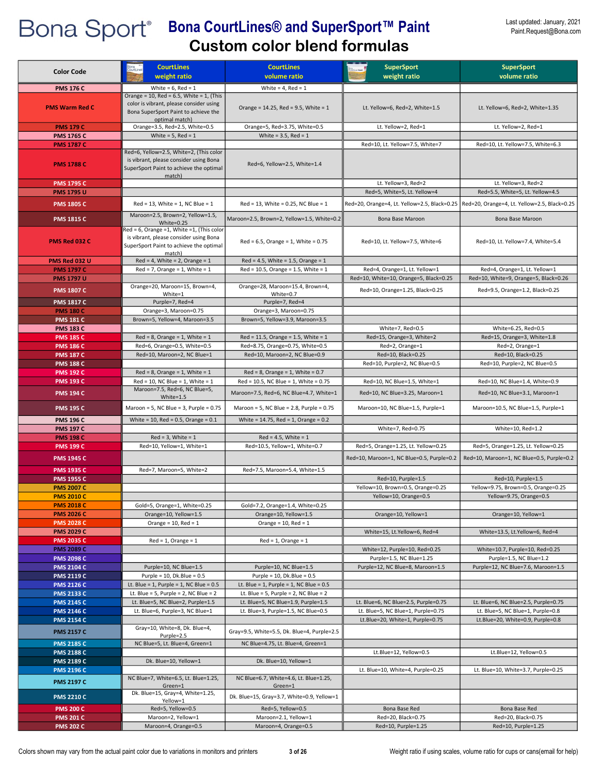| <b>Color Code</b>                      | <b>CourtLines</b><br>weight ratio                                                                                                                | <b>CourtLines</b><br>volume ratio                         | <b>SuperSport</b><br>weight ratio                                                | <b>SuperSport</b><br>volume ratio                                                |
|----------------------------------------|--------------------------------------------------------------------------------------------------------------------------------------------------|-----------------------------------------------------------|----------------------------------------------------------------------------------|----------------------------------------------------------------------------------|
| <b>PMS 176 C</b>                       | White = $6$ , Red = 1                                                                                                                            | White = $4$ , Red = 1                                     |                                                                                  |                                                                                  |
| <b>PMS Warm Red C</b>                  | Orange = $10$ , Red = 6.5, White = 1, (This<br>color is vibrant, please consider using<br>Bona SuperSport Paint to achieve the<br>optimal match) | Orange = $14.25$ , Red = 9.5, White = 1                   | Lt. Yellow=6, Red=2, White=1.5                                                   | Lt. Yellow=6, Red=2, White=1.35                                                  |
| <b>PMS 179 C</b>                       | Orange=3.5, Red=2.5, White=0.5                                                                                                                   | Orange=5, Red=3.75, White=0.5                             | Lt. Yellow=2, Red=1                                                              | Lt. Yellow=2, Red=1                                                              |
| <b>PMS 1765 C</b>                      | White = $5$ , Red = $1$                                                                                                                          | White = $3.5$ , Red = $1$                                 |                                                                                  |                                                                                  |
| <b>PMS 1787 C</b><br><b>PMS 1788 C</b> | Red=6, Yellow=2.5, White=2, (This color<br>is vibrant, please consider using Bona<br>SuperSport Paint to achieve the optimal<br>match)           | Red=6, Yellow=2.5, White=1.4                              | Red=10, Lt. Yellow=7.5, White=7                                                  | Red=10, Lt. Yellow=7.5, White=6.3                                                |
| <b>PMS 1795 C</b>                      |                                                                                                                                                  |                                                           | Lt. Yellow=3, Red=2                                                              | Lt. Yellow=3, Red=2                                                              |
| <b>PMS 1795 U</b>                      |                                                                                                                                                  |                                                           | Red=5, White=5, Lt. Yellow=4                                                     | Red=5.5, White=5, Lt. Yellow=4.5                                                 |
| <b>PMS 1805 C</b>                      | $Red = 13$ , White = 1, NC Blue = 1<br>Maroon=2.5, Brown=2, Yellow=1.5,                                                                          | $Red = 13$ , White = 0.25, NC Blue = 1                    | Red=20, Orange=4, Lt. Yellow=2.5, Black=0.25                                     | Red=20, Orange=4, Lt. Yellow=2.5, Black=0.25                                     |
| <b>PMS 1815 C</b>                      | White= $0.25$                                                                                                                                    | Maroon=2.5, Brown=2, Yellow=1.5, White=0.2                | Bona Base Maroon                                                                 | Bona Base Maroon                                                                 |
| PMS Red 032 C                          | Red = 6, Orange = 1, White = 1, (This color<br>is vibrant, please consider using Bona<br>SuperSport Paint to achieve the optimal<br>match)       | $Red = 6.5$ , Orange = 1, White = 0.75                    | Red=10, Lt. Yellow=7.5, White=6                                                  | Red=10, Lt. Yellow=7.4, White=5.4                                                |
| PMS Red 032 U                          | $Red = 4$ , White = 2, Orange = 1                                                                                                                | $Red = 4.5$ , White = 1.5, Orange = 1                     |                                                                                  |                                                                                  |
| <b>PMS 1797 C</b>                      | $Red = 7$ , Orange = 1, White = 1                                                                                                                | $Red = 10.5$ , Orange = 1.5, White = 1                    | Red=4, Orange=1, Lt. Yellow=1                                                    | Red=4, Orange=1, Lt. Yellow=1                                                    |
| <b>PMS 1797 U</b>                      | Orange=20, Maroon=15, Brown=4,                                                                                                                   | Orange=28, Maroon=15.4, Brown=4,                          | Red=10, White=10, Orange=5, Black=0.25                                           | Red=10, White=9, Orange=5, Black=0.26                                            |
| <b>PMS 1807 C</b>                      | White=1                                                                                                                                          | White=0.7                                                 | Red=10, Orange=1.25, Black=0.25                                                  | Red=9.5, Orange=1.2, Black=0.25                                                  |
| <b>PMS 1817 C</b><br><b>PMS 180 C</b>  | Purple=7, Red=4<br>Orange=3, Maroon=0.75                                                                                                         | Purple=7, Red=4<br>Orange=3, Maroon=0.75                  |                                                                                  |                                                                                  |
| <b>PMS 181 C</b>                       | Brown=5, Yellow=4, Maroon=3.5                                                                                                                    | Brown=5, Yellow=3.9, Maroon=3.5                           |                                                                                  |                                                                                  |
| <b>PMS 183 C</b>                       |                                                                                                                                                  |                                                           | White=7, Red=0.5                                                                 | White=6.25, Red=0.5                                                              |
| <b>PMS 185 C</b>                       | $Red = 8$ , Orange = 1, White = 1                                                                                                                | $Red = 11.5$ , Orange = 1.5, White = 1                    | Red=15, Orange=3, White=2                                                        | Red=15, Orange=3, White=1.8                                                      |
| <b>PMS 186 C</b>                       | Red=6, Orange=0.5, White=0.5                                                                                                                     | Red=8.75, Orange=0.75, White=0.5                          | Red=2, Orange=1                                                                  | Red=2, Orange=1                                                                  |
| <b>PMS 187 C</b>                       | Red=10, Maroon=2, NC Blue=1                                                                                                                      | Red=10, Maroon=2, NC Blue=0.9                             | Red=10, Black=0.25                                                               | Red=10, Black=0.25                                                               |
| <b>PMS 188 C</b><br><b>PMS 192 C</b>   | $Red = 8$ , Orange = 1, White = 1                                                                                                                | $Red = 8$ , Orange = 1, White = 0.7                       | Red=10, Purple=2, NC Blue=0.5                                                    | Red=10, Purple=2, NC Blue=0.5                                                    |
| <b>PMS 193 C</b>                       | $Red = 10$ , NC Blue = 1, White = 1                                                                                                              | Red = 10.5, NC Blue = 1, White = 0.75                     | Red=10, NC Blue=1.5, White=1                                                     | Red=10, NC Blue=1.4, White=0.9                                                   |
| <b>PMS 194 C</b>                       | Maroon=7.5, Red=6, NC Blue=5,<br>White=1.5                                                                                                       | Maroon=7.5, Red=6, NC Blue=4.7, White=1                   | Red=10, NC Blue=3.25, Maroon=1                                                   | Red=10, NC Blue=3.1, Maroon=1                                                    |
| <b>PMS 195 C</b>                       | Maroon = 5, NC Blue = 3, Purple = $0.75$                                                                                                         | Maroon = 5, NC Blue = $2.8$ , Purple = 0.75               | Maroon=10, NC Blue=1.5, Purple=1                                                 | Maroon=10.5, NC Blue=1.5, Purple=1                                               |
| <b>PMS 196 C</b>                       | White = 10, Red = $0.5$ , Orange = $0.1$                                                                                                         | White = $14.75$ , Red = 1, Orange = 0.2                   |                                                                                  |                                                                                  |
| <b>PMS 197 C</b>                       |                                                                                                                                                  |                                                           | White=7, Red=0.75                                                                | White=10, Red=1.2                                                                |
| <b>PMS 198 C</b>                       | $Red = 3$ , White = 1                                                                                                                            | $Red = 4.5$ , White = 1                                   |                                                                                  |                                                                                  |
| <b>PMS 199 C</b><br><b>PMS 1945 C</b>  | Red=10, Yellow=1, White=1                                                                                                                        | Red=10.5, Yellow=1, White=0.7                             | Red=5, Orange=1.25, Lt. Yellow=0.25<br>Red=10, Maroon=1, NC Blue=0.5, Purple=0.2 | Red=5, Orange=1.25, Lt. Yellow=0.25<br>Red=10, Maroon=1, NC Blue=0.5, Purple=0.2 |
| <b>PMS 1935 C</b>                      | Red=7, Maroon=5, White=2                                                                                                                         | Red=7.5, Maroon=5.4, White=1.5                            |                                                                                  |                                                                                  |
| <b>PMS 1955 C</b>                      |                                                                                                                                                  |                                                           | Red=10, Purple=1.5                                                               | Red=10, Purple=1.5                                                               |
| <b>PMS 2007 C</b>                      |                                                                                                                                                  |                                                           | Yellow=10, Brown=0.5, Orange=0.25                                                | Yellow=9.75, Brown=0.5, Orange=0.25                                              |
| <b>PMS 2010 C</b>                      |                                                                                                                                                  |                                                           | Yellow=10, Orange=0.5                                                            | Yellow=9.75, Orange=0.5                                                          |
| <b>PMS 2018 C</b>                      | Gold=5, Orange=1, White=0.25                                                                                                                     | Gold=7.2, Orange=1.4, White=0.25                          |                                                                                  |                                                                                  |
| <b>PMS 2026 C</b><br><b>PMS 2028 C</b> | Orange=10, Yellow=1.5<br>Orange = $10$ , Red = $1$                                                                                               | Orange=10, Yellow=1.5<br>Orange = $10$ , Red = $1$        | Orange=10, Yellow=1                                                              | Orange=10, Yellow=1                                                              |
| <b>PMS 2029 C</b>                      |                                                                                                                                                  |                                                           | White=15, Lt.Yellow=6, Red=4                                                     | White=13.5, Lt.Yellow=6, Red=4                                                   |
| <b>PMS 2035 C</b>                      | $Red = 1$ , Orange = 1                                                                                                                           | $Red = 1$ , Orange = 1                                    |                                                                                  |                                                                                  |
| <b>PMS 2089 C</b>                      |                                                                                                                                                  |                                                           | White=12, Purple=10, Red=0.25                                                    | White=10.7, Purple=10, Red=0.25                                                  |
| <b>PMS 2098 C</b>                      |                                                                                                                                                  |                                                           | Purple=1.5, NC Blue=1.25                                                         | Purple=1.5, NC Blue=1.2                                                          |
| <b>PMS 2104 C</b><br><b>PMS 2119 C</b> | Purple=10, NC Blue=1.5<br>Purple = $10$ , Dk.Blue = $0.5$                                                                                        | Purple=10, NC Blue=1.5<br>Purple = $10$ , Dk.Blue = $0.5$ | Purple=12, NC Blue=8, Maroon=1.5                                                 | Purple=12, NC Blue=7.6, Maroon=1.5                                               |
| <b>PMS 2126 C</b>                      | Lt. Blue = $1$ , Purple = $1$ , NC Blue = $0.5$                                                                                                  | Lt. Blue = 1, Purple = 1, NC Blue = $0.5$                 |                                                                                  |                                                                                  |
| <b>PMS 2133 C</b>                      | Lt. Blue = 5, Purple = 2, NC Blue = $2$                                                                                                          | Lt. Blue = 5, Purple = 2, NC Blue = $2$                   |                                                                                  |                                                                                  |
| <b>PMS 2145 C</b>                      | Lt. Blue=5, NC Blue=2, Purple=1.5                                                                                                                | Lt. Blue=5, NC Blue=1.9, Purple=1.5                       | Lt. Blue=6, NC Blue=2.5, Purple=0.75                                             | Lt. Blue=6, NC Blue=2.5, Purple=0.75                                             |
| <b>PMS 2146 C</b><br><b>PMS 2154 C</b> | Lt. Blue=6, Purple=3, NC Blue=1                                                                                                                  | Lt. Blue=3, Purple=1.5, NC Blue=0.5                       | Lt. Blue=5, NC Blue=1, Purple=0.75<br>Lt.Blue=20, White=1, Purple=0.75           | Lt. Blue=5, NC Blue=1, Purple=0.8<br>Lt.Blue=20, White=0.9, Purple=0.8           |
| <b>PMS 2157 C</b>                      | Gray=10, White=8, Dk. Blue=4,<br>Purple=2.5                                                                                                      | Gray=9.5, White=5.5, Dk. Blue=4, Purple=2.5               |                                                                                  |                                                                                  |
| <b>PMS 2185 C</b>                      | NC Blue=5, Lt. Blue=4, Green=1                                                                                                                   | NC Blue=4.75, Lt. Blue=4, Green=1                         |                                                                                  |                                                                                  |
| <b>PMS 2188 C</b>                      |                                                                                                                                                  |                                                           | Lt.Blue=12, Yellow=0.5                                                           | Lt.Blue=12, Yellow=0.5                                                           |
| <b>PMS 2189 C</b>                      | Dk. Blue=10, Yellow=1                                                                                                                            | Dk. Blue=10, Yellow=1                                     |                                                                                  |                                                                                  |
| <b>PMS 2196 C</b>                      | NC Blue=7, White=6.5, Lt. Blue=1.25,                                                                                                             | NC Blue=6.7, White=4.6, Lt. Blue=1.25,                    | Lt. Blue=10, White=4, Purple=0.25                                                | Lt. Blue=10, White=3.7, Purple=0.25                                              |
| <b>PMS 2197 C</b>                      | Green=1<br>Dk. Blue=15, Gray=4, White=1.25,                                                                                                      | Green=1                                                   |                                                                                  |                                                                                  |
| <b>PMS 2210 C</b>                      | Yellow=1                                                                                                                                         | Dk. Blue=15, Gray=3.7, White=0.9, Yellow=1                |                                                                                  |                                                                                  |
| <b>PMS 200 C</b><br><b>PMS 201 C</b>   | Red=5, Yellow=0.5<br>Maroon=2, Yellow=1                                                                                                          | Red=5, Yellow=0.5<br>Maroon=2.1, Yellow=1                 | Bona Base Red<br>Red=20, Black=0.75                                              | Bona Base Red<br>Red=20, Black=0.75                                              |
| <b>PMS 202 C</b>                       | Maroon=4, Orange=0.5                                                                                                                             | Maroon=4, Orange=0.5                                      | Red=10, Purple=1.25                                                              | Red=10, Purple=1.25                                                              |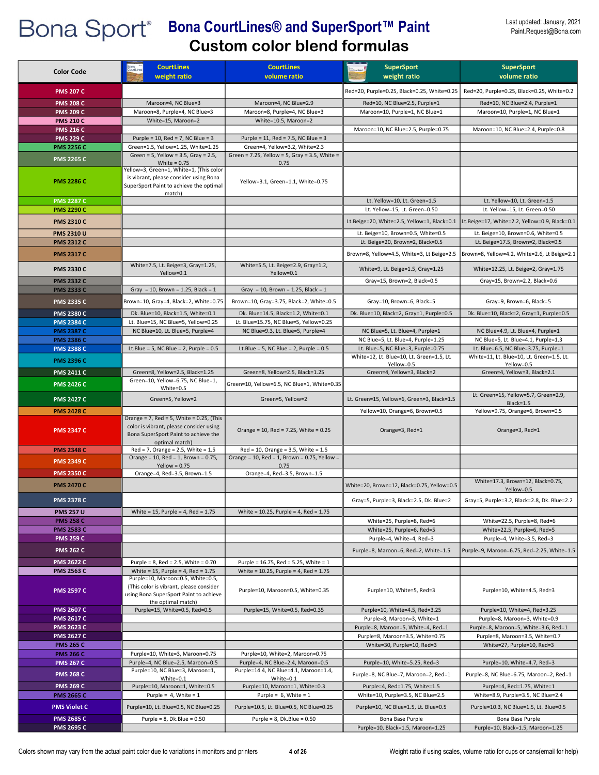| <b>Color Code</b>                      | <b>CourtLines</b>                                                                                                                            | <b>CourtLines</b>                                                                   | <b>SuperSport</b>                                                               | <b>SuperSport</b>                                                                 |
|----------------------------------------|----------------------------------------------------------------------------------------------------------------------------------------------|-------------------------------------------------------------------------------------|---------------------------------------------------------------------------------|-----------------------------------------------------------------------------------|
|                                        | weight ratio                                                                                                                                 | volume ratio                                                                        | weight ratio                                                                    | volume ratio                                                                      |
| <b>PMS 207 C</b>                       |                                                                                                                                              |                                                                                     | Red=20, Purple=0.25, Black=0.25, White=0.25                                     | Red=20, Purple=0.25, Black=0.25, White=0.2                                        |
| <b>PMS 208 C</b>                       | Maroon=4, NC Blue=3                                                                                                                          | Maroon=4, NC Blue=2.9                                                               | Red=10, NC Blue=2.5, Purple=1                                                   | Red=10, NC Blue=2.4, Purple=1                                                     |
| <b>PMS 209 C</b>                       | Maroon=8, Purple=4, NC Blue=3                                                                                                                | Maroon=8, Purple=4, NC Blue=3                                                       | Maroon=10, Purple=1, NC Blue=1                                                  | Maroon=10, Purple=1, NC Blue=1                                                    |
| <b>PMS 210 C</b><br><b>PMS 216 C</b>   | White=15, Maroon=2                                                                                                                           | White=10.5, Maroon=2                                                                | Maroon=10, NC Blue=2.5, Purple=0.75                                             | Maroon=10, NC Blue=2.4, Purple=0.8                                                |
| <b>PMS 229 C</b>                       | Purple = 10, Red = 7, NC Blue = 3                                                                                                            | Purple = 11, Red = 7.5, NC Blue = 3                                                 |                                                                                 |                                                                                   |
| <b>PMS 2256 C</b>                      | Green=1.5, Yellow=1.25, White=1.25                                                                                                           | Green=4, Yellow=3.2, White=2.3                                                      |                                                                                 |                                                                                   |
| <b>PMS 2265 C</b>                      | Green = 5, Yellow = $3.5$ , Gray = $2.5$ ,                                                                                                   | Green = 7.25, Yellow = 5, Gray = 3.5, White =                                       |                                                                                 |                                                                                   |
|                                        | White = $0.75$<br>Yellow=3, Green=1, White=1, (This color                                                                                    | 0.75                                                                                |                                                                                 |                                                                                   |
| <b>PMS 2286 C</b>                      | is vibrant, please consider using Bona<br>SuperSport Paint to achieve the optimal<br>match)                                                  | Yellow=3.1, Green=1.1, White=0.75                                                   |                                                                                 |                                                                                   |
| <b>PMS 2287 C</b><br><b>PMS 2290 C</b> |                                                                                                                                              |                                                                                     | Lt. Yellow=10, Lt. Green=1.5<br>Lt. Yellow=15, Lt. Green=0.50                   | Lt. Yellow=10, Lt. Green=1.5<br>Lt. Yellow=15, Lt. Green=0.50                     |
| <b>PMS 2310 C</b>                      |                                                                                                                                              |                                                                                     | Lt.Beige=20, White=2.5, Yellow=1, Black=0.1                                     | Lt.Beige=17, White=2.2, Yellow=0.9, Black=0.1                                     |
|                                        |                                                                                                                                              |                                                                                     |                                                                                 |                                                                                   |
| <b>PMS 2310 U</b><br><b>PMS 2312 C</b> |                                                                                                                                              |                                                                                     | Lt. Beige=10, Brown=0.5, White=0.5<br>Lt. Beige=20, Brown=2, Black=0.5          | Lt. Beige=10, Brown=0.6, White=0.5<br>Lt. Beige=17.5, Brown=2, Black=0.5          |
|                                        |                                                                                                                                              |                                                                                     |                                                                                 |                                                                                   |
| <b>PMS 2317 C</b>                      |                                                                                                                                              |                                                                                     | Brown=8, Yellow=4.5, White=3, Lt Beige=2.5                                      | Brown=8, Yellow=4.2, White=2.6, Lt Beige=2.1                                      |
| <b>PMS 2330 C</b>                      | White=7.5, Lt. Beige=3, Gray=1.25,<br>Yellow=0.1                                                                                             | White=5.5, Lt. Beige=2.9, Gray=1.2,<br>Yellow=0.1                                   | White=9, Lt. Beige=1.5, Gray=1.25                                               | White=12.25, Lt. Beige=2, Gray=1.75                                               |
| <b>PMS 2332 C</b>                      |                                                                                                                                              |                                                                                     | Gray=15, Brown=2, Black=0.5                                                     | Gray=15, Brown=2.2, Black=0.6                                                     |
| <b>PMS 2333 C</b>                      | Gray = 10, Brown = 1.25, Black = 1                                                                                                           | Gray = 10, Brown = 1.25, Black = 1                                                  |                                                                                 |                                                                                   |
| <b>PMS 2335 C</b>                      | Brown=10, Gray=4, Black=2, White=0.75                                                                                                        | Brown=10, Gray=3.75, Black=2, White=0.5                                             | Gray=10, Brown=6, Black=5                                                       | Gray=9, Brown=6, Black=5                                                          |
| <b>PMS 2380 C</b>                      | Dk. Blue=10, Black=1.5, White=0.1                                                                                                            | Dk. Blue=14.5, Black=1.2, White=0.1                                                 | Dk. Blue=10, Black=2, Gray=1, Purple=0.5                                        | Dk. Blue=10, Black=2, Gray=1, Purple=0.5                                          |
| <b>PMS 2384 C</b>                      | Lt. Blue=15, NC Blue=5, Yellow=0.25                                                                                                          | Lt. Blue=15.75, NC Blue=5, Yellow=0.25                                              |                                                                                 |                                                                                   |
| <b>PMS 2387 C</b>                      | NC Blue=10, Lt. Blue=5, Purple=4                                                                                                             | NC Blue=9.3, Lt. Blue=5, Purple=4                                                   | NC Blue=5, Lt. Blue=4, Purple=1                                                 | NC Blue=4.9, Lt. Blue=4, Purple=1                                                 |
| <b>PMS 2386 C</b>                      |                                                                                                                                              |                                                                                     | NC Blue=5, Lt. Blue=4, Purple=1.25                                              | NC Blue=5, Lt. Blue=4.1, Purple=1.3                                               |
| <b>PMS 2388 C</b>                      | Lt.Blue = 5, NC Blue = 2, Purple = $0.5$                                                                                                     | Lt.Blue = 5, NC Blue = 2, Purple = $0.5$                                            | Lt. Blue=5, NC Blue=3, Purple=0.75<br>White=12, Lt. Blue=10, Lt. Green=1.5, Lt. | Lt. Blue=6.5, NC Blue=3.75, Purple=1<br>White=11, Lt. Blue=10, Lt. Green=1.5, Lt. |
| <b>PMS 2396 C</b>                      |                                                                                                                                              |                                                                                     | Yellow=0.5                                                                      | Yellow=0.5                                                                        |
| <b>PMS 2411 C</b>                      | Green=8, Yellow=2.5, Black=1.25                                                                                                              | Green=8, Yellow=2.5, Black=1.25                                                     | Green=4, Yellow=3, Black=2                                                      | Green=4, Yellow=3, Black=2.1                                                      |
| <b>PMS 2426 C</b>                      | Green=10, Yellow=6.75, NC Blue=1,<br>White=0.5                                                                                               | Green=10, Yellow=6.5, NC Blue=1, White=0.35                                         |                                                                                 |                                                                                   |
| <b>PMS 2427 C</b>                      | Green=5, Yellow=2                                                                                                                            | Green=5, Yellow=2                                                                   | Lt. Green=15, Yellow=6, Green=3, Black=1.5                                      | Lt. Green=15, Yellow=5.7, Green=2.9,                                              |
| <b>PMS 2428 C</b>                      |                                                                                                                                              |                                                                                     | Yellow=10, Orange=6, Brown=0.5                                                  | Black=1.5<br>Yellow=9.75, Orange=6, Brown=0.5                                     |
|                                        | Orange = 7, Red = 5, White = $0.25$ , (This                                                                                                  |                                                                                     |                                                                                 |                                                                                   |
| <b>PMS 2347 C</b><br><b>PMS 2348 C</b> | color is vibrant, please consider using<br>Bona SuperSport Paint to achieve the<br>optimal match)<br>$Red = 7$ , Orange = 2.5, White = 1.5   | Orange = 10, Red = $7.25$ , White = 0.25<br>$Red = 10$ , Orange = 3.5, White = 1.5  | Orange=3, Red=1                                                                 | Orange=3, Red=1                                                                   |
|                                        | Orange = 10, Red = 1, Brown = $0.75$ ,                                                                                                       | Orange = 10, Red = 1, Brown = 0.75, Yellow =                                        |                                                                                 |                                                                                   |
| <b>PMS 2349 C</b>                      | Yellow = $0.75$                                                                                                                              | 0.75                                                                                |                                                                                 |                                                                                   |
| <b>PMS 2350 C</b>                      | Orange=4, Red=3.5, Brown=1.5                                                                                                                 | Orange=4, Red=3.5, Brown=1.5                                                        |                                                                                 | White=17.3, Brown=12, Black=0.75,                                                 |
| <b>PMS 2470 C</b>                      |                                                                                                                                              |                                                                                     | White=20, Brown=12, Black=0.75, Yellow=0.5                                      | Yellow=0.5                                                                        |
| <b>PMS 2378 C</b>                      |                                                                                                                                              |                                                                                     | Gray=5, Purple=3, Black=2.5, Dk. Blue=2                                         | Gray=5, Purple=3.2, Black=2.8, Dk. Blue=2.2                                       |
| <b>PMS 257 U</b>                       | White = $15$ , Purple = 4, Red = $1.75$                                                                                                      | White = $10.25$ , Purple = 4, Red = 1.75                                            |                                                                                 |                                                                                   |
| <b>PMS 258 C</b>                       |                                                                                                                                              |                                                                                     | White=25, Purple=8, Red=6                                                       | White=22.5, Purple=8, Red=6                                                       |
| <b>PMS 2583 C</b><br><b>PMS 259 C</b>  |                                                                                                                                              |                                                                                     | White=25, Purple=6, Red=5<br>Purple=4, White=4, Red=3                           | White=22.5, Purple=6, Red=5<br>Purple=4, White=3.5, Red=3                         |
| <b>PMS 262 C</b>                       |                                                                                                                                              |                                                                                     | Purple=8, Maroon=6, Red=2, White=1.5                                            | Purple=9, Maroon=6.75, Red=2.25, White=1.5                                        |
|                                        |                                                                                                                                              |                                                                                     |                                                                                 |                                                                                   |
| <b>PMS 2622 C</b><br><b>PMS 2563 C</b> | Purple = $8$ , Red = $2.5$ , White = $0.70$<br>White = $15$ , Purple = 4, Red = $1.75$                                                       | Purple = 16.75, Red = 5.25, White = 1<br>White = $10.25$ , Purple = 4, Red = $1.75$ |                                                                                 |                                                                                   |
| <b>PMS 2597 C</b>                      | Purple=10, Maroon=0.5, White=0.5,<br>(This color is vibrant, please consider<br>using Bona SuperSport Paint to achieve<br>the optimal match) | Purple=10, Maroon=0.5, White=0.35                                                   | Purple=10, White=5, Red=3                                                       | Purple=10, White=4.5, Red=3                                                       |
| <b>PMS 2607 C</b>                      | Purple=15, White=0.5, Red=0.5                                                                                                                | Purple=15, White=0.5, Red=0.35                                                      | Purple=10, White=4.5, Red=3.25                                                  | Purple=10, White=4, Red=3.25                                                      |
| <b>PMS 2617 C</b>                      |                                                                                                                                              |                                                                                     | Purple=8, Maroon=3, White=1                                                     | Purple=8, Maroon=3, White=0.9                                                     |
| <b>PMS 2623 C</b>                      |                                                                                                                                              |                                                                                     | Purple=8, Maroon=5, White=4, Red=1                                              | Purple=8, Maroon=5, White=3.6, Red=1                                              |
| <b>PMS 2627 C</b>                      |                                                                                                                                              |                                                                                     | Purple=8, Maroon=3.5, White=0.75                                                | Purple=8, Maroon=3.5, White=0.7                                                   |
| <b>PMS 265 C</b><br><b>PMS 266 C</b>   | Purple=10, White=3, Maroon=0.75                                                                                                              | Purple=10, White=2, Maroon=0.75                                                     | White=30, Purple=10, Red=3                                                      | White=27, Purple=10, Red=3                                                        |
| <b>PMS 267 C</b>                       | Purple=4, NC Blue=2.5, Maroon=0.5                                                                                                            | Purple=4, NC Blue=2.4, Maroon=0.5                                                   | Purple=10, White=5.25, Red=3                                                    | Purple=10, White=4.7, Red=3                                                       |
| <b>PMS 268 C</b>                       | Purple=10, NC Blue=3, Maroon=1,                                                                                                              | Purple=14.4, NC Blue=4.1, Maroon=1.4,                                               | Purple=8, NC Blue=7, Maroon=2, Red=1                                            | Purple=8, NC Blue=6.75, Maroon=2, Red=1                                           |
| <b>PMS 269 C</b>                       | White=0.1<br>Purple=10, Maroon=1, White=0.5                                                                                                  | White=0.1<br>Purple=10, Maroon=1, White=0.3                                         | Purple=4, Red=1.75, White=1.5                                                   | Purple=4, Red=1.75, White=1                                                       |
| <b>PMS 2665 C</b>                      | Purple = $4$ , White = 1                                                                                                                     | Purple = $6$ , White = 1                                                            | White=10, Purple=3.5, NC Blue=2.5                                               | White=8.9, Purple=3.5, NC Blue=2.4                                                |
| <b>PMS Violet C</b>                    | Purple=10, Lt. Blue=0.5, NC Blue=0.25                                                                                                        | Purple=10.5, Lt. Blue=0.5, NC Blue=0.25                                             | Purple=10, NC Blue=1.5, Lt. Blue=0.5                                            | Purple=10.3, NC Blue=1.5, Lt. Blue=0.5                                            |
| <b>PMS 2685 C</b>                      | Purple = $8$ , Dk.Blue = $0.50$                                                                                                              | Purple = $8$ , Dk.Blue = $0.50$                                                     | Bona Base Purple                                                                | Bona Base Purple                                                                  |
| <b>PMS 2695 C</b>                      |                                                                                                                                              |                                                                                     | Purple=10, Black=1.5, Maroon=1.25                                               | Purple=10, Black=1.5, Maroon=1.25                                                 |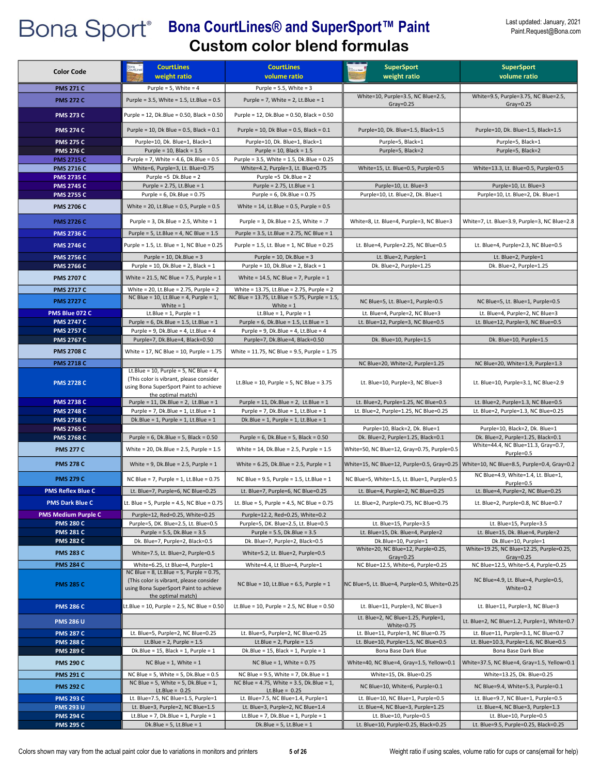| <b>Color Code</b>                      | <b>CourtLines</b><br>weight ratio                                                                                                   | <b>CourtLines</b><br>volume ratio                                                           | <b>SuperSport</b><br>weight ratio                                        | <b>SuperSport</b><br>volume ratio                                                         |
|----------------------------------------|-------------------------------------------------------------------------------------------------------------------------------------|---------------------------------------------------------------------------------------------|--------------------------------------------------------------------------|-------------------------------------------------------------------------------------------|
| <b>PMS 271 C</b>                       | Purple = $5$ , White = $4$                                                                                                          | Purple = $5.5$ , White = $3$                                                                |                                                                          |                                                                                           |
| <b>PMS 272 C</b>                       | Purple = 3.5, White = 1.5, Lt.Blue = 0.5                                                                                            | Purple = 7, White = 2, Lt.Blue = $1$                                                        | White=10, Purple=3.5, NC Blue=2.5,                                       | White=9.5, Purple=3.75, NC Blue=2.5,                                                      |
| <b>PMS 273 C</b>                       | Purple = 12, Dk.Blue = 0.50, Black = 0.50                                                                                           | Purple = 12, Dk.Blue = 0.50, Black = 0.50                                                   | Gray= $0.25$                                                             | $Gray=0.25$                                                                               |
|                                        |                                                                                                                                     |                                                                                             |                                                                          |                                                                                           |
| <b>PMS 274 C</b>                       | Purple = 10, Dk Blue = $0.5$ , Black = $0.1$                                                                                        | Purple = 10, Dk Blue = $0.5$ , Black = $0.1$                                                | Purple=10, Dk. Blue=1.5, Black=1.5                                       | Purple=10, Dk. Blue=1.5, Black=1.5                                                        |
| <b>PMS 275 C</b>                       | Purple=10, Dk. Blue=1, Black=1                                                                                                      | Purple=10, Dk. Blue=1, Black=1                                                              | Purple=5, Black=1                                                        | Purple=5, Black=1                                                                         |
| <b>PMS 276 C</b><br><b>PMS 2715 C</b>  | Purple = $10$ , Black = $1.5$<br>Purple = 7, White = 4.6, Dk.Blue = 0.5                                                             | Purple = $10$ , Black = $1.5$<br>Purple = 3.5, White = 1.5, Dk.Blue = 0.25                  | Purple=5, Black=2                                                        | Purple=5, Black=2                                                                         |
| <b>PMS 2716 C</b>                      | White=6, Purple=3, Lt. Blue=0.75                                                                                                    | White=4.2, Purple=3, Lt. Blue=0.75                                                          | White=15, Lt. Blue=0.5, Purple=0.5                                       | White=13.3, Lt. Blue=0.5, Purple=0.5                                                      |
| <b>PMS 2735 C</b>                      | Purple =5 $Dk.Blue = 2$                                                                                                             | Purple =5 $Dk.Blue = 2$                                                                     |                                                                          |                                                                                           |
| <b>PMS 2745 C</b>                      | Purple = $2.75$ , Lt.Blue = $1$                                                                                                     | Purple = $2.75$ , Lt.Blue = $1$                                                             | Purple=10, Lt. Blue=3                                                    | Purple=10, Lt. Blue=3                                                                     |
| <b>PMS 2755 C</b>                      | Purple = $6$ , Dk.Blue = $0.75$                                                                                                     | Purple = $6$ , Dk.Blue = $0.75$                                                             | Purple=10, Lt. Blue=2, Dk. Blue=1                                        | Purple=10, Lt. Blue=2, Dk. Blue=1                                                         |
| <b>PMS 2706 C</b>                      | White = 20, Lt.Blue = $0.5$ , Purple = $0.5$                                                                                        | White = $14$ , Lt.Blue = 0.5, Purple = 0.5                                                  |                                                                          |                                                                                           |
| <b>PMS 2726 C</b>                      | Purple = 3, Dk.Blue = $2.5$ , White = $1$                                                                                           | Purple = 3, Dk.Blue = 2.5, White = .7                                                       | White=8, Lt. Blue=4, Purple=3, NC Blue=3                                 | White=7, Lt. Blue=3.9, Purple=3, NC Blue=2.8                                              |
| <b>PMS 2736 C</b>                      | Purple = 5, Lt.Blue = 4, NC Blue = $1.5$                                                                                            | Purple = $3.5$ , Lt.Blue = $2.75$ , NC Blue = $1$                                           |                                                                          |                                                                                           |
| <b>PMS 2746 C</b>                      | Purple = 1.5, Lt. Blue = 1, NC Blue = 0.25                                                                                          | Purple = 1.5, Lt. Blue = 1, NC Blue = 0.25                                                  | Lt. Blue=4, Purple=2.25, NC Blue=0.5                                     | Lt. Blue=4, Purple=2.3, NC Blue=0.5                                                       |
| <b>PMS 2756 C</b>                      | Purple = $10$ , Dk.Blue = $3$                                                                                                       | Purple = $10$ , Dk.Blue = $3$                                                               | Lt. Blue=2, Purple=1                                                     | Lt. Blue=2, Purple=1                                                                      |
| <b>PMS 2766 C</b>                      | Purple = 10, Dk.Blue = 2, Black = $1$                                                                                               | Purple = $10$ , Dk. Blue = $2$ , Black = $1$                                                | Dk. Blue=2, Purple=1.25                                                  | Dk. Blue=2, Purple=1.25                                                                   |
| <b>PMS 2707 C</b>                      | White = $21.5$ , NC Blue = 7.5, Purple = 1                                                                                          | White = $14.5$ , NC Blue = 7, Purple = 1                                                    |                                                                          |                                                                                           |
| <b>PMS 2717 C</b>                      | White = 20, Lt.Blue = 2.75, Purple = 2<br>NC Blue = 10, Lt.Blue = 4, Purple = 1,                                                    | White = 13.75, Lt.Blue = 2.75, Purple = 2<br>NC Blue = 13.75, Lt.Blue = 5.75, Purple = 1.5, |                                                                          |                                                                                           |
| <b>PMS 2727 C</b>                      | White $= 1$                                                                                                                         | White $= 1$                                                                                 | NC Blue=5, Lt. Blue=1, Purple=0.5                                        | NC Blue=5, Lt. Blue=1, Purple=0.5                                                         |
| PMS Blue 072 C                         | Lt.Blue = $1$ , Purple = $1$                                                                                                        | Lt.Blue = $1$ , Purple = $1$                                                                | Lt. Blue=4, Purple=2, NC Blue=3                                          | Lt. Blue=4, Purple=2, NC Blue=3                                                           |
| <b>PMS 2747 C</b>                      | Purple = $6$ , Dk.Blue = $1.5$ , Lt.Blue = $1$                                                                                      | Purple = $6$ , Dk.Blue = 1.5, Lt.Blue = 1                                                   | Lt. Blue=12, Purple=3, NC Blue=0.5                                       | Lt. Blue=12, Purple=3, NC Blue=0.5                                                        |
| <b>PMS 2757 C</b><br><b>PMS 2767 C</b> | Purple = 9, Dk.Blue = 4, Lt.Blue = 4<br>Purple=7, Dk.Blue=4, Black=0.50                                                             | Purple = $9$ , Dk.Blue = $4$ , Lt.Blue = $4$<br>Purple=7, Dk.Blue=4, Black=0.50             | Dk. Blue=10, Purple=1.5                                                  | Dk. Blue=10, Purple=1.5                                                                   |
|                                        |                                                                                                                                     |                                                                                             |                                                                          |                                                                                           |
| <b>PMS 2708 C</b>                      | White = 17, NC Blue = 10, Purple = 1.75                                                                                             | White = 11.75, NC Blue = 9.5, Purple = 1.75                                                 |                                                                          |                                                                                           |
| <b>PMS 2718 C</b>                      | Lt.Blue = 10, Purple = 5, NC Blue = 4,                                                                                              |                                                                                             | NC Blue=20, White=2, Purple=1.25                                         | NC Blue=20, White=1.9, Purple=1.3                                                         |
| <b>PMS 2728 C</b>                      | (This color is vibrant, please consider<br>using Bona SuperSport Paint to achieve<br>the optimal match)                             | Lt.Blue = 10, Purple = 5, NC Blue = $3.75$                                                  | Lt. Blue=10, Purple=3, NC Blue=3                                         | Lt. Blue=10, Purple=3.1, NC Blue=2.9                                                      |
| <b>PMS 2738 C</b>                      | Purple = 11, Dk.Blue = 2, Lt.Blue = 1                                                                                               | Purple = 11, Dk.Blue = 2, Lt.Blue = 1                                                       | Lt. Blue=2, Purple=1.25, NC Blue=0.5                                     | Lt. Blue=2, Purple=1.3, NC Blue=0.5                                                       |
| <b>PMS 2748 C</b>                      | Purple = 7, Dk.Blue = 1, Lt.Blue = $1$                                                                                              | Purple = $7$ , Dk.Blue = 1, Lt.Blue = 1                                                     | Lt. Blue=2, Purple=1.25, NC Blue=0.25                                    | Lt. Blue=2, Purple=1.3, NC Blue=0.25                                                      |
| <b>PMS 2758 C</b>                      | Dk.Blue = 1, Purple = 1, Lt.Blue = $1$                                                                                              | Dk.Blue = $1$ , Purple = $1$ , Lt.Blue = $1$                                                |                                                                          |                                                                                           |
| <b>PMS 2765 C</b><br><b>PMS 2768 C</b> | Purple = $6$ , Dk.Blue = $5$ , Black = $0.50$                                                                                       | Purple = $6$ , Dk.Blue = $5$ , Black = $0.50$                                               | Purple=10, Black=2, Dk. Blue=1<br>Dk. Blue=2, Purple=1.25, Black=0.1     | Purple=10, Black=2, Dk. Blue=1<br>Dk. Blue=2, Purple=1.25, Black=0.1                      |
| <b>PMS 277 C</b>                       | White = 20, Dk.Blue = $2.5$ , Purple = $1.5$                                                                                        | White = $14$ , Dk.Blue = $2.5$ , Purple = $1.5$                                             | White=50, NC Blue=12, Gray=0.75, Purple=0.5                              | White=44.4, NC Blue=11.3, Gray=0.7,<br>Purple=0.5                                         |
| <b>PMS 278 C</b>                       | White = 9, Dk.Blue = $2.5$ , Purple = $1$                                                                                           | White = $6.25$ , Dk.Blue = 2.5, Purple = 1                                                  |                                                                          | White=15, NC Blue=12, Purple=0.5, Gray=0.25   White=10, NC Blue=8.5, Purple=0.4, Gray=0.2 |
| <b>PMS 279 C</b>                       | NC Blue = $7$ , Purple = 1, Lt.Blue = 0.75                                                                                          | NC Blue = $9.5$ , Purple = 1.5, Lt.Blue = 1                                                 | NC Blue=5, White=1.5, Lt. Blue=1, Purple=0.5                             | NC Blue=4.9, White=1.4, Lt. Blue=1,<br>Purple=0.5                                         |
| <b>PMS Reflex Blue C</b>               | Lt. Blue=7, Purple=6, NC Blue=0.25                                                                                                  | Lt. Blue=7, Purple=6, NC Blue=0.25                                                          | Lt. Blue=4, Purple=2, NC Blue=0.25                                       | Lt. Blue=4, Purple=2, NC Blue=0.25                                                        |
| <b>PMS Dark Blue C</b>                 | Lt. Blue = 5, Purple = 4.5, NC Blue = 0.75                                                                                          | Lt. Blue = 5, Purple = 4.5, NC Blue = $0.75$                                                | Lt. Blue=2, Purple=0.75, NC Blue=0.75                                    | Lt. Blue=2, Purple=0.8, NC Blue=0.7                                                       |
| <b>PMS Medium Purple C</b>             | Purple=12, Red=0.25, White=0.25                                                                                                     | Purple=12.2, Red=0.25, White=0.2                                                            |                                                                          |                                                                                           |
| <b>PMS 280 C</b><br><b>PMS 281 C</b>   | Purple=5, DK. Blue=2.5, Lt. Blue=0.5<br>Purple = $5.5$ , Dk.Blue = $3.5$                                                            | Purple=5, DK. Blue=2.5, Lt. Blue=0.5<br>Purple = $5.5$ , Dk.Blue = $3.5$                    | Lt. Blue=15, Purple=3.5<br>Lt. Blue=15, Dk. Blue=4, Purple=2             | Lt. Blue=15, Purple=3.5<br>Lt. Blue=15, Dk. Blue=4, Purple=2                              |
| <b>PMS 282 C</b>                       | Dk. Blue=7, Purple=2, Black=0.5                                                                                                     | Dk. Blue=7, Purple=2, Black=0.5                                                             | Dk.Blue=10, Purple=1                                                     | Dk.Blue=10, Purple=1                                                                      |
| <b>PMS 283 C</b>                       | White=7.5, Lt. Blue=2, Purple=0.5                                                                                                   | White=5.2, Lt. Blue=2, Purple=0.5                                                           | White=20, NC Blue=12, Purple=0.25,                                       | White=19.25, NC Blue=12.25, Purple=0.25,                                                  |
| <b>PMS 284 C</b>                       | White=6.25, Lt Blue=4, Purple=1                                                                                                     | White=4.4, Lt Blue=4, Purple=1                                                              | Gray= $0.25$<br>NC Blue=12.5, White=6, Purple=0.25                       | Gray= $0.25$<br>NC Blue=12.5, White=5.4, Purple=0.25                                      |
| <b>PMS 285 C</b>                       | NC Blue = $8$ , Lt.Blue = $5$ , Purple = 0.75,<br>(This color is vibrant, please consider<br>using Bona SuperSport Paint to achieve | NC Blue = $10$ , Lt. Blue = $6.5$ , Purple = $1$                                            | NC Blue=5, Lt. Blue=4, Purple=0.5, White=0.25                            | NC Blue=4.9, Lt. Blue=4, Purple=0.5,<br>White=0.2                                         |
| <b>PMS 286 C</b>                       | the optimal match)<br>Lt.Blue = 10, Purple = 2.5, NC Blue = 0.50                                                                    | Lt.Blue = 10, Purple = $2.5$ , NC Blue = $0.50$                                             | Lt. Blue=11, Purple=3, NC Blue=3                                         | Lt. Blue=11, Purple=3, NC Blue=3                                                          |
| <b>PMS 286 U</b>                       |                                                                                                                                     |                                                                                             | Lt. Blue=2, NC Blue=1.25, Purple=1,                                      | Lt. Blue=2, NC Blue=1.2, Purple=1, White=0.7                                              |
| <b>PMS 287 C</b>                       | Lt. Blue=5, Purple=2, NC Blue=0.25                                                                                                  | Lt. Blue=5, Purple=2, NC Blue=0.25                                                          | White=0.75<br>Lt. Blue=11, Purple=3, NC Blue=0.75                        | Lt. Blue=11, Purple=3.1, NC Blue=0.7                                                      |
| <b>PMS 288 C</b>                       | Lt.Blue = $2$ , Purple = $1.5$                                                                                                      | Lt.Blue = $2$ , Purple = $1.5$                                                              | Lt. Blue=10, Purple=1.5, NC Blue=0.5                                     | Lt. Blue=10.3, Purple=1.6, NC Blue=0.5                                                    |
| <b>PMS 289 C</b>                       | Dk.Blue = $15$ , Black = $1$ , Purple = $1$                                                                                         | Dk.Blue = $15$ , Black = $1$ , Purple = $1$                                                 | Bona Base Dark Blue                                                      | Bona Base Dark Blue                                                                       |
| <b>PMS 290 C</b>                       | NC Blue = $1$ , White = $1$                                                                                                         | NC Blue = $1$ , White = 0.75                                                                | White=40, NC Blue=4, Gray=1.5, Yellow=0.1                                | White=37.5, NC Blue=4, Gray=1.5, Yellow=0.1                                               |
| <b>PMS 291 C</b>                       | NC Blue = 5, White = 5, Dk. Blue = $0.5$                                                                                            | NC Blue = $9.5$ , White = $7$ , Dk. Blue = $1$                                              | White=15, Dk. Blue=0.25                                                  | White=13.25, Dk. Blue=0.25                                                                |
| <b>PMS 292 C</b>                       | NC Blue = 5, White = 5, Dk. Blue = $1$ ,                                                                                            | NC Blue = 4.75, White = 3.5, Dk. Blue = 1,                                                  | NC Blue=10, White=6, Purple=0.1                                          | NC Blue=9.4, White=5.3, Purple=0.1                                                        |
|                                        | Lt.Blue = $0.25$                                                                                                                    | Lt.Blue = $0.25$                                                                            |                                                                          |                                                                                           |
| <b>PMS 293 C</b><br><b>PMS 293 U</b>   | Lt. Blue=7.5, NC Blue=1.5, Purple=1<br>Lt. Blue=3, Purple=2, NC Blue=1.5                                                            | Lt. Blue=7.5, NC Blue=1.4, Purple=1<br>Lt. Blue=3, Purple=2, NC Blue=1.4                    | Lt. Blue=10, NC Blue=1, Purple=0.5<br>Lt. Blue=4, NC Blue=3, Purple=1.25 | Lt. Blue=9.7, NC Blue=1, Purple=0.5<br>Lt. Blue=4, NC Blue=3, Purple=1.3                  |
| <b>PMS 294 C</b>                       | Lt.Blue = 7, Dk.Blue = 1, Purple = $1$                                                                                              | Lt.Blue = 7, Dk.Blue = 1, Purple = $1$                                                      | Lt. Blue=10, Purple=0.5                                                  | Lt. Blue=10, Purple=0.5                                                                   |
| <b>PMS 295 C</b>                       | Dk.Blue = $5$ , Lt.Blue = $1$                                                                                                       | Dk.Blue = $5$ , Lt.Blue = $1$                                                               | Lt. Blue=10, Purple=0.25, Black=0.25                                     | Lt. Blue=9.5, Purple=0.25, Black=0.25                                                     |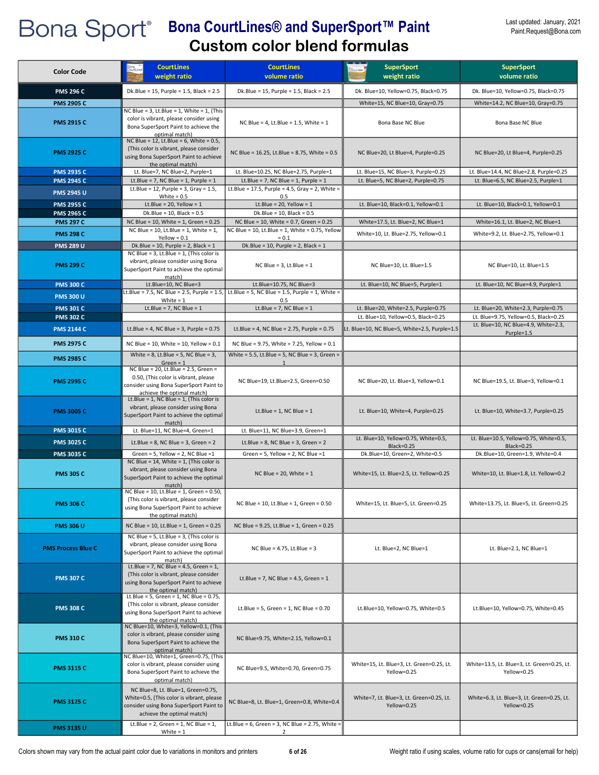| <b>Color Code</b>                      | <b>CourtLines</b><br>weight ratio                                                                                                                         | <b>CourtLines</b><br>volume ratio                                                                  | <b>SuperSport</b><br>weight ratio                         | <b>SuperSport</b><br>volume ratio                           |
|----------------------------------------|-----------------------------------------------------------------------------------------------------------------------------------------------------------|----------------------------------------------------------------------------------------------------|-----------------------------------------------------------|-------------------------------------------------------------|
| <b>PMS 296 C</b>                       | Dk.Blue = $15$ , Purple = $1.5$ , Black = $2.5$                                                                                                           | Dk.Blue = $15$ , Purple = $1.5$ , Black = $2.5$                                                    | Dk. Blue=10, Yellow=0.75, Black=0.75                      | Dk. Blue=10, Yellow=0.75, Black=0.75                        |
| <b>PMS 2905 C</b>                      |                                                                                                                                                           |                                                                                                    | White=15, NC Blue=10, Gray=0.75                           | White=14.2, NC Blue=10, Gray=0.75                           |
| <b>PMS 2915 C</b>                      | NC Blue = $3$ , Lt.Blue = $1$ , White = $1$ , (This<br>color is vibrant, please consider using<br>Bona SuperSport Paint to achieve the<br>optimal match)  | NC Blue = 4, Lt.Blue = $1.5$ , White = $1$                                                         | Bona Base NC Blue                                         | Bona Base NC Blue                                           |
| <b>PMS 2925 C</b>                      | NC Blue = $12$ , Lt. Blue = $6$ , White = 0.5,<br>(This color is vibrant, please consider<br>using Bona SuperSport Paint to achieve<br>the optimal match) | NC Blue = 16.25, Lt.Blue = 8.75, White = 0.5                                                       | NC Blue=20, Lt Blue=4, Purple=0.25                        | NC Blue=20, Lt Blue=4, Purple=0.25                          |
| <b>PMS 2935 C</b>                      | Lt. Blue=7. NC Blue=2. Purple=1                                                                                                                           | Lt. Blue=10.25, NC Blue=2.75, Purple=1                                                             | Lt. Blue=15, NC Blue=3, Purple=0.25                       | Lt. Blue=14.4, NC Blue=2.8, Purple=0.25                     |
| <b>PMS 2945 C</b><br><b>PMS 2945 U</b> | Lt.Blue = 7, NC Blue = 1, Purple = $1$<br>Lt.Blue = 12, Purple = $3$ , Gray = 1.5,<br>White = $0.5$                                                       | Lt.Blue = $7$ , NC Blue = 1, Purple = 1<br>Lt.Blue = 17.5, Purple = 4.5, Gray = 2, White =<br>0.5  | Lt. Blue=5, NC Blue=2, Purple=0.75                        | Lt. Blue=6.5, NC Blue=2.5, Purple=1                         |
| <b>PMS 2955 C</b>                      | Lt.Blue = 20, Yellow = $1$                                                                                                                                | Lt.Blue = $20$ , Yellow = $1$                                                                      | Lt. Blue=10, Black=0.1, Yellow=0.1                        | Lt. Blue=10, Black=0.1, Yellow=0.1                          |
| <b>PMS 2965 C</b>                      | Dk.Blue = $10$ , Black = $0.5$                                                                                                                            | $Dk.Blue = 10$ , Black = 0.5                                                                       |                                                           |                                                             |
| <b>PMS 297 C</b>                       | NC Blue = 10, White = 1, Green = 0.25<br>NC Blue = $10$ , Lt. Blue = $1$ , White = $1$ ,                                                                  | NC Blue = 10, White = 0.7, Green = 0.25<br>NC Blue = 10, Lt.Blue = 1, White = 0.75, Yellow         | White=17.5, Lt. Blue=2, NC Blue=1                         | White=16.1, Lt. Blue=2, NC Blue=1                           |
| <b>PMS 298 C</b>                       | $Yellow = 0.1$                                                                                                                                            | $= 0.1$                                                                                            | White=10, Lt. Blue=2.75, Yellow=0.1                       | White=9.2, Lt. Blue=2.75, Yellow=0.1                        |
| <b>PMS 289 U</b>                       | Dk.Blue = 10, Purple = 2, Black = $1$                                                                                                                     | Dk.Blue = 10, Purple = 2, Black = $1$                                                              |                                                           |                                                             |
| <b>PMS 299 C</b>                       | NC Blue = 3, Lt.Blue = 1, (This color is<br>vibrant, please consider using Bona<br>SuperSport Paint to achieve the optimal<br>match)                      | NC Blue = $3$ , Lt.Blue = $1$                                                                      | NC Blue=10, Lt. Blue=1.5                                  | NC Blue=10, Lt. Blue=1.5                                    |
| <b>PMS 300 C</b>                       | Lt.Blue=10, NC Blue=3                                                                                                                                     | Lt.Blue=10.75, NC Blue=3                                                                           | Lt. Blue=10, NC Blue=5, Purple=1                          | Lt. Blue=10, NC Blue=4.9, Purple=1                          |
| <b>PMS 300 U</b>                       | White $= 1$                                                                                                                                               | Lt.Blue = 7.5, NC Blue = 2.5, Purple = 1.5, Lt.Blue = 5, NC Blue = 1.5, Purple = 1, White =<br>0.5 |                                                           |                                                             |
| <b>PMS 301 C</b>                       | Lt.Blue = $7$ , NC Blue = $1$                                                                                                                             | Lt.Blue = $7$ , NC Blue = $1$                                                                      | Lt. Blue=20, White=2.5, Purple=0.75                       | Lt. Blue=20, White=2.3, Purple=0.75                         |
| <b>PMS 302 C</b>                       |                                                                                                                                                           |                                                                                                    | Lt. Blue=10, Yellow=0.5, Black=0.25                       | Lt. Blue=9.75, Yellow=0.5, Black=0.25                       |
| <b>PMS 2144 C</b>                      | Lt.Blue = 4, NC Blue = 3, Purple = $0.75$                                                                                                                 | Lt.Blue = 4, NC Blue = $2.75$ , Purple = 0.75                                                      | Lt. Blue=10, NC Blue=5, White=2.5, Purple=1.5             | Lt. Blue=10, NC Blue=4.9, White=2.3,<br>Purple=1.5          |
| <b>PMS 2975 C</b>                      | NC Blue = $10$ , White = $10$ , Yellow = $0.1$                                                                                                            | NC Blue = 9.75, White = 7.25, Yellow = 0.1                                                         |                                                           |                                                             |
| <b>PMS 2985 C</b>                      | White = $8$ , Lt.Blue = $5$ , NC Blue = $3$ ,<br>$Green = 1$                                                                                              | White = 5.5, Lt.Blue = 5, NC Blue = 3, Green =                                                     |                                                           |                                                             |
| <b>PMS 2995 C</b>                      | NC Blue = 20, Lt.Blue = 2.5, Green =<br>0.50, (This color is vibrant, please<br>consider using Bona SuperSport Paint to<br>achieve the optimal match)     | NC Blue=19, Lt.Blue=2.5, Green=0.50                                                                | NC Blue=20, Lt. Blue=3, Yellow=0.1                        | NC Blue=19.5, Lt. Blue=3, Yellow=0.1                        |
| <b>PMS 3005 C</b>                      | Lt.Blue = 1, NC Blue = 1, (This color is<br>vibrant, please consider using Bona<br>SuperSport Paint to achieve the optimal<br>match)                      | Lt.Blue = $1$ , NC Blue = $1$                                                                      | Lt. Blue=10, White=4, Purple=0.25                         | Lt. Blue=10, White=3.7, Purple=0.25                         |
| <b>PMS 3015 C</b>                      | Lt. Blue=11, NC Blue=4, Green=1                                                                                                                           | Lt. Blue=11, NC Blue=3.9, Green=1                                                                  |                                                           |                                                             |
| <b>PMS 3025 C</b>                      | Lt.Blue = $8$ , NC Blue = $3$ , Green = $2$                                                                                                               | Lt.Blue = $8$ , NC Blue = $3$ , Green = $2$                                                        | Lt. Blue=10, Yellow=0.75, White=0.5,<br><b>Black=0.25</b> | Lt. Blue=10.5, Yellow=0.75, White=0.5,<br><b>Black=0.25</b> |
| <b>PMS 3035 C</b>                      | Green = 5. Yellow = 2. NC Blue = $1$                                                                                                                      | Green = $5$ , Yellow = $2$ , NC Blue = $1$                                                         | Dk.Blue=10, Green=2, White=0.5                            | Dk.Blue=10, Green=1.9, White=0.4                            |
| <b>PMS 305 C</b>                       | NC Blue = 14, White = 1, (This color is<br>vibrant, please consider using Bona<br>SuperSport Paint to achieve the optimal<br>match)                       | NC Blue = $20$ , White = $1$                                                                       | White=15, Lt. Blue=2.5, Lt. Yellow=0.25                   | White=10, Lt. Blue=1.8, Lt. Yellow=0.2                      |
| <b>PMS 306 C</b>                       | NC Blue = 10, Lt.Blue = 1, Green = 0.50,<br>(This color is vibrant, please consider<br>using Bona SuperSport Paint to achieve<br>the optimal match)       | NC Blue = 10, Lt.Blue = 1, Green = 0.50                                                            | White=15, Lt. Blue=5, Lt. Green=0.25                      | White=13.75, Lt. Blue=5, Lt. Green=0.25                     |
| <b>PMS 306 U</b>                       | NC Blue = 10, Lt. Blue = 1, Green = 0.25                                                                                                                  | NC Blue = 9.25, Lt.Blue = 1, Green = 0.25                                                          |                                                           |                                                             |
| <b>PMS Process Blue C</b>              | NC Blue = 5, Lt.Blue = 3, (This color is<br>vibrant, please consider using Bona<br>SuperSport Paint to achieve the optimal<br>match)                      | NC Blue = $4.75$ , Lt. Blue = 3                                                                    | Lt. Blue=2, NC Blue=1                                     | Lt. Blue=2.1, NC Blue=1                                     |
| <b>PMS 307 C</b>                       | Lt.Blue = 7, NC Blue = 4.5, Green = $1$ ,<br>(This color is vibrant, please consider<br>using Bona SuperSport Paint to achieve<br>the optimal match)      | Lt.Blue = 7, NC Blue = 4.5, Green = $1$                                                            |                                                           |                                                             |
| <b>PMS 308 C</b>                       | Lt.Blue = 5, Green = 1, NC Blue = $0.75$ ,<br>(This color is vibrant, please consider<br>using Bona SuperSport Paint to achieve<br>the optimal match)     | Lt.Blue = 5, Green = 1, NC Blue = $0.70$                                                           | Lt.Blue=10, Yellow=0.75, White=0.5                        | Lt.Blue=10, Yellow=0.75, White=0.45                         |
| <b>PMS 310 C</b>                       | NC Blue=10, White=3, Yellow=0.1, (This<br>color is vibrant, please consider using<br>Bona SuperSport Paint to achieve the<br>optimal match)               | NC Blue=9.75, White=2.15, Yellow=0.1                                                               |                                                           |                                                             |
| <b>PMS 3115 C</b>                      | NC Blue=10, White=1, Green=0.75, (This<br>color is vibrant, please consider using<br>Bona SuperSport Paint to achieve the<br>optimal match)               | NC Blue=9.5, White=0.70, Green=0.75                                                                | White=15, Lt. Blue=3, Lt. Green=0.25, Lt.<br>Yellow=0.25  | White=13.5, Lt. Blue=3, Lt. Green=0.25, Lt.<br>Yellow=0.25  |
| <b>PMS 3125 C</b>                      | NC Blue=8, Lt. Blue=1, Green=0.75,<br>White=0.5, (This color is vibrant, please<br>consider using Bona SuperSport Paint to<br>achieve the optimal match)  | NC Blue=8, Lt. Blue=1, Green=0.8, White=0.4                                                        | White=7, Lt. Blue=3, Lt. Green=0.25, Lt.<br>Yellow=0.25   | White=6.3, Lt. Blue=3, Lt. Green=0.25, Lt.<br>Yellow=0.25   |
| <b>PMS 3135 U</b>                      | Lt.Blue = $2$ , Green = $1$ , NC Blue = $1$ ,<br>White $= 1$                                                                                              | Lt.Blue = $6$ , Green = $3$ , NC Blue = 2.75, White =<br>$\overline{2}$                            |                                                           |                                                             |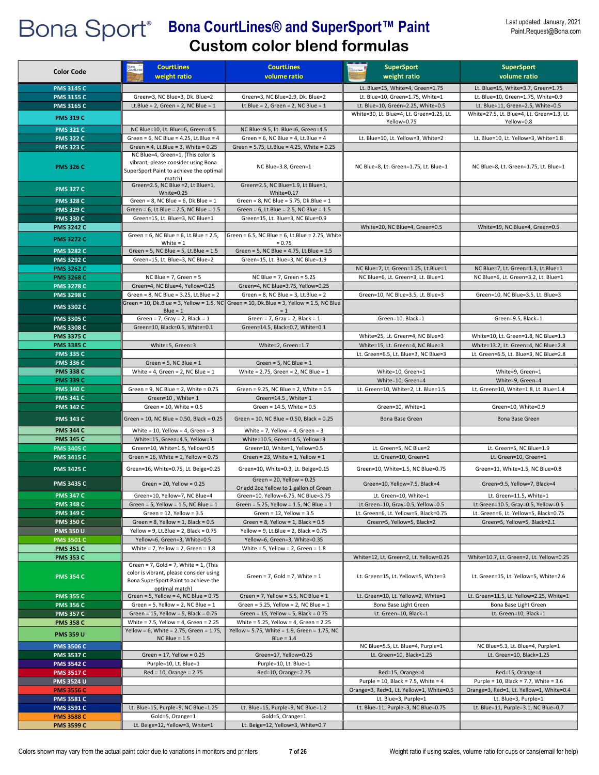| <b>Color Code</b>                      | <b>CourtLines</b><br>weight ratio                                                                                                                   | <b>CourtLines</b><br>volume ratio                                                         | <b>SuperSport</b><br>weight ratio                                          | <b>SuperSport</b><br>volume ratio                                            |
|----------------------------------------|-----------------------------------------------------------------------------------------------------------------------------------------------------|-------------------------------------------------------------------------------------------|----------------------------------------------------------------------------|------------------------------------------------------------------------------|
|                                        |                                                                                                                                                     |                                                                                           |                                                                            |                                                                              |
| <b>PMS 3145 C</b>                      |                                                                                                                                                     |                                                                                           | Lt. Blue=15, White=4, Green=1.75                                           | Lt. Blue=15, White=3.7, Green=1.75                                           |
| <b>PMS 3155 C</b>                      | Green=3, NC Blue=3, Dk. Blue=2<br>Lt.Blue = 2, Green = 2, NC Blue = $1$                                                                             | Green=3, NC Blue=2.9, Dk. Blue=2<br>Lt.Blue = 2, Green = 2, NC Blue = $1$                 | Lt. Blue=10, Green=1.75, White=1<br>Lt. Blue=10, Green=2.25, White=0.5     | Lt. Blue=10, Green=1.75, White=0.9<br>Lt. Blue=11, Green=2.5, White=0.5      |
| <b>PMS 3165 C</b>                      |                                                                                                                                                     |                                                                                           | White=30, Lt. Blue=4, Lt. Green=1.25, Lt.                                  | White=27.5, Lt. Blue=4, Lt. Green=1.3, Lt.                                   |
| <b>PMS 319 C</b>                       |                                                                                                                                                     |                                                                                           | Yellow=0.75                                                                | Yellow=0.8                                                                   |
| <b>PMS 321 C</b>                       | NC Blue=10, Lt. Blue=6, Green=4.5                                                                                                                   | NC Blue=9.5, Lt. Blue=6, Green=4.5                                                        |                                                                            |                                                                              |
| <b>PMS 322 C</b>                       | Green = $6$ , NC Blue = $4.25$ , Lt.Blue = $4$                                                                                                      | Green = $6$ , NC Blue = $4$ , Lt.Blue = $4$                                               | Lt. Blue=10, Lt. Yellow=3, White=2                                         | Lt. Blue=10, Lt. Yellow=3, White=1.8                                         |
| <b>PMS 323 C</b>                       | Green = 4, Lt.Blue = 3, White = $0.25$                                                                                                              | Green = 5.75, Lt.Blue = 4.25, White = 0.25                                                |                                                                            |                                                                              |
|                                        | NC Blue=4, Green=1, (This color is                                                                                                                  |                                                                                           |                                                                            |                                                                              |
| <b>PMS 326 C</b>                       | vibrant, please consider using Bona<br>SuperSport Paint to achieve the optimal<br>match)                                                            | NC Blue=3.8, Green=1                                                                      | NC Blue=8, Lt. Green=1.75, Lt. Blue=1                                      | NC Blue=8, Lt. Green=1.75, Lt. Blue=1                                        |
| <b>PMS 327 C</b>                       | Green=2.5, NC Blue =2, Lt Blue=1,<br>White=0.25                                                                                                     | Green=2.5, NC Blue=1.9, Lt Blue=1,<br>White=0.17                                          |                                                                            |                                                                              |
| <b>PMS 328 C</b>                       | Green = $8$ , NC Blue = $6$ , Dk. Blue = $1$                                                                                                        | Green = $8$ , NC Blue = $5.75$ , Dk.Blue = $1$                                            |                                                                            |                                                                              |
| <b>PMS 329 C</b>                       | Green = $6$ , Lt.Blue = $2.5$ , NC Blue = $1.5$                                                                                                     | Green = $6$ , Lt.Blue = $2.5$ , NC Blue = $1.5$                                           |                                                                            |                                                                              |
| <b>PMS 330 C</b>                       | Green=15, Lt. Blue=3, NC Blue=1                                                                                                                     | Green=15, Lt. Blue=3, NC Blue=0.9                                                         |                                                                            |                                                                              |
| <b>PMS 3242 C</b>                      |                                                                                                                                                     |                                                                                           | White=20, NC Blue=4, Green=0.5                                             | White=19, NC Blue=4, Green=0.5                                               |
| <b>PMS 3272 C</b>                      | Green = $6$ , NC Blue = $6$ , Lt.Blue = $2.5$ ,<br>White $= 1$                                                                                      | Green = $6.5$ , NC Blue = $6$ , Lt.Blue = 2.75, White<br>$= 0.75$                         |                                                                            |                                                                              |
| <b>PMS 3282 C</b>                      | Green = $5$ , NC Blue = $5$ , Lt.Blue = $1.5$                                                                                                       | Green = 5, NC Blue = 4.75, Lt.Blue = 1.5                                                  |                                                                            |                                                                              |
| <b>PMS 3292 C</b>                      | Green=15. Lt. Blue=3. NC Blue=2                                                                                                                     | Green=15, Lt. Blue=3, NC Blue=1.9                                                         |                                                                            |                                                                              |
| <b>PMS 3262 C</b>                      |                                                                                                                                                     |                                                                                           | NC Blue=7, Lt. Green=1.25, Lt.Blue=1                                       | NC Blue=7, Lt. Green=1.3, Lt.Blue=1                                          |
| <b>PMS 3268 C</b>                      | NC Blue = $7$ , Green = $5$                                                                                                                         | NC Blue = 7, Green = 5.25                                                                 | NC Blue=6, Lt. Green=3, Lt. Blue=1                                         | NC Blue=6, Lt. Green=3.2, Lt. Blue=1                                         |
| <b>PMS 3278 C</b>                      | Green=4, NC Blue=4, Yellow=0.25                                                                                                                     | Green=4, NC Blue=3.75, Yellow=0.25                                                        |                                                                            |                                                                              |
| <b>PMS 3298 C</b>                      | Green = $8$ , NC Blue = $3.25$ , Lt.Blue = $2$                                                                                                      | Green = $8$ , NC Blue = $3$ , Lt.Blue = $2$                                               | Green=10, NC Blue=3.5, Lt. Blue=3                                          | Green=10. NC Blue=3.5. Lt. Blue=3                                            |
| <b>PMS 3302 C</b>                      |                                                                                                                                                     | Green = 10, Dk.Blue = 3, Yellow = 1.5, NC  Green = 10, Dk.Blue = 3, Yellow = 1.5, NC Blue |                                                                            |                                                                              |
| <b>PMS 3305 C</b>                      | $Blue = 1$<br>Green = $7$ , Gray = $2$ , Black = $1$                                                                                                | $= 1$<br>Green = $7$ , Gray = $2$ , Black = $1$                                           | Green=10, Black=1                                                          | Green=9.5, Black=1                                                           |
| <b>PMS 3308 C</b>                      | Green=10. Black=0.5. White=0.1                                                                                                                      | Green=14.5, Black=0.7, White=0.1                                                          |                                                                            |                                                                              |
| <b>PMS 3375 C</b>                      |                                                                                                                                                     |                                                                                           | White=25, Lt. Green=4, NC Blue=3                                           | White=10, Lt. Green=1.8, NC Blue=1.3                                         |
| <b>PMS 3385 C</b>                      | White=5, Green=3                                                                                                                                    | White=2, Green=1.7                                                                        | White=15, Lt. Green=4, NC Blue=3                                           | White=13.2, Lt. Green=4, NC Blue=2.8                                         |
| <b>PMS 335 C</b>                       |                                                                                                                                                     |                                                                                           | Lt. Green=6.5, Lt. Blue=3, NC Blue=3                                       | Lt. Green=6.5, Lt. Blue=3, NC Blue=2.8                                       |
| <b>PMS 336 C</b>                       | Green = $5$ , NC Blue = $1$                                                                                                                         | Green = $5$ , NC Blue = $1$                                                               |                                                                            |                                                                              |
| <b>PMS 338 C</b>                       | White = 4, Green = 2, NC Blue = $1$                                                                                                                 | White = $2.75$ , Green = $2$ , NC Blue = $1$                                              | White=10, Green=1                                                          | White=9, Green=1                                                             |
| <b>PMS 339 C</b>                       |                                                                                                                                                     |                                                                                           | White=10, Green=4                                                          | White=9, Green=4                                                             |
| <b>PMS 340 C</b>                       | Green = $9$ , NC Blue = $2$ , White = 0.75                                                                                                          | Green = 9.25, NC Blue = 2, White = 0.5                                                    | Lt. Green=10, White=2, Lt. Blue=1.5                                        | Lt. Green=10, White=1.8, Lt. Blue=1.4                                        |
| <b>PMS 341 C</b>                       | Green=10, White= 1                                                                                                                                  | Green=14.5, White= 1                                                                      |                                                                            |                                                                              |
| <b>PMS 342 C</b>                       | Green = $10$ , White = $0.5$                                                                                                                        | Green = $14.5$ , White = $0.5$                                                            | Green=10, White=1                                                          | Green=10, White=0.9                                                          |
| <b>PMS 343 C</b>                       | Green = 10, NC Blue = 0.50, Black = 0.25                                                                                                            | Green = 10, NC Blue = 0.50, Black = 0.25                                                  | Bona Base Green                                                            | Bona Base Green                                                              |
| <b>PMS 344 C</b>                       | White = 10, Yellow = 4, Green = $3$                                                                                                                 | White = $7$ , Yellow = $4$ , Green = $3$                                                  |                                                                            |                                                                              |
| <b>PMS 345 C</b>                       | White=15, Green=4.5, Yellow=3                                                                                                                       | White=10.5, Green=4.5, Yellow=3                                                           |                                                                            |                                                                              |
| <b>PMS 3405 C</b>                      | Green=10, White=1.5, Yellow=0.5<br>Green = $16$ , White = $1$ , Yellow = $0.75$                                                                     | Green=10, White=1, Yellow=0.5<br>Green = 23, White = $1$ , Yellow = $1$                   | Lt. Green=5. NC Blue=2                                                     | Lt. Green=5, NC Blue=1.9                                                     |
| <b>PMS 3415 C</b>                      |                                                                                                                                                     |                                                                                           | Lt. Green=10, Green=1                                                      | Lt. Green=10, Green=1                                                        |
| <b>PMS 3425 C</b>                      | Green=16, White=0.75, Lt. Beige=0.25                                                                                                                | Green=10, White=0.3, Lt. Beige=0.15<br>Green = $20$ , Yellow = $0.25$                     | Green=10, White=1.5, NC Blue=0.75                                          | Green=11, White=1.5, NC Blue=0.8                                             |
| <b>PMS 3435 C</b>                      | Green = $20$ , Yellow = $0.25$                                                                                                                      | Or add 2oz Yellow to 1 gallon of Green                                                    | Green=10, Yellow=7.5, Black=4                                              | Green=9.5, Yellow=7, Black=4                                                 |
| <b>PMS 347 C</b>                       | Green=10, Yellow=7, NC Blue=4                                                                                                                       | Green=10, Yellow=6.75, NC Blue=3.75                                                       | Lt. Green=10, White=1                                                      | Lt. Green=11.5, White=1                                                      |
| <b>PMS 348 C</b><br><b>PMS 349 C</b>   | Green = 5, Yellow = $1.5$ , NC Blue = $1$<br>Green = $12$ , Yellow = $3.5$                                                                          | Green = $5.25$ , Yellow = 1.5, NC Blue = 1<br>Green = $12$ , Yellow = $3.5$               | Lt.Green=10, Gray=0.5, Yellow=0.5<br>Lt. Green=6, Lt. Yellow=5, Black=0.75 | Lt.Green=10.5, Gray=0.5, Yellow=0.5<br>Lt. Green=6, Lt. Yellow=5, Black=0.75 |
| <b>PMS 350 C</b>                       | Green = $8$ , Yellow = $1$ , Black = $0.5$                                                                                                          | Green = $8$ , Yellow = $1$ , Black = $0.5$                                                | Green=5, Yellow=5, Black=2                                                 | Green=5, Yellow=5, Black=2.1                                                 |
| <b>PMS 350 U</b>                       | Yellow = 9, Lt.Blue = 2, Black = $0.75$                                                                                                             | Yellow = 9, Lt.Blue = 2, Black = $0.75$                                                   |                                                                            |                                                                              |
| <b>PMS 3501 C</b>                      | Yellow=6, Green=3, White=0.5                                                                                                                        | Yellow=6, Green=3, White=0.35                                                             |                                                                            |                                                                              |
| <b>PMS 351 C</b>                       | White = 7, Yellow = 2, Green = $1.8$                                                                                                                | White = $5$ , Yellow = $2$ , Green = $1.8$                                                |                                                                            |                                                                              |
| <b>PMS 353 C</b>                       |                                                                                                                                                     |                                                                                           | White=12, Lt. Green=2, Lt. Yellow=0.25                                     | White=10.7, Lt. Green=2, Lt. Yellow=0.25                                     |
| <b>PMS 354 C</b>                       | Green = $7$ , Gold = $7$ , White = $1$ , (This<br>color is vibrant, please consider using<br>Bona SuperSport Paint to achieve the<br>optimal match) | Green = 7, Gold = 7, White = $1$                                                          | Lt. Green=15, Lt. Yellow=5, White=3                                        | Lt. Green=15, Lt. Yellow=5, White=2.6                                        |
| <b>PMS 355 C</b>                       | Green = $5$ , Yellow = $4$ , NC Blue = $0.75$                                                                                                       | Green = 7, Yellow = 5.5, NC Blue = $1$                                                    | Lt. Green=10, Lt. Yellow=2, White=1                                        | Lt. Green=11.5, Lt. Yellow=2.25, White=1                                     |
| <b>PMS 356 C</b>                       | Green = 5, Yellow = 2, NC Blue = $1$                                                                                                                | Green = $5.25$ , Yellow = $2$ , NC Blue = $1$                                             | Bona Base Light Green                                                      | Bona Base Light Green                                                        |
| <b>PMS 357 C</b>                       | Green = $15$ , Yellow = $5$ , Black = $0.75$                                                                                                        | Green = $15$ , Yellow = $5$ , Black = $0.75$                                              | Lt. Green=10, Black=1                                                      | Lt. Green=10, Black=1                                                        |
| <b>PMS 358 C</b>                       | White = $7.5$ , Yellow = $4$ , Green = $2.25$                                                                                                       | White = 5.25, Yellow = 4, Green = 2.25                                                    |                                                                            |                                                                              |
| <b>PMS 359 U</b>                       | Yellow = 6, White = 2.75, Green = 1.75,<br>$NC$ Blue = 1.5                                                                                          | Yellow = 5.75, White = 1.9, Green = 1.75, NC<br>Blue = $1.4$                              |                                                                            |                                                                              |
| <b>PMS 3506 C</b>                      |                                                                                                                                                     |                                                                                           | NC Blue=5.5, Lt. Blue=4, Purple=1                                          | NC Blue=5.3, Lt. Blue=4, Purple=1                                            |
| <b>PMS 3537 C</b>                      | Green = $17$ , Yellow = $0.25$                                                                                                                      | Green=17, Yellow=0.25                                                                     | Lt. Green=10, Black=1.25                                                   | Lt. Green=10, Black=1.25                                                     |
| <b>PMS 3542 C</b>                      | Purple=10, Lt. Blue=1                                                                                                                               | Purple=10, Lt. Blue=1                                                                     |                                                                            |                                                                              |
| <b>PMS 3517 C</b>                      | $Red = 10$ , Orange = 2.75                                                                                                                          | Red=10, Orange=2.75                                                                       | Red=15, Orange=4                                                           | Red=15, Orange=4                                                             |
| <b>PMS 3524 U</b>                      |                                                                                                                                                     |                                                                                           | Purple = 10, Black = 7.5, White = 4                                        | Purple = 10, Black = 7.7, White = $3.6$                                      |
| <b>PMS 3556 C</b>                      |                                                                                                                                                     |                                                                                           | Orange=3, Red=1, Lt. Yellow=1, White=0.5                                   | Orange=3, Red=1, Lt. Yellow=1, White=0.4                                     |
| <b>PMS 3581 C</b>                      |                                                                                                                                                     |                                                                                           | Lt. Blue=3, Purple=1                                                       | Lt. Blue=3, Purple=1                                                         |
| <b>PMS 3591 C</b><br><b>PMS 3588 C</b> | Lt. Blue=15, Purple=9, NC Blue=1.25<br>Gold=5, Orange=1                                                                                             | Lt. Blue=15, Purple=9, NC Blue=1.2<br>Gold=5, Orange=1                                    | Lt. Blue=11, Purple=3, NC Blue=0.75                                        | Lt. Blue=11, Purple=3.1, NC Blue=0.7                                         |
| <b>PMS 3599 C</b>                      | Lt. Beige=12, Yellow=3, White=1                                                                                                                     | Lt. Beige=12, Yellow=3, White=0.7                                                         |                                                                            |                                                                              |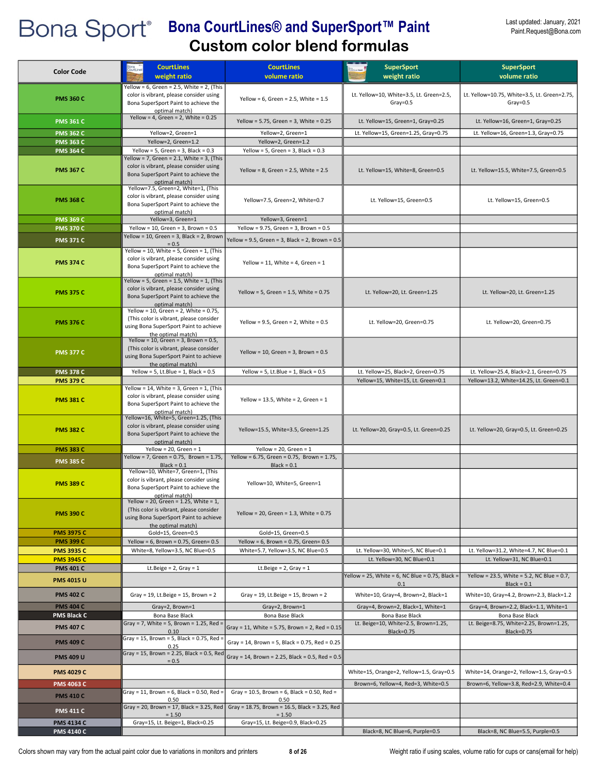| <b>Color Code</b>                      | <b>CourtLines</b><br>weight ratio                                                                                                                                                          | <b>CourtLines</b><br>volume ratio                                               | <b>SuperSport</b><br>weight ratio                                 | <b>SuperSport</b><br>volume ratio                                     |
|----------------------------------------|--------------------------------------------------------------------------------------------------------------------------------------------------------------------------------------------|---------------------------------------------------------------------------------|-------------------------------------------------------------------|-----------------------------------------------------------------------|
| <b>PMS 360 C</b>                       | Yellow = 6, Green = 2.5, White = 2, (This<br>color is vibrant, please consider using<br>Bona SuperSport Paint to achieve the<br>optimal match)                                             | Yellow = $6$ , Green = 2.5, White = 1.5                                         | Lt. Yellow=10, White=3.5, Lt. Green=2.5,<br>$Gray = 0.5$          | Lt. Yellow=10.75, White=3.5, Lt. Green=2.75,<br>$Gray = 0.5$          |
| <b>PMS 361 C</b>                       | Yellow = 4, Green = $2$ , White = 0.25                                                                                                                                                     | Yellow = 5.75, Green = 3, White = $0.25$                                        | Lt. Yellow=15, Green=1, Gray=0.25                                 | Lt. Yellow=16, Green=1, Gray=0.25                                     |
| <b>PMS 362 C</b>                       | Yellow=2, Green=1                                                                                                                                                                          | Yellow=2, Green=1                                                               | Lt. Yellow=15, Green=1.25, Gray=0.75                              | Lt. Yellow=16, Green=1.3, Gray=0.75                                   |
| <b>PMS 363 C</b>                       | Yellow=2, Green=1.2                                                                                                                                                                        | Yellow=2, Green=1.2                                                             |                                                                   |                                                                       |
| <b>PMS 364 C</b>                       | Yellow = 5, Green = 3, Black = $0.3$<br>Yellow = 7, Green = 2.1, White = 3, (This                                                                                                          | Yellow = 5, Green = 3, Black = $0.3$                                            |                                                                   |                                                                       |
| <b>PMS 367 C</b>                       | color is vibrant, please consider using<br>Bona SuperSport Paint to achieve the<br>optimal match)                                                                                          | Yellow = $8$ , Green = $2.5$ , White = $2.5$                                    | Lt. Yellow=15, White=8, Green=0.5                                 | Lt. Yellow=15.5, White=7.5, Green=0.5                                 |
| <b>PMS 368 C</b>                       | Yellow=7.5, Green=2, White=1, (This<br>color is vibrant, please consider using<br>Bona SuperSport Paint to achieve the<br>optimal match)                                                   | Yellow=7.5, Green=2, White=0.7                                                  | Lt. Yellow=15, Green=0.5                                          | Lt. Yellow=15, Green=0.5                                              |
| <b>PMS 369 C</b>                       | Yellow=3, Green=1                                                                                                                                                                          | Yellow=3, Green=1                                                               |                                                                   |                                                                       |
| <b>PMS 370 C</b>                       | Yellow = $10$ , Green = 3, Brown = $0.5$                                                                                                                                                   | Yellow = $9.75$ , Green = $3$ , Brown = $0.5$                                   |                                                                   |                                                                       |
| <b>PMS 371 C</b>                       | Yellow = 10, Green = 3, Black = 2, Brown<br>$= 0.5$                                                                                                                                        | Yellow = 9.5, Green = 3, Black = 2, Brown = 0.5                                 |                                                                   |                                                                       |
| <b>PMS 374 C</b>                       | Yellow = $10$ , White = 5, Green = 1, (This<br>color is vibrant, please consider using<br>Bona SuperSport Paint to achieve the<br>optimal match)                                           | Yellow = 11, White = 4, Green = $1$                                             |                                                                   |                                                                       |
| <b>PMS 375 C</b>                       | Yellow = 5, Green = 1.5, White = 1, (This<br>color is vibrant, please consider using<br>Bona SuperSport Paint to achieve the<br>optimal match)<br>Yellow = 10, Green = 2, White = $0.75$ , | Yellow = 5, Green = $1.5$ , White = 0.75                                        | Lt. Yellow=20, Lt. Green=1.25                                     | Lt. Yellow=20, Lt. Green=1.25                                         |
| <b>PMS 376 C</b>                       | (This color is vibrant, please consider<br>using Bona SuperSport Paint to achieve<br>the optimal match)                                                                                    | Yellow = $9.5$ , Green = $2$ , White = $0.5$                                    | Lt. Yellow=20, Green=0.75                                         | Lt. Yellow=20, Green=0.75                                             |
| <b>PMS 377 C</b>                       | Yellow = 10, Green = 3, Brown = $0.5$ ,<br>(This color is vibrant, please consider<br>using Bona SuperSport Paint to achieve<br>the optimal match)                                         | Yellow = 10, Green = 3, Brown = $0.5$                                           |                                                                   |                                                                       |
| <b>PMS 378 C</b>                       | Yellow = $5$ , Lt.Blue = $1$ , Black = $0.5$                                                                                                                                               | Yellow = 5, Lt.Blue = 1, Black = $0.5$                                          | Lt. Yellow=25, Black=2, Green=0.75                                | Lt. Yellow=25.4, Black=2.1, Green=0.75                                |
| <b>PMS 379 C</b>                       |                                                                                                                                                                                            |                                                                                 | Yellow=15, White=15, Lt. Green=0.1                                | Yellow=13.2, White=14.25, Lt. Green=0.1                               |
| <b>PMS 381 C</b>                       | Yellow = $14$ , White = 3, Green = 1, (This<br>color is vibrant, please consider using<br>Bona SuperSport Paint to achieve the<br>optimal match)                                           | Yellow = 13.5, White = 2, Green = $1$                                           |                                                                   |                                                                       |
| <b>PMS 382 C</b>                       | Yellow=16, White=5, Green=1.25, (This<br>color is vibrant, please consider using<br>Bona SuperSport Paint to achieve the<br>optimal match)                                                 | Yellow=15.5, White=3.5, Green=1.25                                              | Lt. Yellow=20, Gray=0.5, Lt. Green=0.25                           | Lt. Yellow=20, Gray=0.5, Lt. Green=0.25                               |
| <b>PMS 383 C</b>                       | Yellow = 20, Green = $1$                                                                                                                                                                   | Yellow = 20, Green = $1$                                                        |                                                                   |                                                                       |
| <b>PMS 385 C</b>                       | Yellow = 7, Green = 0.75, Brown = 1.75,                                                                                                                                                    | Yellow = 6.75, Green = 0.75, Brown = 1.75,                                      |                                                                   |                                                                       |
| <b>PMS 389 C</b>                       | $Black = 0.1$<br>Yellow=10, White=7, Green=1, (This<br>color is vibrant, please consider using<br>Bona SuperSport Paint to achieve the<br><u>ptimal match)</u>                             | $Black = 0.1$<br>Yellow=10, White=5, Green=1                                    |                                                                   |                                                                       |
| <b>PMS 390 C</b>                       | Yellow = 20, Green = 1.25, White = $1$ ,<br>(This color is vibrant, please consider<br>using Bona SuperSport Paint to achieve<br>the optimal match)                                        | Yellow = 20, Green = $1.3$ , White = $0.75$                                     |                                                                   |                                                                       |
| <b>PMS 3975 C</b>                      | Gold=15, Green=0.5                                                                                                                                                                         | Gold=15, Green=0.5                                                              |                                                                   |                                                                       |
| <b>PMS 399 C</b>                       | Yellow = $6$ , Brown = 0.75, Green= 0.5<br>White=8, Yellow=3.5, NC Blue=0.5                                                                                                                | Yellow = 6, Brown = $0.75$ , Green= $0.5$<br>White=5.7, Yellow=3.5, NC Blue=0.5 |                                                                   |                                                                       |
| <b>PMS 3935 C</b><br><b>PMS 3945 C</b> |                                                                                                                                                                                            |                                                                                 | Lt. Yellow=30, White=5, NC Blue=0.1<br>Lt. Yellow=30, NC Blue=0.1 | Lt. Yellow=31.2, White=4.7, NC Blue=0.1<br>Lt. Yellow=31, NC Blue=0.1 |
| <b>PMS 401 C</b>                       | Lt.Beige = $2$ , Gray = 1                                                                                                                                                                  | Lt.Beige = $2$ , Gray = $1$                                                     |                                                                   |                                                                       |
| <b>PMS 4015 U</b>                      |                                                                                                                                                                                            |                                                                                 | Yellow = 25, White = 6, NC Blue = 0.75, Black =<br>0.1            | Yellow = 23.5, White = 5.2, NC Blue = 0.7,<br>$Black = 0.1$           |
| <b>PMS 402 C</b>                       | Gray = 19, Lt.Beige = 15, Brown = $2$                                                                                                                                                      | Gray = $19$ , Lt.Beige = $15$ , Brown = $2$                                     | White=10, Gray=4, Brown=2, Black=1                                | White=10, Gray=4.2, Brown=2.3, Black=1.2                              |
| <b>PMS 404 C</b>                       | Gray=2, Brown=1                                                                                                                                                                            | Gray=2, Brown=1                                                                 | Gray=4, Brown=2, Black=1, White=1                                 | Gray=4, Brown=2.2, Black=1.1, White=1                                 |
| <b>PMS Black C</b>                     | Bona Base Black                                                                                                                                                                            | Bona Base Black                                                                 | Bona Base Black                                                   | Bona Base Black                                                       |
| <b>PMS 407 C</b>                       | Gray = 7, White = 5, Brown = 1.25, Red =<br>0.10                                                                                                                                           | Gray = 11, White = 5.75, Brown = 2, Red = $0.15$                                | Lt. Beige=10, White=2.5, Brown=1.25,<br>Black=0.75                | Lt. Beige=8.75, White=2.25, Brown=1.25,<br>Black=0.75                 |
| <b>PMS 409 C</b>                       | Gray = 15, Brown = 5, Black = 0.75, Red =<br>0.25                                                                                                                                          | Gray = 14, Brown = 5, Black = 0.75, Red = 0.25                                  |                                                                   |                                                                       |
| <b>PMS 409 U</b>                       | Gray = 15, Brown = 2.25, Black = 0.5, Red<br>$= 0.5$                                                                                                                                       | Gray = 14, Brown = 2.25, Black = 0.5, Red = $0.5$                               |                                                                   |                                                                       |
| <b>PMS 4029 C</b>                      |                                                                                                                                                                                            |                                                                                 | White=15, Orange=2, Yellow=1.5, Gray=0.5                          | White=14, Orange=2, Yellow=1.5, Gray=0.5                              |
| <b>PMS 4063 C</b>                      |                                                                                                                                                                                            |                                                                                 | Brown=6, Yellow=4, Red=3, White=0.5                               | Brown=6, Yellow=3.8, Red=2.9, White=0.4                               |
| <b>PMS 410 C</b>                       | Gray = 11, Brown = 6, Black = 0.50, Red =<br>0.50                                                                                                                                          | Gray = 10.5, Brown = 6, Black = 0.50, Red =<br>0.50                             |                                                                   |                                                                       |
| <b>PMS 411 C</b>                       | Gray = 20, Brown = 17, Black = 3.25, Red<br>$= 1.50$                                                                                                                                       | Gray = 18.75, Brown = 16.5, Black = 3.25, Red<br>$= 1.50$                       |                                                                   |                                                                       |
| <b>PMS 4134 C</b>                      | Gray=15, Lt. Beige=1, Black=0.25                                                                                                                                                           | Gray=15, Lt. Beige=0.9, Black=0.25                                              |                                                                   |                                                                       |
| <b>PMS 4140 C</b>                      |                                                                                                                                                                                            |                                                                                 | Black=8, NC Blue=6, Purple=0.5                                    | Black=8, NC Blue=5.5, Purple=0.5                                      |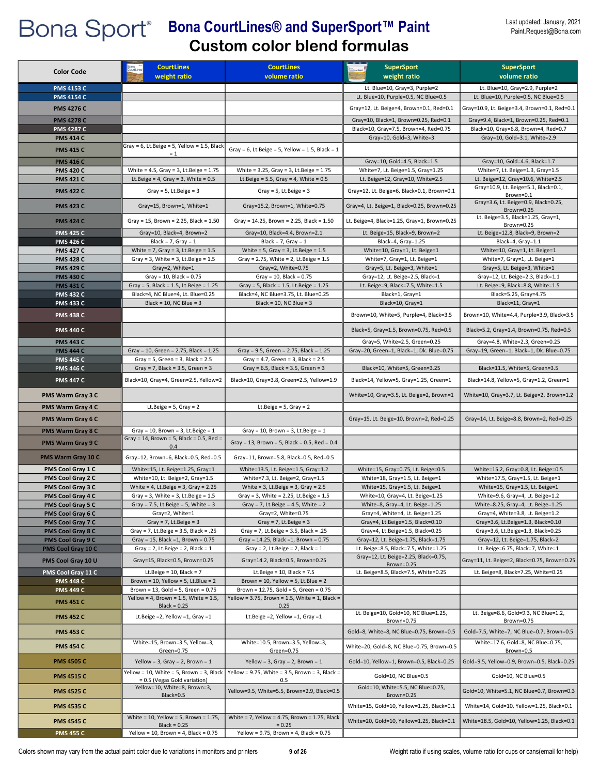| <b>Color Code</b>                      | <b>CourtLines</b><br>weight ratio                                                              | <b>CourtLines</b><br>volume ratio                                                                 | <b>SuperSport</b><br>weight ratio                                     | <b>SuperSport</b><br>volume ratio                                              |
|----------------------------------------|------------------------------------------------------------------------------------------------|---------------------------------------------------------------------------------------------------|-----------------------------------------------------------------------|--------------------------------------------------------------------------------|
|                                        |                                                                                                |                                                                                                   | Lt. Blue=10, Gray=3, Purple=2                                         | Lt. Blue=10, Gray=2.9, Purple=2                                                |
| <b>PMS 4153 C</b><br><b>PMS 4154 C</b> |                                                                                                |                                                                                                   | Lt. Blue=10, Purple=0.5, NC Blue=0.5                                  | Lt. Blue=10, Purple=0.5, NC Blue=0.5                                           |
|                                        |                                                                                                |                                                                                                   |                                                                       |                                                                                |
| <b>PMS 4276 C</b>                      |                                                                                                |                                                                                                   | Gray=12, Lt. Beige=4, Brown=0.1, Red=0.1                              | Gray=10.9, Lt. Beige=3.4, Brown=0.1, Red=0.1                                   |
| <b>PMS 4278 C</b>                      |                                                                                                |                                                                                                   | Gray=10, Black=1, Brown=0.25, Red=0.1                                 | Gray=9.4, Black=1, Brown=0.25, Red=0.1<br>Black=10, Gray=6.8, Brown=4, Red=0.7 |
| <b>PMS 4287 C</b><br><b>PMS 414 C</b>  |                                                                                                |                                                                                                   | Black=10, Gray=7.5, Brown=4, Red=0.75<br>Gray=10, Gold=3, White=3     | Gray=10, Gold=3.1, White=2.9                                                   |
|                                        | Gray = 6, Lt.Beige = 5, Yellow = 1.5, Black                                                    |                                                                                                   |                                                                       |                                                                                |
| <b>PMS 415 C</b>                       | $= 1$                                                                                          | Gray = 6, Lt.Beige = 5, Yellow = 1.5, Black = 1                                                   |                                                                       |                                                                                |
| <b>PMS 416 C</b>                       |                                                                                                |                                                                                                   | Gray=10, Gold=4.5, Black=1.5                                          | Gray=10, Gold=4.6, Black=1.7                                                   |
| <b>PMS 420 C</b><br><b>PMS 421 C</b>   | White = $4.5$ , Gray = $3$ , Lt. Beige = $1.75$<br>Lt.Beige = $4$ , Gray = $3$ , White = $0.5$ | White = $3.25$ , Gray = $3$ , Lt. Beige = $1.75$<br>Lt.Beige = $5.5$ , Gray = $4$ , White = $0.5$ | White=7, Lt. Beige=1.5, Gray=1.25<br>Lt. Beige=12, Gray=10, White=2.5 | White=7, Lt. Beige=1.3, Gray=1.5<br>Lt. Beige=12, Gray=10.6, White=2.5         |
|                                        |                                                                                                |                                                                                                   |                                                                       | Gray=10.9, Lt. Beige=5.1, Black=0.1,                                           |
| <b>PMS 422 C</b>                       | Gray = $5$ , Lt.Beige = $3$                                                                    | Gray = $5$ , Lt. Beige = $3$                                                                      | Gray=12, Lt. Beige=6, Black=0.1, Brown=0.1                            | Brown=0.1                                                                      |
| <b>PMS 423 C</b>                       | Gray=15, Brown=1, White=1                                                                      | Gray=15.2, Brown=1, White=0.75                                                                    | Gray=4, Lt. Beige=1, Black=0.25, Brown=0.25                           | Gray=3.6, Lt. Beige=0.9, Black=0.25,<br>Brown=0.25                             |
| <b>PMS 424 C</b>                       | Gray = 15, Brown = 2.25, Black = $1.50$                                                        | Gray = 14.25, Brown = 2.25, Black = 1.50                                                          | Lt. Beige=4, Black=1.25, Gray=1, Brown=0.25                           | Lt. Beige=3.5, Black=1.25, Gray=1,<br>Brown=0.25                               |
| <b>PMS 425 C</b>                       | Gray=10, Black=4, Brown=2                                                                      | Gray=10, Black=4.4, Brown=2.1                                                                     | Lt. Beige=15, Black=9, Brown=2                                        | Lt. Beige=12.8, Black=9, Brown=2                                               |
| <b>PMS 426 C</b>                       | Black = $7$ , Gray = 1                                                                         | Black = $7$ , Gray = 1                                                                            | Black=4, Gray=1.25                                                    | Black=4, Gray=1.1                                                              |
| <b>PMS 427 C</b><br><b>PMS 428 C</b>   | White = $7$ , Gray = $3$ , Lt. Beige = $1.5$<br>Gray = 3, White = 3, Lt. Beige = $1.5$         | White = $5$ , Gray = $3$ , Lt. Beige = $1.5$<br>Gray = 2.75, White = 2, Lt. Beige = $1.5$         | White=10, Gray=1, Lt. Beige=1<br>White=7, Gray=1, Lt. Beige=1         | White=10, Gray=1, Lt. Beige=1<br>White=7, Gray=1, Lt. Beige=1                  |
| <b>PMS 429 C</b>                       | Gray=2, White=1                                                                                | Gray=2, White=0.75                                                                                | Gray=5, Lt. Beige=3, White=1                                          | Gray=5, Lt. Beige=3, White=1                                                   |
| <b>PMS 430 C</b>                       | Gray = $10$ , Black = $0.75$                                                                   | Gray = $10$ , Black = $0.75$                                                                      | Gray=12, Lt. Beige=2.5, Black=1                                       | Gray=12, Lt. Beige=2.3, Black=1.1                                              |
| <b>PMS 431 C</b>                       | Gray = 5, Black = $1.5$ , Lt. Beige = $1.25$                                                   | Gray = 5, Black = 1.5, Lt. Beige = $1.25$                                                         | Lt. Beige=9, Black=7.5, White=1.5                                     | Lt. Beige=9, Black=8.8, White=1.5                                              |
| <b>PMS 432 C</b>                       | Black=4, NC Blue=4, Lt. Blue=0.25                                                              | Black=4, NC Blue=3.75, Lt. Blue=0.25                                                              | Black=1, Gray=1                                                       | Black=5.25, Gray=4.75                                                          |
| <b>PMS 433 C</b>                       | Black = $10$ , NC Blue = $3$                                                                   | Black = $10$ , NC Blue = $3$                                                                      | Black=10, Gray=1                                                      | Black=11, Gray=1                                                               |
| <b>PMS 438 C</b>                       |                                                                                                |                                                                                                   | Brown=10, White=5, Purple=4, Black=3.5                                | Brown=10, White=4.4, Purple=3.9, Black=3.5                                     |
| <b>PMS 440 C</b>                       |                                                                                                |                                                                                                   | Black=5, Gray=1.5, Brown=0.75, Red=0.5                                | Black=5.2, Gray=1.4, Brown=0.75, Red=0.5                                       |
| <b>PMS 443 C</b>                       |                                                                                                |                                                                                                   | Gray=5, White=2.5, Green=0.25                                         | Gray=4.8, White=2.3, Green=0.25                                                |
| <b>PMS 444 C</b>                       | Gray = 10, Green = 2.75, Black = $1.25$                                                        | Gray = 9.5, Green = 2.75, Black = $1.25$                                                          | Gray=20, Green=1, Black=1, Dk. Blue=0.75                              | Gray=19, Green=1, Black=1, Dk. Blue=0.75                                       |
| <b>PMS 445 C</b><br><b>PMS 446 C</b>   | Gray = 5, Green = 3, Black = $2.5$<br>Gray = 7, Black = $3.5$ , Green = $3$                    | Gray = $4.7$ , Green = $3$ , Black = $2.5$<br>Gray = $6.5$ , Black = $3.5$ , Green = $3$          | Black=10, White=5, Green=3.25                                         | Black=11.5, White=5, Green=3.5                                                 |
| <b>PMS 447 C</b>                       | Black=10, Gray=4, Green=2.5, Yellow=2                                                          | Black=10, Gray=3.8, Green=2.5, Yellow=1.9                                                         | Black=14, Yellow=5, Gray=1.25, Green=1                                | Black=14.8, Yellow=5, Gray=1.2, Green=1                                        |
|                                        |                                                                                                |                                                                                                   |                                                                       | White=10, Gray=3.7, Lt. Beige=2, Brown=1.2                                     |
| PMS Warm Gray 3 C                      |                                                                                                |                                                                                                   | White=10, Gray=3.5, Lt. Beige=2, Brown=1                              |                                                                                |
| PMS Warm Gray 4 C                      | Lt.Beige = $5$ , Gray = $2$                                                                    | Lt.Beige = $5$ , Gray = 2                                                                         |                                                                       |                                                                                |
| PMS Warm Gray 6 C                      |                                                                                                |                                                                                                   | Gray=15, Lt. Beige=10, Brown=2, Red=0.25                              | Gray=14, Lt. Beige=8.8, Brown=2, Red=0.25                                      |
| PMS Warm Gray 8 C                      | Gray = 10, Brown = 3, Lt. Beige = $1$                                                          | Gray = 10, Brown = 3, Lt. Beige = $1$                                                             |                                                                       |                                                                                |
| PMS Warm Gray 9 C                      | Gray = 14, Brown = 5, Black = $0.5$ , Red =<br>0.4                                             | Gray = 13, Brown = 5, Black = 0.5, Red = $0.4$                                                    |                                                                       |                                                                                |
| PMS Warm Gray 10 C                     | Gray=12, Brown=6, Black=0.5, Red=0.5                                                           | Gray=11, Brown=5.8, Black=0.5, Red=0.5                                                            |                                                                       |                                                                                |
| PMS Cool Gray 1 C                      | White=15, Lt. Beige=1.25, Gray=1                                                               | White=13.5, Lt. Beige=1.5, Gray=1.2                                                               | White=15, Gray=0.75, Lt. Beige=0.5                                    | White=15.2, Gray=0.8, Lt. Beige=0.5                                            |
| PMS Cool Gray 2 C                      | White=10, Lt. Beige=2, Gray=1.5                                                                | White=7.3, Lt. Beige=2, Gray=1.5                                                                  | White=18, Gray=1.5, Lt. Beige=1                                       | White=17.5, Gray=1.5, Lt. Beige=1                                              |
| PMS Cool Gray 3 C                      | White = 4, Lt. Beige = 3, Gray = $2.25$                                                        | White = $3$ , Lt. Beige = $3$ , Gray = $2.5$                                                      | White=15, Gray=1.5, Lt. Beige=1                                       | White=15, Gray=1.5, Lt. Beige=1                                                |
| PMS Cool Gray 4 C                      | Gray = 3, White = 3, Lt. Beige = $1.5$                                                         | Gray = 3, White = 2.25, Lt. Beige = $1.5$<br>Gray = 7, Lt.Beige = 4.5, White = $2$                | White=10, Gray=4, Lt. Beige=1.25                                      | White=9.6, Gray=4, Lt. Beige=1.2                                               |
| PMS Cool Gray 5 C<br>PMS Cool Gray 6 C | Gray = 7.5, Lt. Beige = 5, White = 3<br>Gray=2, White=1                                        | Gray=2, White=0.75                                                                                | White=8, Gray=4, Lt. Beige=1.25<br>Gray=4, White=4, Lt. Beige=1.25    | White=8.25, Gray=4, Lt. Beige=1.25<br>Gray=4, White=3.8, Lt. Beige=1.2         |
| PMS Cool Gray 7 C                      | Gray = $7$ , Lt.Beige = $3$                                                                    | Gray = $7$ , Lt.Beige = $3$                                                                       | Gray=4, Lt.Beige=1.5, Black=0.10                                      | Gray=3.6, Lt.Beige=1.3, Black=0.10                                             |
| PMS Cool Gray 8 C                      | Gray = 7, Lt.Beige = $3.5$ , Black = .25                                                       | Gray = 7, Lt.Beige = $3.5$ , Black = .25                                                          | Gray=4, Lt.Beige=1.5, Black=0.25                                      | Gray=3.6, Lt.Beige=1.3, Black=0.25                                             |
| PMS Cool Gray 9 C                      | Gray = 15, Black = 1, Brown = $0.75$                                                           | Gray = 14.25, Black =1, Brown = 0.75                                                              | Gray=12, Lt. Beige=1.75, Black=1.75                                   | Gray=12, Lt. Beige=1.75, Black=2                                               |
| PMS Cool Gray 10 C                     | Gray = 2, Lt.Beige = 2, Black = $1$                                                            | Gray = 2, Lt.Beige = 2, Black = $1$                                                               | Lt. Beige=8.5, Black=7.5, White=1.25                                  | Lt. Beige=6.75, Black=7, White=1                                               |
| PMS Cool Gray 10 U                     | Gray=15, Black=0.5, Brown=0.25                                                                 | Gray=14.2, Black=0.5, Brown=0.25                                                                  | Gray=12, Lt. Beige=2.25, Black=0.75,<br>Brown=0.25                    | Gray=11, Lt. Beige=2, Black=0.75, Brown=0.25                                   |
| PMS Cool Gray 11 C                     | Lt.Beige = $10$ , Black = $7$                                                                  | Lt.Beige = $10$ , Black = $7.5$                                                                   | Lt. Beige=8.5, Black=7.5, White=0.25                                  | Lt. Beige=8, Black=7.25, White=0.25                                            |
| <b>PMS 448 C</b><br><b>PMS 449 C</b>   | Brown = $10$ , Yellow = $5$ , Lt.Blue = $2$<br>Brown = $13$ , Gold = $5$ , Green = $0.75$      | Brown = $10$ , Yellow = $5$ , Lt.Blue = $2$<br>Brown = $12.75$ , Gold = $5$ , Green = $0.75$      |                                                                       |                                                                                |
| <b>PMS 451 C</b>                       | Yellow = 4, Brown = $1.5$ , White = $1.5$ ,                                                    | Yellow = 3.75, Brown = 1.5, White = 1, Black =                                                    |                                                                       |                                                                                |
| <b>PMS 452 C</b>                       | $Black = 0.25$<br>Lt.Beige = 2, Yellow = 1, Gray = 1                                           | 0.25<br>Lt.Beige = 2, Yellow = 1, Gray = 1                                                        | Lt. Beige=10, Gold=10, NC Blue=1.25,                                  | Lt. Beige=8.6, Gold=9.3, NC Blue=1.2,                                          |
|                                        |                                                                                                |                                                                                                   | Brown=0.75<br>Gold=8, White=8, NC Blue=0.75, Brown=0.5                | Brown=0.75<br>Gold=7.5, White=7, NC Blue=0.7, Brown=0.5                        |
| <b>PMS 453 C</b>                       | White=15, Brown=3.5, Yellow=3,                                                                 | White=10.5, Brown=3.5, Yellow=3,                                                                  |                                                                       | White=17.6, Gold=8, NC Blue=0.75,                                              |
| <b>PMS 454 C</b>                       | Green=0.75                                                                                     | Green=0.75                                                                                        | White=20, Gold=8, NC Blue=0.75, Brown=0.5                             | Brown=0.5                                                                      |
| <b>PMS 4505 C</b>                      | Yellow = $3$ , Gray = $2$ , Brown = $1$<br>Yellow = 10, White = 5, Brown = 3, Black            | Yellow = 3, Gray = 2, Brown = $1$<br>Yellow = 9.75, White = 3.5, Brown = 3, Black =               | Gold=10, Yellow=1, Brown=0.5, Black=0.25                              | Gold=9.5, Yellow=0.9, Brown=0.5, Black=0.25                                    |
| <b>PMS 4515 C</b>                      | = 0.5 (Vegas Gold variation)<br>Yellow=10, White=8, Brown=3,                                   | 0.5                                                                                               | Gold=10, NC Blue=0.5<br>Gold=10, White=5.5, NC Blue=0.75,             | Gold=10, NC Blue=0.5                                                           |
| <b>PMS 4525 C</b>                      | Black=0.5                                                                                      | Yellow=9.5, White=5.5, Brown=2.9, Black=0.5                                                       | Brown=0.25                                                            | Gold=10, White=5.1, NC Blue=0.7, Brown=0.3                                     |
| <b>PMS 4535 C</b>                      |                                                                                                |                                                                                                   | White=15, Gold=10, Yellow=1.25, Black=0.1                             | White=14, Gold=10, Yellow=1.25, Black=0.1                                      |
| <b>PMS 4545 C</b>                      | White = $10$ , Yellow = $5$ , Brown = $1.75$ ,<br>$Black = 0.25$                               | White = 7, Yellow = 4.75, Brown = 1.75, Black<br>$= 0.25$                                         | White=20, Gold=10, Yellow=1.25, Black=0.1                             | White=18.5, Gold=10, Yellow=1.25, Black=0.1                                    |
| <b>PMS 455 C</b>                       | Yellow = 10, Brown = 4, Black = $0.75$                                                         | Yellow = 9.75, Brown = 4, Black = $0.75$                                                          |                                                                       |                                                                                |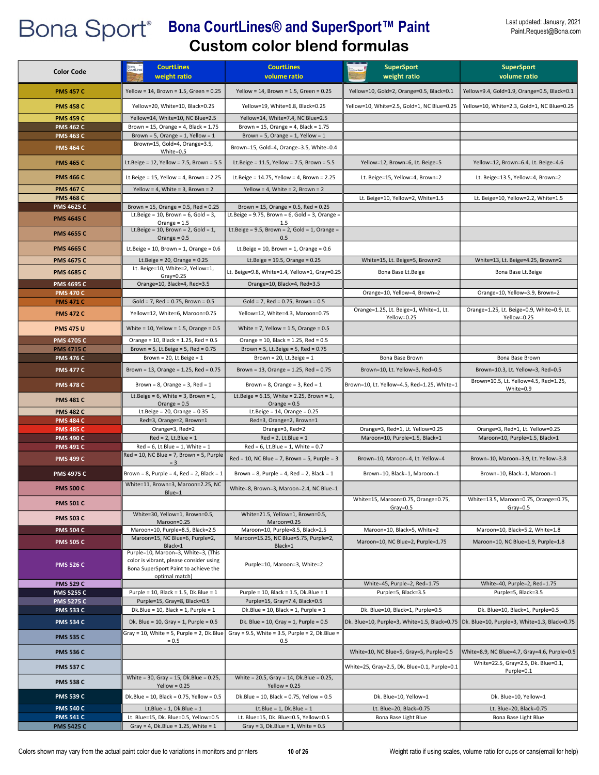| <b>Color Code</b>                    | <b>CourtLines</b><br>weight ratio                                                                                      | <b>CourtLines</b><br>volume ratio                                                      | <b>SuperSport</b><br>weight ratio                     | <b>SuperSport</b><br>volume ratio                                          |
|--------------------------------------|------------------------------------------------------------------------------------------------------------------------|----------------------------------------------------------------------------------------|-------------------------------------------------------|----------------------------------------------------------------------------|
| <b>PMS 457 C</b>                     | Yellow = 14, Brown = 1.5, Green = $0.25$                                                                               | Yellow = 14, Brown = 1.5, Green = $0.25$                                               | Yellow=10, Gold=2, Orange=0.5, Black=0.1              | Yellow=9.4, Gold=1.9, Orange=0.5, Black=0.1                                |
| <b>PMS 458 C</b>                     | Yellow=20, White=10, Black=0.25                                                                                        | Yellow=19, White=6.8, Black=0.25                                                       | Yellow=10, White=2.5, Gold=1, NC Blue=0.25            | Yellow=10, White=2.3, Gold=1, NC Blue=0.25                                 |
| <b>PMS 459 C</b>                     | Yellow=14, White=10, NC Blue=2.5                                                                                       | Yellow=14, White=7.4, NC Blue=2.5                                                      |                                                       |                                                                            |
| <b>PMS 462 C</b>                     | Brown = $15$ , Orange = $4$ , Black = $1.75$                                                                           | Brown = $15$ , Orange = $4$ , Black = $1.75$                                           |                                                       |                                                                            |
| <b>PMS 463 C</b>                     | Brown = 5, Orange = 1, Yellow = $1$                                                                                    | Brown = 5, Orange = 1, Yellow = $1$                                                    |                                                       |                                                                            |
| <b>PMS 464 C</b>                     | Brown=15, Gold=4, Orange=3.5,<br>White=0.5                                                                             | Brown=15, Gold=4, Orange=3.5, White=0.4                                                |                                                       |                                                                            |
| <b>PMS 465 C</b>                     | Lt.Beige = $12$ , Yellow = 7.5, Brown = $5.5$                                                                          | Lt.Beige = $11.5$ , Yellow = 7.5, Brown = 5.5                                          | Yellow=12, Brown=6, Lt. Beige=5                       | Yellow=12, Brown=6.4, Lt. Beige=4.6                                        |
| <b>PMS 466 C</b>                     | Lt.Beige = $15$ , Yellow = 4, Brown = $2.25$                                                                           | Lt.Beige = 14.75, Yellow = 4, Brown = 2.25                                             | Lt. Beige=15, Yellow=4, Brown=2                       | Lt. Beige=13.5, Yellow=4, Brown=2                                          |
| <b>PMS 467 C</b>                     | Yellow = 4, White = 3, Brown = $2$                                                                                     | Yellow = 4, White = 2, Brown = $2$                                                     |                                                       |                                                                            |
| <b>PMS 468 C</b>                     |                                                                                                                        |                                                                                        | Lt. Beige=10, Yellow=2, White=1.5                     | Lt. Beige=10, Yellow=2.2, White=1.5                                        |
| <b>PMS 4625 C</b>                    | Brown = 15, Orange = $0.5$ , Red = $0.25$                                                                              | Brown = 15, Orange = $0.5$ , Red = $0.25$                                              |                                                       |                                                                            |
| <b>PMS 4645 C</b>                    | Lt.Beige = $10$ , Brown = $6$ , Gold = $3$ ,                                                                           | Lt.Beige = $9.75$ , Brown = $6$ , Gold = $3$ , Orange =                                |                                                       |                                                                            |
| <b>PMS 4655 C</b>                    | Orange = $1.5$<br>Lt.Beige = $10$ , Brown = $2$ , Gold = $1$ ,<br>Orange = $0.5$                                       | 1.5<br>Lt.Beige = $9.5$ , Brown = $2$ , Gold = $1$ , Orange =<br>0.5                   |                                                       |                                                                            |
| <b>PMS 4665 C</b>                    | Lt.Beige = $10$ , Brown = $1$ , Orange = $0.6$                                                                         | Lt.Beige = $10$ , Brown = $1$ , Orange = $0.6$                                         |                                                       |                                                                            |
| <b>PMS 4675 C</b>                    | Lt.Beige = $20$ , Orange = $0.25$                                                                                      | Lt.Beige = $19.5$ , Orange = $0.25$                                                    | White=15, Lt. Beige=5, Brown=2                        | White=13, Lt. Beige=4.25, Brown=2                                          |
| <b>PMS 4685 C</b>                    | Lt. Beige=10, White=2, Yellow=1,                                                                                       |                                                                                        |                                                       |                                                                            |
|                                      | $Gray = 0.25$                                                                                                          | Lt. Beige=9.8, White=1.4, Yellow=1, Gray=0.25                                          | Bona Base Lt.Beige                                    | Bona Base Lt.Beige                                                         |
| <b>PMS 4695 C</b>                    | Orange=10, Black=4, Red=3.5                                                                                            | Orange=10, Black=4, Red=3.5                                                            |                                                       |                                                                            |
| <b>PMS 470 C</b>                     |                                                                                                                        |                                                                                        | Orange=10, Yellow=4, Brown=2                          | Orange=10, Yellow=3.9, Brown=2                                             |
| <b>PMS 471 C</b>                     | Gold = 7, Red = $0.75$ , Brown = $0.5$                                                                                 | Gold = 7, Red = $0.75$ , Brown = $0.5$                                                 |                                                       | Orange=1.25, Lt. Beige=0.9, White=0.9, Lt.                                 |
| <b>PMS 472 C</b>                     | Yellow=12, White=6, Maroon=0.75                                                                                        | Yellow=12, White=4.3, Maroon=0.75                                                      | Orange=1.25, Lt. Beige=1, White=1, Lt.<br>Yellow=0.25 | Yellow=0.25                                                                |
| <b>PMS 475 U</b>                     | White = 10, Yellow = 1.5, Orange = $0.5$                                                                               | White = 7, Yellow = 1.5, Orange = $0.5$                                                |                                                       |                                                                            |
| <b>PMS 4705 C</b>                    | Orange = 10, Black = 1.25, Red = 0.5                                                                                   | Orange = 10, Black = 1.25, Red = 0.5                                                   |                                                       |                                                                            |
| <b>PMS 4715 C</b>                    | Brown = 5, Lt.Beige = 5, Red = $0.75$                                                                                  | Brown = $5$ , Lt.Beige = $5$ , Red = 0.75                                              |                                                       |                                                                            |
| <b>PMS 476 C</b>                     | Brown = $20$ , Lt.Beige = $1$                                                                                          | Brown = $20$ , Lt. Beige = $1$                                                         | Bona Base Brown                                       | Bona Base Brown                                                            |
| <b>PMS 477 C</b>                     | Brown = 13, Orange = 1.25, Red = $0.75$                                                                                | Brown = 13, Orange = 1.25, Red = $0.75$                                                | Brown=10, Lt. Yellow=3, Red=0.5                       | Brown=10.3, Lt. Yellow=3, Red=0.5<br>Brown=10.5, Lt. Yellow=4.5, Red=1.25, |
| <b>PMS 478 C</b>                     | Brown = $8$ , Orange = $3$ , Red = $1$<br>Lt.Beige = $6$ , White = $3$ , Brown = $1$ ,                                 | Brown = $8$ , Orange = $3$ , Red = $1$<br>Lt.Beige = $6.15$ , White = 2.25, Brown = 1, | Brown=10, Lt. Yellow=4.5, Red=1.25, White=1           | White=0.9                                                                  |
| <b>PMS 481 C</b>                     | Orange = $0.5$                                                                                                         | Orange = $0.5$                                                                         |                                                       |                                                                            |
| <b>PMS 482 C</b>                     | Lt.Beige = $20$ , Orange = $0.35$                                                                                      | Lt.Beige = $14$ , Orange = $0.25$                                                      |                                                       |                                                                            |
| <b>PMS 484 C</b><br><b>PMS 485 C</b> | Red=3, Orange=2, Brown=1<br>Orange=3, Red=2                                                                            | Red=3, Orange=2, Brown=1<br>Orange=3, Red=2                                            | Orange=3, Red=1, Lt. Yellow=0.25                      | Orange=3, Red=1, Lt. Yellow=0.25                                           |
| <b>PMS 490 C</b>                     | $Red = 2$ , Lt.Blue = 1                                                                                                | $Red = 2$ , Lt.Blue = 1                                                                | Maroon=10, Purple=1.5, Black=1                        | Maroon=10, Purple=1.5, Black=1                                             |
| <b>PMS 491 C</b>                     | $Red = 6$ , Lt.Blue = 1, White = 1                                                                                     | $Red = 6$ , Lt.Blue = 1, White = 0.7                                                   |                                                       |                                                                            |
| <b>PMS 499 C</b>                     | $Red = 10$ , NC Blue = 7, Brown = 5, Purple<br>$= 3$                                                                   | $Red = 10$ , NC Blue = 7, Brown = 5, Purple = 3                                        | Brown=10, Maroon=4, Lt. Yellow=4                      | Brown=10, Maroon=3.9, Lt. Yellow=3.8                                       |
| <b>PMS 4975 C</b>                    | Brown = 8, Purple = 4, Red = 2, Black = 1                                                                              | Brown = 8, Purple = 4, Red = 2, Black = $1$                                            | Brown=10, Black=1, Maroon=1                           | Brown=10, Black=1, Maroon=1                                                |
| <b>PMS 500 C</b>                     | White=11, Brown=3, Maroon=2.25, NC                                                                                     | White=8, Brown=3, Maroon=2.4, NC Blue=1                                                |                                                       |                                                                            |
| <b>PMS 501 C</b>                     | Blue=1                                                                                                                 |                                                                                        | White=15, Maroon=0.75, Orange=0.75,                   | White=13.5, Maroon=0.75, Orange=0.75,                                      |
|                                      | White=30, Yellow=1, Brown=0.5,                                                                                         | White=21.5, Yellow=1, Brown=0.5,                                                       | $Gray = 0.5$                                          | $Gray=0.5$                                                                 |
| <b>PMS 503 C</b>                     | Maroon=0.25                                                                                                            | Maroon=0.25                                                                            |                                                       |                                                                            |
| <b>PMS 504 C</b>                     | Maroon=10, Purple=8.5, Black=2.5                                                                                       | Maroon=10, Purple=8.5, Black=2.5                                                       | Maroon=10, Black=5, White=2                           | Maroon=10, Black=5.2, White=1.8                                            |
| <b>PMS 505 C</b>                     | Maroon=15, NC Blue=6, Purple=2,<br>Black=1                                                                             | Maroon=15.25, NC Blue=5.75, Purple=2,<br>Black=1                                       | Maroon=10, NC Blue=2, Purple=1.75                     | Maroon=10, NC Blue=1.9, Purple=1.8                                         |
| <b>PMS 526 C</b>                     | Purple=10, Maroon=3, White=3, (This<br>color is vibrant, please consider using<br>Bona SuperSport Paint to achieve the | Purple=10, Maroon=3, White=2                                                           |                                                       |                                                                            |
| <b>PMS 529 C</b>                     | optimal match)                                                                                                         |                                                                                        | White=45, Purple=2, Red=1.75                          | White=40, Purple=2, Red=1.75                                               |
| <b>PMS 5255 C</b>                    | Purple = 10, Black = 1.5, Dk.Blue = $1$                                                                                | Purple = 10, Black = 1.5, Dk.Blue = 1                                                  | Purple=5, Black=3.5                                   | Purple=5, Black=3.5                                                        |
| <b>PMS 5275 C</b>                    | Purple=15, Gray=8, Black=0.5                                                                                           | Purple=15, Gray=7.4, Black=0.5                                                         |                                                       |                                                                            |
| <b>PMS 533 C</b>                     | Dk.Blue = 10, Black = 1, Purple = $1$                                                                                  | Dk.Blue = 10, Black = 1, Purple = $1$                                                  | Dk. Blue=10, Black=1, Purple=0.5                      | Dk. Blue=10, Black=1, Purple=0.5                                           |
| <b>PMS 534 C</b>                     | Dk. Blue = $10$ , Gray = $1$ , Purple = $0.5$                                                                          | Dk. Blue = $10$ , Gray = $1$ , Purple = $0.5$                                          | Dk. Blue=10, Purple=3, White=1.5, Black=0.75          | Dk. Blue=10, Purple=3, White=1.3, Black=0.75                               |
| <b>PMS 535 C</b>                     | Gray = 10, White = 5, Purple = 2, Dk.Blue<br>$= 0.5$                                                                   | Gray = $9.5$ , White = $3.5$ , Purple = $2$ , Dk. Blue =<br>0.5                        |                                                       |                                                                            |
| <b>PMS 536 C</b>                     |                                                                                                                        |                                                                                        | White=10, NC Blue=5, Gray=5, Purple=0.5               | White=8.9, NC Blue=4.7, Gray=4.6, Purple=0.5                               |
| <b>PMS 537 C</b>                     |                                                                                                                        |                                                                                        | White=25, Gray=2.5, Dk. Blue=0.1, Purple=0.1          | White=22.5, Gray=2.5, Dk. Blue=0.1,<br>Purple=0.1                          |
| <b>PMS 538 C</b>                     | White = 30, Gray = 15, Dk.Blue = 0.25,<br>$Yellow = 0.25$                                                              | White = 20.5, Gray = 14, Dk.Blue = 0.25,<br>$Yellow = 0.25$                            |                                                       |                                                                            |
| <b>PMS 539 C</b>                     | Dk.Blue = $10$ , Black = $0.75$ , Yellow = $0.5$                                                                       | Dk.Blue = 10, Black = $0.75$ , Yellow = $0.5$                                          | Dk. Blue=10, Yellow=1                                 | Dk. Blue=10, Yellow=1                                                      |
| <b>PMS 540 C</b>                     | Lt.Blue = $1$ , Dk.Blue = $1$                                                                                          | Lt.Blue = $1$ , Dk.Blue = $1$                                                          | Lt. Blue=20, Black=0.75                               | Lt. Blue=20, Black=0.75                                                    |
| <b>PMS 541 C</b>                     | Lt. Blue=15, Dk. Blue=0.5, Yellow=0.5                                                                                  | Lt. Blue=15, Dk. Blue=0.5, Yellow=0.5                                                  | Bona Base Light Blue                                  | Bona Base Light Blue                                                       |
| <b>PMS 5425 C</b>                    | Gray = 4, Dk.Blue = 1.25, White = $1$                                                                                  | Gray = $3$ , Dk.Blue = $1$ , White = $0.5$                                             |                                                       |                                                                            |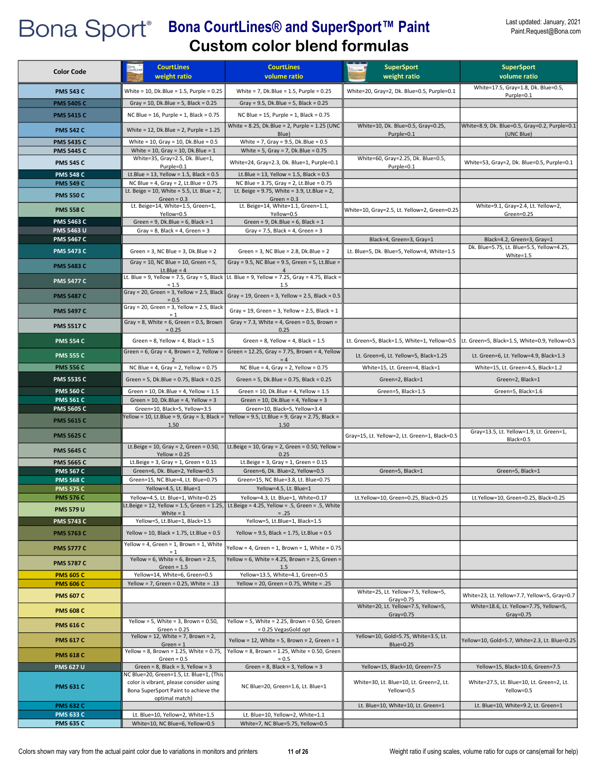| <b>Color Code</b>                    | <b>CourtLines</b>                                                               | <b>CourtLines</b>                                                                                    | <b>SuperSport</b>                                     | <b>SuperSport</b>                                           |
|--------------------------------------|---------------------------------------------------------------------------------|------------------------------------------------------------------------------------------------------|-------------------------------------------------------|-------------------------------------------------------------|
|                                      | weight ratio                                                                    | volume ratio                                                                                         | weight ratio                                          | volume ratio                                                |
| <b>PMS 543 C</b>                     | White = 10, Dk.Blue = 1.5, Purple = 0.25                                        | White = $7$ , Dk.Blue = 1.5, Purple = 0.25                                                           | White=20, Gray=2, Dk. Blue=0.5, Purple=0.1            | White=17.5, Gray=1.8, Dk. Blue=0.5,                         |
| <b>PMS 5405 C</b>                    | Gray = 10, Dk.Blue = 5, Black = $0.25$                                          | Gray = $9.5$ , Dk.Blue = $5$ , Black = $0.25$                                                        |                                                       | Purple=0.1                                                  |
| <b>PMS 5415 C</b>                    | NC Blue = $16$ , Purple = $1$ , Black = 0.75                                    | NC Blue = 15, Purple = 1, Black = $0.75$                                                             |                                                       |                                                             |
|                                      |                                                                                 | White = $8.25$ , Dk.Blue = $2$ , Purple = $1.25$ (UNC                                                | White=10, Dk. Blue=0.5, Gray=0.25,                    |                                                             |
| <b>PMS 542 C</b>                     | White = 12, Dk.Blue = 2, Purple = $1.25$                                        | Blue)                                                                                                | Purple=0.1                                            | White=8.9, Dk. Blue=0.5, Gray=0.2, Purple=0.1<br>(UNC Blue) |
| <b>PMS 5435 C</b>                    | White = $10$ , Gray = $10$ , Dk. Blue = $0.5$                                   | White = 7, Gray = $9.5$ , Dk.Blue = $0.5$                                                            |                                                       |                                                             |
| <b>PMS 5445 C</b>                    | White = 10, Gray = 10, Dk.Blue = $1$                                            | White = $5$ , Gray = $7$ , Dk.Blue = 0.75                                                            |                                                       |                                                             |
| <b>PMS 545 C</b>                     | White=35, Gray=2.5, Dk. Blue=1,                                                 | White=24, Gray=2.3, Dk. Blue=1, Purple=0.1                                                           | White=60, Gray=2.25, Dk. Blue=0.5,                    | White=53, Gray=2, Dk. Blue=0.5, Purple=0.1                  |
| <b>PMS 548 C</b>                     | Purple=0.1<br>Lt.Blue = $13$ , Yellow = $1.5$ , Black = $0.5$                   | Lt.Blue = $13$ , Yellow = $1.5$ , Black = $0.5$                                                      | Purple=0.1                                            |                                                             |
| <b>PMS 549 C</b>                     | NC Blue = 4, Gray = 2, Lt.Blue = $0.75$                                         | NC Blue = 3.75, Gray = 2, Lt. Blue = 0.75                                                            |                                                       |                                                             |
| <b>PMS 550 C</b>                     | Lt. Beige = 10, White = 5.5, Lt. Blue = 2,                                      | Lt. Beige = 9.75, White = 3.9, Lt.Blue = 2,                                                          |                                                       |                                                             |
|                                      | Green = $0.3$                                                                   | Green = $0.3$                                                                                        |                                                       |                                                             |
| <b>PMS 558 C</b>                     | Lt. Beige=14, White=1.5, Green=1,<br>Yellow=0.5                                 | Lt. Beige=14, White=1.1, Green=1.1,<br>Yellow=0.5                                                    | White=10, Gray=2.5, Lt. Yellow=2, Green=0.25          | White=9.1, Gray=2.4, Lt. Yellow=2,<br>Green=0.25            |
| <b>PMS 5463 C</b>                    | Green = $9$ , Dk.Blue = $6$ , Black = $1$                                       | Green = $9$ , Dk.Blue = $6$ , Black = $1$                                                            |                                                       |                                                             |
| <b>PMS 5463 U</b>                    | Gray = $8$ , Black = $4$ , Green = $3$                                          | Gray = $7.5$ , Black = $4$ , Green = $3$                                                             |                                                       |                                                             |
| <b>PMS 5467 C</b>                    |                                                                                 |                                                                                                      | Black=4, Green=3, Gray=1                              | Black=4.2, Green=3, Gray=1                                  |
| <b>PMS 5473 C</b>                    | Green = $3$ , NC Blue = $3$ , Dk. Blue = $2$                                    | Green = $3$ , NC Blue = $2.8$ , Dk. Blue = $2$                                                       | Lt. Blue=5, Dk. Blue=5, Yellow=4, White=1.5           | Dk. Blue=5.75, Lt. Blue=5.5, Yellow=4.25,<br>$White=1.5$    |
| <b>PMS 5483 C</b>                    | Gray = 10, NC Blue = 10, Green = 5,                                             | Gray = 9.5, NC Blue = 9.5, Green = 5, Lt.Blue =                                                      |                                                       |                                                             |
|                                      | $Lt.Blue = 4$                                                                   | $\overline{4}$                                                                                       |                                                       |                                                             |
| <b>PMS 5477 C</b>                    | $= 1.5$                                                                         | Lt. Blue = 9, Yellow = 7.5, Gray = 5, Black Lt. Blue = 9, Yellow = 7.25, Gray = 4.75, Black =<br>1.5 |                                                       |                                                             |
| <b>PMS 5487 C</b>                    | Gray = 20, Green = 3, Yellow = 2.5, Black                                       | Gray = 19, Green = 3, Yellow = 2.5, Black = 0.5                                                      |                                                       |                                                             |
|                                      | $= 0.5$                                                                         |                                                                                                      |                                                       |                                                             |
| <b>PMS 5497 C</b>                    | Gray = 20, Green = 3, Yellow = 2.5, Black<br>$= 1$                              | Gray = 19, Green = 3, Yellow = 2.5, Black = 1                                                        |                                                       |                                                             |
| <b>PMS 5517 C</b>                    | Gray = 8, White = 6, Green = $0.5$ , Brown                                      | Gray = 7.3, White = 4, Green = 0.5, Brown =                                                          |                                                       |                                                             |
|                                      | $= 0.25$                                                                        | 0.25                                                                                                 |                                                       |                                                             |
| <b>PMS 554 C</b>                     | Green = $8$ , Yellow = $4$ , Black = $1.5$                                      | Green = $8$ , Yellow = $4$ , Black = $1.5$                                                           | Lt. Green=5, Black=1.5, White=1, Yellow=0.5           | Lt. Green=5, Black=1.5, White=0.9, Yellow=0.5               |
| <b>PMS 555 C</b>                     | Green = $6$ , Gray = $4$ , Brown = $2$ , Yellow =                               | Green = 12.25, Gray = 7.75, Brown = 4, Yellow                                                        | Lt. Green=6, Lt. Yellow=5, Black=1.25                 | Lt. Green=6, Lt. Yellow=4.9, Black=1.3                      |
|                                      | 2                                                                               | $= 4$                                                                                                |                                                       |                                                             |
| <b>PMS 556 C</b>                     | NC Blue = 4, Gray = 2, Yellow = $0.75$                                          | NC Blue = $4$ , Gray = $2$ , Yellow = 0.75                                                           | White=15, Lt. Green=4, Black=1                        | White=15, Lt. Green=4.5, Black=1.2                          |
| <b>PMS 5535 C</b>                    | Green = 5, Dk.Blue = 0.75, Black = 0.25                                         | Green = 5, Dk.Blue = $0.75$ , Black = $0.25$                                                         | Green=2, Black=1                                      | Green=2, Black=1                                            |
| <b>PMS 560 C</b>                     | Green = $10$ , Dk.Blue = $4$ , Yellow = $1.5$                                   | Green = $10$ , Dk.Blue = $4$ , Yellow = $1.5$                                                        | Green=5, Black=1.5                                    | Green=5, Black=1.6                                          |
| <b>PMS 561 C</b>                     | Green = $10$ , Dk.Blue = $4$ , Yellow = $3$                                     | Green = 10, Dk.Blue = 4, Yellow = $3$                                                                |                                                       |                                                             |
| <b>PMS 5605 C</b>                    | Green=10, Black=5, Yellow=3.5<br>Yellow = 10, Lt.Blue = 9, Gray = 3, Black =    | Green=10, Black=5, Yellow=3.4<br>Yellow = 9.5, Lt.Blue = 9, Gray = 2.75, Black =                     |                                                       |                                                             |
| <b>PMS 5615 C</b>                    | 1.50                                                                            | 1.50                                                                                                 |                                                       |                                                             |
| <b>PMS 5625 C</b>                    |                                                                                 |                                                                                                      | Gray=15, Lt. Yellow=2, Lt. Green=1, Black=0.5         | Gray=13.5, Lt. Yellow=1.9, Lt. Green=1,                     |
|                                      | Lt.Beige = $10$ , Gray = 2, Green = 0.50,                                       | Lt.Beige = 10, Gray = 2, Green = 0.50, Yellow =                                                      |                                                       | Black=0.5                                                   |
| <b>PMS 5645 C</b>                    | $Yellow = 0.25$                                                                 | 0.25                                                                                                 |                                                       |                                                             |
| <b>PMS 5665 C</b>                    | Lt.Beige = $3$ , Gray = $1$ , Green = $0.15$                                    | Lt.Beige = $3$ , Gray = $1$ , Green = $0.15$                                                         |                                                       |                                                             |
| <b>PMS 567 C</b>                     | Green=6, Dk. Blue=2, Yellow=0.5                                                 | Green=6, Dk. Blue=2, Yellow=0.5                                                                      | Green=5, Black=1                                      | Green=5, Black=1                                            |
| <b>PMS 568 C</b>                     | Green=15, NC Blue=4, Lt. Blue=0.75                                              | Green=15, NC Blue=3.8, Lt. Blue=0.75                                                                 |                                                       |                                                             |
| <b>PMS 575 C</b><br><b>PMS 576 C</b> | Yellow=4.5, Lt. Blue=1<br>Yellow=4.5, Lt. Blue=1, White=0.25                    | Yellow=4.5, Lt. Blue=1<br>Yellow=4.3, Lt. Blue=1, White=0.17                                         | Lt.Yellow=10, Green=0.25, Black=0.25                  | Lt.Yellow=10, Green=0.25, Black=0.25                        |
|                                      |                                                                                 | Lt.Beige = 12, Yellow = 1.5, Green = 1.25,   Lt.Beige = 4.25, Yellow = .5, Green = .5, White         |                                                       |                                                             |
| <b>PMS 579 U</b>                     | White $= 1$                                                                     | $=.25$                                                                                               |                                                       |                                                             |
| <b>PMS 5743 C</b>                    | Yellow=5, Lt.Blue=1, Black=1.5                                                  | Yellow=5, Lt.Blue=1, Black=1.5                                                                       |                                                       |                                                             |
| <b>PMS 5763 C</b>                    | Yellow = 10, Black = 1.75, Lt.Blue = $0.5$                                      | Yellow = 9.5, Black = 1.75, Lt.Blue = $0.5$                                                          |                                                       |                                                             |
| <b>PMS 5777 C</b>                    | Yellow = 4, Green = 1, Brown = 1, White                                         | Yellow = 4, Green = 1, Brown = 1, White = $0.75$                                                     |                                                       |                                                             |
|                                      | $= 1$<br>Yellow = 6, White = 6, Brown = $2.5$ ,                                 | Yellow = 6, White = 4.25, Brown = 2.5, Green =                                                       |                                                       |                                                             |
| <b>PMS 5787 C</b>                    | $Green = 1.5$                                                                   | 1.5                                                                                                  |                                                       |                                                             |
| <b>PMS 605 C</b>                     | Yellow=14, White=6, Green=0.5                                                   | Yellow=13.5, White=4.1, Green=0.5                                                                    |                                                       |                                                             |
| <b>PMS 606 C</b>                     | Yellow = 7, Green = $0.25$ , White = .13                                        | Yellow = 20, Green = $0.75$ , White = .25                                                            |                                                       |                                                             |
| <b>PMS 607 C</b>                     |                                                                                 |                                                                                                      | White=25, Lt. Yellow=7.5, Yellow=5,<br>$Gray=0.75$    | White=23, Lt. Yellow=7.7, Yellow=5, Gray=0.7                |
|                                      |                                                                                 |                                                                                                      | White=20, Lt. Yellow=7.5, Yellow=5,                   | White=18.6, Lt. Yellow=7.75, Yellow=5,                      |
| <b>PMS 608 C</b>                     |                                                                                 |                                                                                                      | Gray= $0.75$                                          | $Gray=0.75$                                                 |
| <b>PMS 616 C</b>                     | Yellow = 5, White = 3, Brown = $0.50$ ,<br>Green = $0.25$                       | Yellow = 5, White = $2.25$ , Brown = 0.50, Green<br>= 0.25 VegasGold opt                             |                                                       |                                                             |
| <b>PMS 617 C</b>                     | Yellow = 12, White = 7, Brown = 2,                                              | Yellow = 12, White = 5, Brown = 2, Green = $1$                                                       | Yellow=10, Gold=5.75, White=3.5, Lt.                  | Yellow=10, Gold=5.7, White=2.3, Lt. Blue=0.25               |
|                                      | $Green = 1$                                                                     |                                                                                                      | Blue=0.25                                             |                                                             |
| <b>PMS 618 C</b>                     | Yellow = 8, Brown = $1.25$ , White = 0.75,<br>$Green = 0.5$                     | Yellow = 8, Brown = $1.25$ , White = 0.50, Green<br>$= 0.5$                                          |                                                       |                                                             |
| <b>PMS 627 U</b>                     | Green = $8$ , Black = $3$ , Yellow = $3$                                        | Green = $8$ , Black = $3$ , Yellow = $3$                                                             | Yellow=15, Black=10, Green=7.5                        | Yellow=15, Black=10.6, Green=7.5                            |
|                                      | NC Blue=20, Green=1.5, Lt. Blue=1, (This                                        |                                                                                                      |                                                       |                                                             |
| <b>PMS 631 C</b>                     | color is vibrant, please consider using<br>Bona SuperSport Paint to achieve the | NC Blue=20, Green=1.6, Lt. Blue=1                                                                    | White=30, Lt. Blue=10, Lt. Green=2, Lt.<br>Yellow=0.5 | White=27.5, Lt. Blue=10, Lt. Green=2, Lt.<br>Yellow=0.5     |
|                                      | optimal match)                                                                  |                                                                                                      |                                                       |                                                             |
| <b>PMS 632 C</b>                     |                                                                                 |                                                                                                      | Lt. Blue=10, White=10, Lt. Green=1                    | Lt. Blue=10, White=9.2, Lt. Green=1                         |
| <b>PMS 633 C</b>                     | Lt. Blue=10, Yellow=2, White=1.5                                                | Lt. Blue=10, Yellow=2, White=1.1                                                                     |                                                       |                                                             |
| <b>PMS 635 C</b>                     | White=10, NC Blue=6, Yellow=0.5                                                 | White=7, NC Blue=5.75, Yellow=0.5                                                                    |                                                       |                                                             |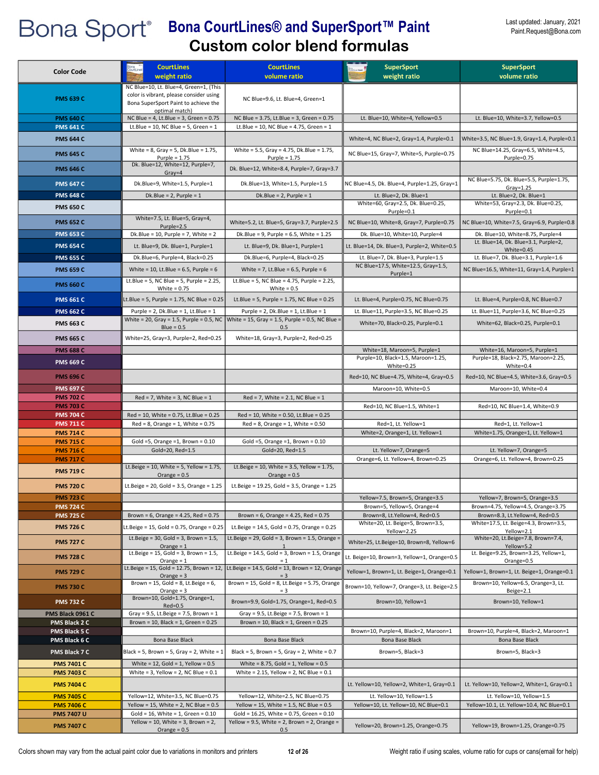| <b>Color Code</b>                      | <b>CourtLines</b><br>weight ratio                                                                 | <b>CourtLines</b><br>volume ratio                                                               | <b>SuperSport</b><br>weight ratio                                         | <b>SuperSport</b><br>volume ratio                                                 |
|----------------------------------------|---------------------------------------------------------------------------------------------------|-------------------------------------------------------------------------------------------------|---------------------------------------------------------------------------|-----------------------------------------------------------------------------------|
|                                        | NC Blue=10, Lt. Blue=4, Green=1, (This                                                            |                                                                                                 |                                                                           |                                                                                   |
| <b>PMS 639 C</b>                       | color is vibrant, please consider using<br>Bona SuperSport Paint to achieve the<br>optimal match) | NC Blue=9.6, Lt. Blue=4, Green=1                                                                |                                                                           |                                                                                   |
| <b>PMS 640 C</b>                       | NC Blue = $4$ , Lt.Blue = $3$ , Green = 0.75                                                      | NC Blue = 3.75, Lt.Blue = 3, Green = 0.75                                                       | Lt. Blue=10, White=4, Yellow=0.5                                          | Lt. Blue=10, White=3.7, Yellow=0.5                                                |
| <b>PMS 641 C</b><br><b>PMS 644 C</b>   | Lt.Blue = 10, NC Blue = 5, Green = $1$                                                            | Lt.Blue = 10, NC Blue = 4.75, Green = 1                                                         | White=4, NC Blue=2, Gray=1.4, Purple=0.1                                  | White=3.5, NC Blue=1.9, Gray=1.4, Purple=0.1                                      |
| <b>PMS 645 C</b>                       | White = $8$ , Gray = $5$ , Dk. Blue = 1.75,                                                       | White = 5.5, Gray = 4.75, Dk.Blue = 1.75,                                                       | NC Blue=15, Gray=7, White=5, Purple=0.75                                  | NC Blue=14.25, Gray=6.5, White=4.5,                                               |
|                                        | Purple = $1.75$<br>Dk. Blue=12, White=12, Purple=7,                                               | Purple = $1.75$                                                                                 |                                                                           | Purple=0.75                                                                       |
| <b>PMS 646 C</b>                       | $Gray=4$                                                                                          | Dk. Blue=12, White=8.4, Purple=7, Gray=3.7                                                      |                                                                           | NC Blue=5.75, Dk. Blue=5.5, Purple=1.75,                                          |
| <b>PMS 647 C</b><br><b>PMS 648 C</b>   | Dk.Blue=9, White=1.5, Purple=1<br>Dk.Blue = $2$ , Purple = $1$                                    | Dk.Blue=13, White=1.5, Purple=1.5<br>Dk.Blue = $2$ , Purple = $1$                               | NC Blue=4.5, Dk. Blue=4, Purple=1.25, Gray=1<br>Lt. Blue=2, Dk. Blue=1    | $Gray=1.25$<br>Lt. Blue=2, Dk. Blue=1                                             |
|                                        |                                                                                                   |                                                                                                 | White=60, Gray=2.5, Dk. Blue=0.25,                                        | White=53, Gray=2.3, Dk. Blue=0.25,                                                |
| <b>PMS 650 C</b>                       |                                                                                                   |                                                                                                 | Purple=0.1                                                                | Purple=0.1                                                                        |
| <b>PMS 652 C</b>                       | White=7.5, Lt. Blue=5, Gray=4,<br>Purple=2.5                                                      | White=5.2, Lt. Blue=5, Gray=3.7, Purple=2.5                                                     | NC Blue=10, White=8, Gray=7, Purple=0.75                                  | NC Blue=10, White=7.5, Gray=6.9, Purple=0.8                                       |
| <b>PMS 653 C</b>                       | Dk.Blue = $10$ , Purple = 7, White = 2                                                            | Dk.Blue = 9, Purple = $6.5$ , White = $1.25$                                                    | Dk. Blue=10, White=10, Purple=4                                           | Dk. Blue=10, White=8.75, Purple=4<br>Lt. Blue=14, Dk. Blue=3.1, Purple=2,         |
| <b>PMS 654 C</b>                       | Lt. Blue=9, Dk. Blue=1, Purple=1                                                                  | Lt. Blue=9, Dk. Blue=1, Purple=1                                                                | Lt. Blue=14, Dk. Blue=3, Purple=2, White=0.5                              | White=0.45                                                                        |
| <b>PMS 655 C</b>                       | Dk.Blue=6, Purple=4, Black=0.25                                                                   | Dk.Blue=6, Purple=4, Black=0.25                                                                 | Lt. Blue=7, Dk. Blue=3, Purple=1.5<br>NC Blue=17.5, White=12.5, Gray=1.5, | Lt. Blue=7, Dk. Blue=3.1, Purple=1.6                                              |
| <b>PMS 659 C</b>                       | White = 10, Lt.Blue = $6.5$ , Purple = $6$                                                        | White = $7$ , Lt.Blue = $6.5$ , Purple = $6$                                                    | Purple=1                                                                  | NC Blue=16.5, White=11, Gray=1.4, Purple=1                                        |
| <b>PMS 660 C</b>                       | Lt.Blue = 5, NC Blue = 5, Purple = $2.25$ ,<br>White = $0.75$                                     | Lt.Blue = 5, NC Blue = 4.75, Purple = 2.25,<br>White = $0.5$                                    |                                                                           |                                                                                   |
| <b>PMS 661 C</b>                       | Lt.Blue = 5, Purple = 1.75, NC Blue = 0.25                                                        | Lt.Blue = 5, Purple = $1.75$ , NC Blue = 0.25                                                   | Lt. Blue=4, Purple=0.75, NC Blue=0.75                                     | Lt. Blue=4, Purple=0.8, NC Blue=0.7                                               |
| <b>PMS 662 C</b>                       | Purple = $2$ , Dk.Blue = $1$ , Lt.Blue = $1$                                                      | Purple = $2$ , Dk. Blue = $1$ , Lt. Blue = $1$                                                  | Lt. Blue=11, Purple=3.5, NC Blue=0.25                                     | Lt. Blue=11, Purple=3.6, NC Blue=0.25                                             |
| <b>PMS 663 C</b>                       | $Blue = 0.5$                                                                                      | White = 20, Gray = 1.5, Purple = 0.5, NC White = 15, Gray = 1.5, Purple = 0.5, NC Blue =<br>0.5 | White=70, Black=0.25, Purple=0.1                                          | White=62, Black=0.25, Purple=0.1                                                  |
| <b>PMS 665 C</b>                       | White=25, Gray=3, Purple=2, Red=0.25                                                              | White=18, Gray=3, Purple=2, Red=0.25                                                            |                                                                           |                                                                                   |
| <b>PMS 688 C</b>                       |                                                                                                   |                                                                                                 | White=18, Maroon=5, Purple=1                                              | White=16, Maroon=5, Purple=1                                                      |
| <b>PMS 669 C</b>                       |                                                                                                   |                                                                                                 | Purple=10, Black=1.5, Maroon=1.25,<br>White=0.25                          | Purple=18, Black=2.75, Maroon=2.25,<br>White=0.4                                  |
| <b>PMS 696 C</b>                       |                                                                                                   |                                                                                                 | Red=10, NC Blue=4.75, White=4, Gray=0.5                                   | Red=10, NC Blue=4.5, White=3.6, Gray=0.5                                          |
| <b>PMS 697 C</b>                       |                                                                                                   |                                                                                                 | Maroon=10, White=0.5                                                      | Maroon=10, White=0.4                                                              |
| <b>PMS 702 C</b>                       | $Red = 7$ , White = 3, NC Blue = 1                                                                | $Red = 7$ , White = 2.1, NC Blue = 1                                                            | Red=10, NC Blue=1.5, White=1                                              | Red=10, NC Blue=1.4, White=0.9                                                    |
| <b>PMS 703 C</b><br><b>PMS 704 C</b>   | Red = 10, White = 0.75, Lt.Blue = 0.25                                                            | Red = 10, White = 0.50, Lt.Blue = 0.25                                                          |                                                                           |                                                                                   |
| <b>PMS 711 C</b>                       | $Red = 8$ , Orange = 1, White = 0.75                                                              | $Red = 8$ , Orange = 1, White = 0.50                                                            | Red=1, Lt. Yellow=1                                                       | Red=1, Lt. Yellow=1                                                               |
| <b>PMS 714 C</b><br><b>PMS 715 C</b>   | Gold =5, Orange =1, Brown = $0.10$                                                                | Gold =5, Orange =1, Brown = $0.10$                                                              | White=2, Orange=1, Lt. Yellow=1                                           | White=1.75, Orange=1, Lt. Yellow=1                                                |
| <b>PMS 716 C</b>                       | Gold=20, Red=1.5                                                                                  | Gold=20, Red=1.5                                                                                | Lt. Yellow=7, Orange=5                                                    | Lt. Yellow=7, Orange=5                                                            |
| <b>PMS 717 C</b>                       |                                                                                                   |                                                                                                 | Orange=6, Lt. Yellow=4, Brown=0.25                                        | Orange=6, Lt. Yellow=4, Brown=0.25                                                |
| <b>PMS 719 C</b>                       | Lt.Beige = $10$ , White = $5$ , Yellow = $1.75$ ,<br>Orange = $0.5$                               | Lt.Beige = 10, White = 3.5, Yellow = $1.75$ ,<br>Orange = $0.5$                                 |                                                                           |                                                                                   |
| <b>PMS 720 C</b>                       | Lt.Beige = 20, Gold = 3.5, Orange = $1.25$                                                        | Lt.Beige = 19.25, Gold = 3.5, Orange = 1.25                                                     |                                                                           |                                                                                   |
| <b>PMS 723 C</b>                       |                                                                                                   |                                                                                                 | Yellow=7.5, Brown=5, Orange=3.5                                           | Yellow=7, Brown=5, Orange=3.5                                                     |
| <b>PMS 724 C</b><br><b>PMS 725 C</b>   | Brown = $6$ , Orange = $4.25$ , Red = $0.75$                                                      | Brown = $6$ , Orange = $4.25$ , Red = $0.75$                                                    | Brown=5, Yellow=5, Orange=4<br>Brown=8, Lt.Yellow=4, Red=0.5              | Brown=4.75, Yellow=4.5, Orange=3.75<br>Brown=8.3, Lt.Yellow=4, Red=0.5            |
| <b>PMS 726 C</b>                       | Lt.Beige = 15, Gold = 0.75, Orange = 0.25                                                         | Lt.Beige = 14.5, Gold = 0.75, Orange = 0.25                                                     | White=20, Lt. Beige=5, Brown=3.5,                                         | White=17.5, Lt. Beige=4.3, Brown=3.5,                                             |
| <b>PMS 727 C</b>                       | Lt.Beige = $30$ , Gold = $3$ , Brown = $1.5$ ,                                                    | Lt.Beige = $29$ , Gold = 3, Brown = 1.5, Orange =                                               | Yellow=2.25<br>White=25, Lt.Beige=10, Brown=8, Yellow=6                   | Yellow=2.1<br>White=20, Lt.Beige=7.8, Brown=7.4,                                  |
|                                        | Orange = $1$<br>Lt.Beige = $15$ , Gold = 3, Brown = $1.5$ ,                                       | Lt.Beige = $14.5$ , Gold = 3, Brown = 1.5, Orange                                               | Lt. Beige=10, Brown=3, Yellow=1, Orange=0.5                               | Yellow=5.2<br>Lt. Beige=9.25, Brown=3.25, Yellow=1,                               |
| <b>PMS 728 C</b>                       | Orange = $1$<br>Lt.Beige = 15, Gold = 12.75, Brown = 12,                                          | $= 1$<br>Lt.Beige = 14.5, Gold = 13, Brown = 12, Orange                                         |                                                                           | Orange=0.5                                                                        |
| <b>PMS 729 C</b>                       | Orange $=$ 3<br>Brown = $15$ , Gold = 8, Lt. Beige = $6$ ,                                        | $= 3$<br>Brown = 15, Gold = 8, Lt.Beige = 5.75, Orange                                          | Yellow=1, Brown=1, Lt. Beige=1, Orange=0.1                                | Yellow=1, Brown=1, Lt. Beige=1, Orange=0.1<br>Brown=10, Yellow=6.5, Orange=3, Lt. |
| <b>PMS 730 C</b>                       | Orange $=$ 3<br>Brown=10, Gold=1.75, Orange=1,                                                    | $= 3$                                                                                           | Brown=10, Yellow=7, Orange=3, Lt. Beige=2.5                               | Beige=2.1                                                                         |
| <b>PMS 732 C</b>                       | $Red=0.5$                                                                                         | Brown=9.9, Gold=1.75, Orange=1, Red=0.5                                                         | Brown=10, Yellow=1                                                        | Brown=10, Yellow=1                                                                |
| PMS Black 0961 C<br>PMS Black 2 C      | Gray = $9.5$ , Lt.Beige = $7.5$ , Brown = $1$<br>Brown = 10, Black = 1, Green = $0.25$            | Gray = $9.5$ , Lt.Beige = $7.5$ , Brown = 1<br>Brown = $10$ , Black = $1$ , Green = $0.25$      |                                                                           |                                                                                   |
| PMS Black 5 C                          |                                                                                                   |                                                                                                 | Brown=10, Purple=4, Black=2, Maroon=1                                     | Brown=10, Purple=4, Black=2, Maroon=1                                             |
| PMS Black 6 C                          | Bona Base Black                                                                                   | Bona Base Black                                                                                 | Bona Base Black                                                           | Bona Base Black                                                                   |
| PMS Black 7 C                          | Black = 5, Brown = 5, Gray = 2, White = $1$                                                       | Black = 5, Brown = 5, Gray = 2, White = $0.7$                                                   | Brown=5, Black=3                                                          | Brown=5, Black=3                                                                  |
| <b>PMS 7401 C</b>                      | White = $12$ , Gold = $1$ , Yellow = $0.5$                                                        | White = $8.75$ , Gold = $1$ , Yellow = $0.5$<br>White = $2.15$ , Yellow = $2$ , NC Blue = $0.1$ |                                                                           |                                                                                   |
| <b>PMS 7403 C</b><br><b>PMS 7404 C</b> | White = 3, Yellow = 2, NC Blue = $0.1$                                                            |                                                                                                 | Lt. Yellow=10, Yellow=2, White=1, Gray=0.1                                | Lt. Yellow=10, Yellow=2, White=1, Gray=0.1                                        |
| <b>PMS 7405 C</b>                      | Yellow=12, White=3.5, NC Blue=0.75                                                                | Yellow=12, White=2.5, NC Blue=0.75                                                              | Lt. Yellow=10, Yellow=1.5                                                 | Lt. Yellow=10, Yellow=1.5                                                         |
| <b>PMS 7406 C</b>                      | Yellow = 15, White = 2, NC Blue = $0.5$                                                           | Yellow = 15, White = 1.5, NC Blue = $0.5$                                                       | Yellow=10, Lt. Yellow=10, NC Blue=0.1                                     | Yellow=10.1, Lt. Yellow=10.4, NC Blue=0.1                                         |
| <b>PMS 7407 U</b>                      | Gold = $16$ , White = $1$ , Green = $0.10$                                                        | Gold = 16.25, White = 0.75, Green = 0.10                                                        |                                                                           |                                                                                   |
| <b>PMS 7407 C</b>                      | Yellow = 10, White = 3, Brown = $2$ ,<br>Orange = $0.5$                                           | Yellow = 9.5, White = 2, Brown = 2, Orange =<br>0.5                                             | Yellow=20, Brown=1.25, Orange=0.75                                        | Yellow=19, Brown=1.25, Orange=0.75                                                |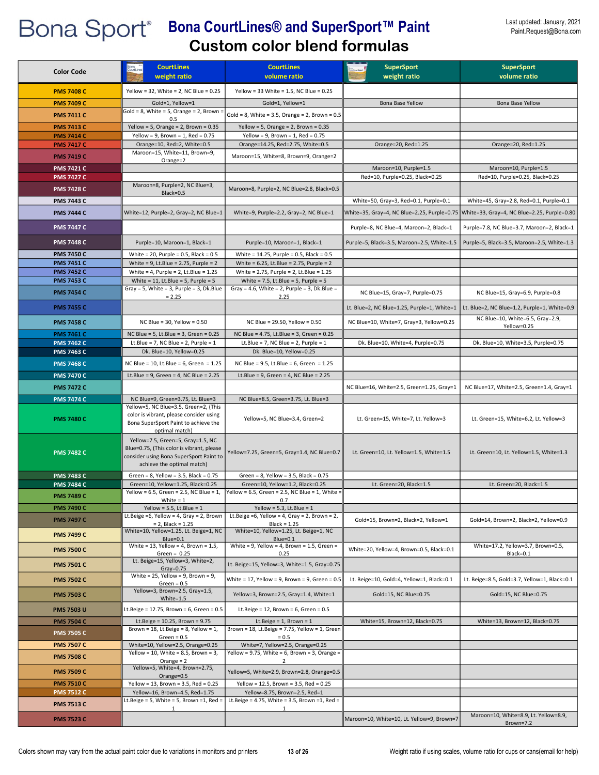#### Last updated: January, 2021 Paint.Request@Bona.com

| <b>Color Code</b> | <b>CourtLines</b>                                                                     | <b>CourtLines</b>                                                                            | <b>SuperSport</b>                           | <b>SuperSport</b>                            |
|-------------------|---------------------------------------------------------------------------------------|----------------------------------------------------------------------------------------------|---------------------------------------------|----------------------------------------------|
|                   | weight ratio                                                                          | volume ratio                                                                                 | weight ratio                                | volume ratio                                 |
| <b>PMS 7408 C</b> | Yellow = 32, White = 2, NC Blue = $0.25$                                              | Yellow = 33 White = $1.5$ , NC Blue = $0.25$                                                 |                                             |                                              |
| <b>PMS 7409 C</b> | Gold=1, Yellow=1                                                                      | Gold=1, Yellow=1                                                                             | Bona Base Yellow                            | Bona Base Yellow                             |
| <b>PMS 7411 C</b> | Gold = $8$ , White = $5$ , Orange = $2$ , Brown =                                     | Gold = 8, White = 3.5, Orange = 2, Brown = $0.5$                                             |                                             |                                              |
| <b>PMS 7413 C</b> | 0.5<br>Yellow = 5, Orange = 2, Brown = $0.35$                                         | Yellow = 5, Orange = 2, Brown = $0.35$                                                       |                                             |                                              |
| <b>PMS 7414 C</b> | Yellow = $9$ , Brown = $1$ , Red = 0.75                                               | Yellow = 9, Brown = $1$ , Red = 0.75                                                         |                                             |                                              |
| <b>PMS 7417 C</b> | Orange=10, Red=2, White=0.5                                                           | Orange=14.25, Red=2.75, White=0.5                                                            | Orange=20, Red=1.25                         | Orange=20, Red=1.25                          |
| <b>PMS 7419 C</b> | Maroon=15, White=11, Brown=9,                                                         | Maroon=15, White=8, Brown=9, Orange=2                                                        |                                             |                                              |
| <b>PMS 7421 C</b> | Orange=2                                                                              |                                                                                              | Maroon=10, Purple=1.5                       | Maroon=10, Purple=1.5                        |
| <b>PMS 7427 C</b> |                                                                                       |                                                                                              | Red=10, Purple=0.25, Black=0.25             | Red=10, Purple=0.25, Black=0.25              |
| <b>PMS 7428 C</b> | Maroon=8, Purple=2, NC Blue=3,                                                        | Maroon=8, Purple=2, NC Blue=2.8, Black=0.5                                                   |                                             |                                              |
| <b>PMS 7443 C</b> | Black=0.5                                                                             |                                                                                              | White=50, Gray=3, Red=0.1, Purple=0.1       | White=45, Gray=2.8, Red=0.1, Purple=0.1      |
| <b>PMS 7444 C</b> | White=12, Purple=2, Gray=2, NC Blue=1                                                 | White=9, Purple=2.2, Gray=2, NC Blue=1                                                       |                                             | White=33, Gray=4, NC Blue=2.25, Purple=0.80  |
|                   |                                                                                       |                                                                                              | White=35, Gray=4, NC Blue=2.25, Purple=0.75 |                                              |
| <b>PMS 7447 C</b> |                                                                                       |                                                                                              | Purple=8, NC Blue=4, Maroon=2, Black=1      | Purple=7.8, NC Blue=3.7, Maroon=2, Black=1   |
| <b>PMS 7448 C</b> | Purple=10, Maroon=1, Black=1                                                          | Purple=10, Maroon=1, Black=1                                                                 | Purple=5, Black=3.5, Maroon=2.5, White=1.5  | Purple=5, Black=3.5, Maroon=2.5, White=1.3   |
| <b>PMS 7450 C</b> | White = 20, Purple = $0.5$ , Black = $0.5$                                            | White = $14.25$ , Purple = 0.5, Black = 0.5                                                  |                                             |                                              |
| <b>PMS 7451 C</b> | White = $9$ , Lt.Blue = 2.75, Purple = 2                                              | White = $6.25$ , Lt.Blue = 2.75, Purple = 2                                                  |                                             |                                              |
| <b>PMS 7452 C</b> | White = 4, Purple = 2, Lt.Blue = $1.25$                                               | White = 2.75, Purple = 2, Lt.Blue = 1.25                                                     |                                             |                                              |
| <b>PMS 7453 C</b> | White = $11$ , Lt.Blue = $5$ , Purple = $5$                                           | White = $7.5$ , Lt.Blue = $5$ , Purple = $5$<br>Gray = 4.6, White = 2, Purple = 3, Dk.Blue = |                                             |                                              |
| <b>PMS 7454 C</b> | Gray = 5, White = 3, Purple = 3, Dk.Blue<br>$= 2.25$                                  | 2.25                                                                                         | NC Blue=15, Gray=7, Purple=0.75             | NC Blue=15, Gray=6.9, Purple=0.8             |
| <b>PMS 7455 C</b> |                                                                                       |                                                                                              | Lt. Blue=2, NC Blue=1.25, Purple=1, White=1 | Lt. Blue=2, NC Blue=1.2, Purple=1, White=0.9 |
| <b>PMS 7458 C</b> | NC Blue = $30.$ Yellow = $0.50$                                                       | NC Blue = 29.50, Yellow = 0.50                                                               | NC Blue=10, White=7, Gray=3, Yellow=0.25    | NC Blue=10, White=6.5, Gray=2.9,             |
| <b>PMS 7461 C</b> | NC Blue = $5$ , Lt.Blue = $3$ , Green = $0.25$                                        | NC Blue = 4.75, Lt.Blue = 3, Green = 0.25                                                    |                                             | Yellow=0.25                                  |
| <b>PMS 7462 C</b> | Lt.Blue = 7, NC Blue = 2, Purple = $1$                                                | Lt.Blue = 7, NC Blue = 2, Purple = $1$                                                       | Dk. Blue=10, White=4, Purple=0.75           | Dk. Blue=10, White=3.5, Purple=0.75          |
| <b>PMS 7463 C</b> | Dk. Blue=10, Yellow=0.25                                                              | Dk. Blue=10, Yellow=0.25                                                                     |                                             |                                              |
| <b>PMS 7468 C</b> | NC Blue = 10, Lt.Blue = $6$ , Green = 1.25                                            | NC Blue = 9.5, Lt. Blue = 6, Green = $1.25$                                                  |                                             |                                              |
| <b>PMS 7470 C</b> | Lt.Blue = $9$ , Green = $4$ , NC Blue = 2.25                                          | Lt.Blue = $9$ , Green = $4$ , NC Blue = 2.25                                                 |                                             |                                              |
| <b>PMS 7472 C</b> |                                                                                       |                                                                                              | NC Blue=16, White=2.5, Green=1.25, Gray=1   | NC Blue=17, White=2.5, Green=1.4, Gray=1     |
| <b>PMS 7474 C</b> | NC Blue=9, Green=3.75, Lt. Blue=3                                                     | NC Blue=8.5, Green=3.75, Lt. Blue=3                                                          |                                             |                                              |
|                   | Yellow=5, NC Blue=3.5, Green=2, (This                                                 |                                                                                              |                                             |                                              |
| <b>PMS 7480 C</b> | color is vibrant, please consider using<br>Bona SuperSport Paint to achieve the       | Yellow=5, NC Blue=3.4, Green=2                                                               | Lt. Green=15, White=7, Lt. Yellow=3         | Lt. Green=15, White=6.2, Lt. Yellow=3        |
|                   | optimal match)                                                                        |                                                                                              |                                             |                                              |
|                   | Yellow=7.5, Green=5, Gray=1.5, NC<br>Blue=0.75, (This color is vibrant, please        |                                                                                              |                                             |                                              |
| <b>PMS 7482 C</b> | consider using Bona SuperSport Paint to                                               | Yellow=7.25, Green=5, Gray=1.4, NC Blue=0.7                                                  | Lt. Green=10, Lt. Yellow=1.5, White=1.5     | Lt. Green=10, Lt. Yellow=1.5, White=1.3      |
|                   | achieve the optimal match)                                                            |                                                                                              |                                             |                                              |
| <b>PMS 7483 C</b> | Green = $8$ , Yellow = $3.5$ , Black = $0.75$                                         | Green = $8$ , Yellow = $3.5$ , Black = $0.75$                                                |                                             |                                              |
| <b>PMS 7484 C</b> | Green=10, Yellow=1.25, Black=0.25<br>Yellow = 6.5, Green = 2.5, NC Blue = 1,          | Green=10, Yellow=1.2, Black=0.25<br>Yellow = 6.5, Green = 2.5, NC Blue = 1, White =          | Lt. Green=20, Black=1.5                     | Lt. Green=20, Black=1.5                      |
| <b>PMS 7489 C</b> | White $= 1$                                                                           | 0.1                                                                                          |                                             |                                              |
| <b>PMS 7490 C</b> | Yellow = 5.5, Lt.Blue = $1$                                                           | Yellow = 5.3, Lt.Blue = $1$                                                                  |                                             |                                              |
| <b>PMS 7497 C</b> | Lt.Beige =6, Yellow = 4, Gray = 2, Brown<br>$= 2$ , Black = 1.25                      | Lt.Beige = 6, Yellow = 4, Gray = 2, Brown = 2,<br>$Black = 1.25$                             | Gold=15, Brown=2, Black=2, Yellow=1         | Gold=14, Brown=2, Black=2, Yellow=0.9        |
| <b>PMS 7499 C</b> | White=10, Yellow=1.25, Lt. Beige=1, NC                                                | White=10, Yellow=1.25, Lt. Beige=1, NC                                                       |                                             |                                              |
|                   | Blue=0.1<br>White = $13$ , Yellow = $4$ , Brown = $1.5$ ,                             | Blue=0.1<br>White = $9$ , Yellow = $4$ , Brown = 1.5, Green =                                |                                             | White=17.2, Yellow=3.7, Brown=0.5,           |
| <b>PMS 7500 C</b> | Green = $0.25$                                                                        | 0.25                                                                                         | White=20, Yellow=4, Brown=0.5, Black=0.1    | Black=0.1                                    |
| <b>PMS 7501 C</b> | Lt. Beige=15, Yellow=3, White=2,<br>$Gray=0.75$                                       | Lt. Beige=15, Yellow=3, White=1.5, Gray=0.75                                                 |                                             |                                              |
| <b>PMS 7502 C</b> | White = 25, Yellow = 9, Brown = 9,<br>Green = $0.5$                                   | White = 17, Yellow = 9, Brown = 9, Green = 0.5                                               | Lt. Beige=10, Gold=4, Yellow=1, Black=0.1   | Lt. Beige=8.5, Gold=3.7, Yellow=1, Black=0.1 |
| PMS 7503 C        | Yellow=3, Brown=2.5, Gray=1.5,                                                        | Yellow=3, Brown=2.5, Gray=1.4, White=1                                                       | Gold=15, NC Blue=0.75                       | Gold=15, NC Blue=0.75                        |
|                   | $White = 1.5$                                                                         |                                                                                              |                                             |                                              |
| <b>PMS 7503 U</b> | Lt.Beige = 12.75, Brown = 6, Green = 0.5                                              | Lt.Beige = $12$ , Brown = $6$ , Green = $0.5$                                                |                                             |                                              |
| <b>PMS 7504 C</b> | Lt.Beige = $10.25$ , Brown = $9.75$<br>Brown = $18$ , Lt.Beige = $8$ , Yellow = $1$ , | Lt.Beige = $1$ , Brown = $1$<br>Brown = 18, Lt.Beige = 7.75, Yellow = 1, Green               | White=15, Brown=12, Black=0.75              | White=13, Brown=12, Black=0.75               |
| <b>PMS 7505 C</b> | $Green = 0.5$                                                                         | $= 0.5$                                                                                      |                                             |                                              |
| <b>PMS 7507 C</b> | White=10, Yellow=2.5, Orange=0.25                                                     | White=7, Yellow=2.5, Orange=0.25                                                             |                                             |                                              |
| <b>PMS 7508 C</b> | Yellow = 10, White = 8.5, Brown = 3,<br>Orange $= 2$                                  | Yellow = 9.75, White = 6, Brown = 3, Orange =<br>2                                           |                                             |                                              |
| <b>PMS 7509 C</b> | Yellow=5, White=4, Brown=2.75,                                                        | Yellow=5, White=2.9, Brown=2.8, Orange=0.5                                                   |                                             |                                              |
| <b>PMS 7510 C</b> | Orange=0.5<br>Yellow = 13, Brown = 3.5, Red = $0.25$                                  | Yellow = 12.5, Brown = 3.5, Red = 0.25                                                       |                                             |                                              |
| <b>PMS 7512 C</b> | Yellow=16, Brown=4.5, Red=1.75                                                        | Yellow=8.75, Brown=2.5, Red=1                                                                |                                             |                                              |
| <b>PMS 7513 C</b> | $-t.Beige = 5$ , White = 5, Brown = 1, Red =                                          | Lt.Beige = 4.75, White = 3.5, Brown = 1, Red =                                               |                                             |                                              |
|                   | 1                                                                                     | 1                                                                                            |                                             | Maroon=10, White=8.9, Lt. Yellow=8.9,        |
| <b>PMS 7523 C</b> |                                                                                       |                                                                                              | Maroon=10, White=10, Lt. Yellow=9, Brown=7  | Brown=7.2                                    |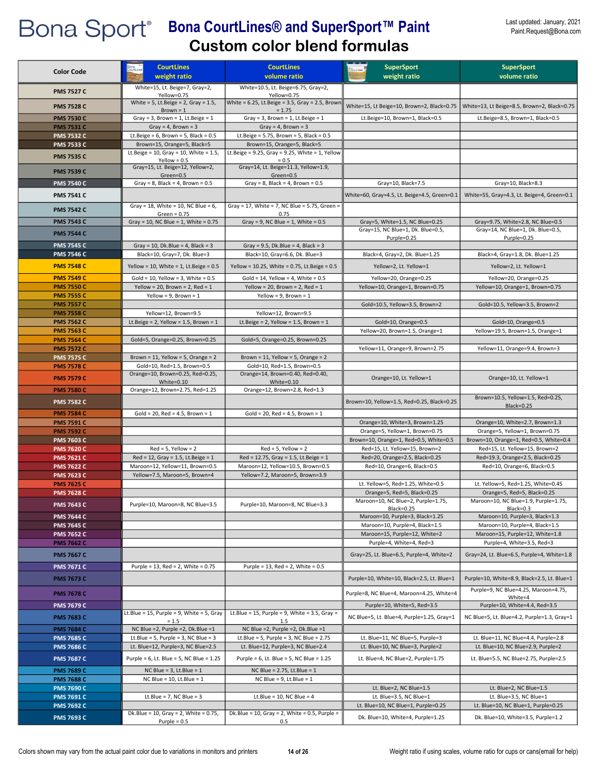#### Last updated: January, 2021 Paint.Request@Bona.com

| <b>Color Code</b>                      | <b>CourtLines</b>                                               | <b>CourtLines</b>                                                | <b>SuperSport</b>                                                | <b>SuperSport</b>                                                 |
|----------------------------------------|-----------------------------------------------------------------|------------------------------------------------------------------|------------------------------------------------------------------|-------------------------------------------------------------------|
|                                        | weight ratio                                                    | volume ratio                                                     | weight ratio                                                     | volume ratio                                                      |
| <b>PMS 7527 C</b>                      | White=15, Lt. Beige=7, Gray=2,<br>Yellow=0.75                   | White=10.5, Lt. Beige=6.75, Gray=2,<br>Yellow=0.75               |                                                                  |                                                                   |
| <b>PMS 7528 C</b>                      | White = $5$ , Lt.Beige = $2$ , Gray = $1.5$ ,                   | White = $6.25$ , Lt.Beige = $3.5$ , Gray = $2.5$ , Brown         | White=15, Lt Beige=10, Brown=2, Black=0.75                       | White=13, Lt Beige=8.5, Brown=2, Black=0.75                       |
| <b>PMS 7530 C</b>                      | $Brown = 1$<br>Gray = $3$ , Brown = $1$ , Lt. Beige = $1$       | $= 1.75$<br>Gray = $3$ , Brown = $1$ , Lt. Beige = $1$           | Lt.Beige=10, Brown=1, Black=0.5                                  | Lt.Beige=8.5, Brown=1, Black=0.5                                  |
| <b>PMS 7531 C</b>                      | Gray = 4, Brown = $3$                                           | Gray = 4, Brown = $3$                                            |                                                                  |                                                                   |
| <b>PMS 7532 C</b>                      | Lt.Beige = $6$ , Brown = $5$ , Black = $0.5$                    | Lt.Beige = $5.75$ , Brown = $5$ , Black = $0.5$                  |                                                                  |                                                                   |
| <b>PMS 7533 C</b>                      | Brown=15, Orange=5, Black=5                                     | Brown=15, Orange=5, Black=5                                      |                                                                  |                                                                   |
| <b>PMS 7535 C</b>                      | Lt.Beige = 10, Gray = 10, White = $1.5$ ,<br>Yellow = $0.5$     | Lt.Beige = $9.25$ , Gray = $9.25$ , White = 1, Yellow<br>$= 0.5$ |                                                                  |                                                                   |
| <b>PMS 7539 C</b>                      | Gray=15, Lt. Beige=12, Yellow=2,<br>Green=0.5                   | Gray=14, Lt. Beige=11.3, Yellow=1.9,<br>Green=0.5                |                                                                  |                                                                   |
| <b>PMS 7540 C</b>                      | Gray = $8$ , Black = $4$ , Brown = $0.5$                        | Gray = $8$ , Black = $4$ , Brown = $0.5$                         | Gray=10, Black=7.5                                               | Gray=10, Black=8.3                                                |
| <b>PMS 7541 C</b>                      |                                                                 |                                                                  | White=60, Gray=4.5, Lt. Beige=4.5, Green=0.1                     | White=55, Gray=4.3, Lt. Beige=4, Green=0.1                        |
| <b>PMS 7542 C</b>                      | Gray = 18, White = 10, NC Blue = $6$ ,                          | Gray = 17, White = 7, NC Blue = 5.75, Green =                    |                                                                  |                                                                   |
| <b>PMS 7543 C</b>                      | Green = $0.75$<br>Gray = 10, NC Blue = 1, White = $0.75$        | 0.75<br>Gray = 9, NC Blue = 1, White = $0.5$                     | Gray=5, White=1.5, NC Blue=0.25                                  | Gray=9.75, White=2.8, NC Blue=0.5                                 |
|                                        |                                                                 |                                                                  | Gray=15, NC Blue=1, Dk. Blue=0.5,                                | Gray=14, NC Blue=1, Dk. Blue=0.5,                                 |
| <b>PMS 7544 C</b><br><b>PMS 7545 C</b> | Gray = 10, Dk.Blue = 4, Black = $3$                             | Gray = $9.5$ , Dk.Blue = $4$ , Black = $3$                       | Purple=0.25                                                      | Purple=0.25                                                       |
| <b>PMS 7546 C</b>                      | Black=10, Gray=7, Dk. Blue=3                                    | Black=10, Gray=6.6, Dk. Blue=3                                   | Black=4, Gray=2, Dk. Blue=1.25                                   | Black=4, Gray=1.8, Dk. Blue=1.25                                  |
| <b>PMS 7548 C</b>                      | Yellow = 10, White = 1, Lt. Beige = $0.5$                       | Yellow = 10.25, White = 0.75, Lt.Beige = 0.5                     | Yellow=2, Lt. Yellow=1                                           | Yellow=2, Lt. Yellow=1                                            |
| <b>PMS 7549 C</b>                      | Gold = $10$ , Yellow = 3, White = $0.5$                         | Gold = $14$ , Yellow = $4$ , White = 0.5                         | Yellow=20, Orange=0.25                                           | Yellow=20, Orange=0.25                                            |
| <b>PMS 7550 C</b>                      | Yellow = 20, Brown = 2, Red = $1$                               | Yellow = 20, Brown = 2, Red = $1$                                | Yellow=10, Orange=1, Brown=0.75                                  | Yellow=10, Orange=1, Brown=0.75                                   |
| <b>PMS 7555 C</b>                      | Yellow = $9$ , Brown = $1$                                      | Yellow = $9$ , Brown = $1$                                       |                                                                  |                                                                   |
| <b>PMS 7557 C</b><br><b>PMS 7558 C</b> | Yellow=12, Brown=9.5                                            | Yellow=12, Brown=9.5                                             | Gold=10.5, Yellow=3.5, Brown=2                                   | Gold=10.5, Yellow=3.5, Brown=2                                    |
| <b>PMS 7562 C</b>                      | Lt.Beige = $2$ , Yellow = 1.5, Brown = 1                        | Lt.Beige = $2$ , Yellow = 1.5, Brown = 1                         | Gold=10, Orange=0.5                                              | Gold=10, Orange=0.5                                               |
| <b>PMS 7563 C</b>                      |                                                                 |                                                                  | Yellow=20, Brown=1.5, Orange=1                                   | Yellow=19.5, Brown=1.5, Orange=1                                  |
| <b>PMS 7564 C</b>                      | Gold=5, Orange=0.25, Brown=0.25                                 | Gold=5, Orange=0.25, Brown=0.25                                  |                                                                  |                                                                   |
| <b>PMS 7572 C</b>                      |                                                                 |                                                                  | Yellow=11, Orange=9, Brown=2.75                                  | Yellow=11, Orange=9.4, Brown=3                                    |
| <b>PMS 7575 C</b>                      | Brown = 11, Yellow = 5, Orange = $2$                            | Brown = $11$ , Yellow = $5$ , Orange = $2$                       |                                                                  |                                                                   |
| <b>PMS 7578 C</b>                      | Gold=10, Red=1.5, Brown=0.5<br>Orange=10, Brown=0.25, Red=0.25, | Gold=10, Red=1.5, Brown=0.5<br>Orange=14, Brown=0.40, Red=0.40,  |                                                                  |                                                                   |
| <b>PMS 7579 C</b>                      | White= $0.10$                                                   | White= $0.10$                                                    | Orange=10, Lt. Yellow=1                                          | Orange=10, Lt. Yellow=1                                           |
| <b>PMS 7580 C</b>                      | Orange=12, Brown=2.75, Red=1.25                                 | Orange=12, Brown=2.8, Red=1.3                                    |                                                                  | Brown=10.5, Yellow=1.5, Red=0.25,                                 |
| <b>PMS 7582 C</b>                      |                                                                 |                                                                  | Brown=10, Yellow=1.5, Red=0.25, Black=0.25                       | <b>Black=0.25</b>                                                 |
| <b>PMS 7584 C</b>                      | Gold = 20, Red = 4.5, Brown = $1$                               | $Gold = 20$ , $Red = 4.5$ , Brown = 1                            |                                                                  |                                                                   |
| <b>PMS 7591 C</b><br><b>PMS 7592 C</b> |                                                                 |                                                                  | Orange=10, White=3, Brown=1.25<br>Orange=5, Yellow=1, Brown=0.75 | Orange=10, White=2.7, Brown=1.3<br>Orange=5, Yellow=1, Brown=0.75 |
| <b>PMS 7603 C</b>                      |                                                                 |                                                                  | Brown=10, Orange=1, Red=0.5, White=0.5                           | Brown=10, Orange=1, Red=0.5, White=0.4                            |
| <b>PMS 7620 C</b>                      | $Red = 5$ , Yellow = 2                                          | $Red = 5$ , Yellow = 2                                           | Red=15, Lt. Yellow=15, Brown=2                                   | Red=15, Lt. Yellow=15, Brown=2                                    |
| <b>PMS 7621 C</b>                      | $Red = 12$ , $Gray = 1.5$ , Lt. Beige = 1                       | $Red = 12.75$ , Gray = 1.5, Lt. Beige = 1                        | Red=20, Orange=2.5, Black=0.25                                   | Red=19.3, Orange=2.5, Black=0.25                                  |
| <b>PMS 7622 C</b>                      | Maroon=12, Yellow=11, Brown=0.5                                 | Maroon=12, Yellow=10.5, Brown=0.5                                | Red=10, Orange=6, Black=0.5                                      | Red=10, Orange=6, Black=0.5                                       |
| <b>PMS 7623 C</b><br><b>PMS 7625 C</b> | Yellow=7.5, Maroon=5, Brown=4                                   | Yellow=7.2, Maroon=5, Brown=3.9                                  | Lt. Yellow=5, Red=1.25, White=0.5                                | Lt. Yellow=5, Red=1.25, White=0.45                                |
| <b>PMS 7628 C</b>                      |                                                                 |                                                                  | Orange=5, Red=5, Black=0.25                                      | Orange=5, Red=5, Black=0.25                                       |
| <b>PMS 7643 C</b>                      | Purple=10, Maroon=8, NC Blue=3.5                                | Purple=10, Maroon=8, NC Blue=3.3                                 | Maroon=10, NC Blue=2, Purple=1.75,                               | Maroon=10, NC Blue=1.9, Purple=1.75                               |
| <b>PMS 7644 C</b>                      |                                                                 |                                                                  | Black=0.25<br>Maroon=10, Purple=3, Black=1.25                    | Black=0.3<br>Maroon=10, Purple=3, Black=1.3                       |
| <b>PMS 7645 C</b>                      |                                                                 |                                                                  | Maroon=10, Purple=4, Black=1.5                                   | Maroon=10, Purple=4, Black=1.5                                    |
| <b>PMS 7652 C</b>                      |                                                                 |                                                                  | Maroon=15, Purple=12, White=2                                    | Maroon=15, Purple=12, White=1.8                                   |
| <b>PMS 7662 C</b>                      |                                                                 |                                                                  | Purple=4, White=4, Red=3                                         | Purple=4, White=3.5, Red=3                                        |
| <b>PMS 7667 C</b>                      |                                                                 |                                                                  | Gray=25, Lt. Blue=6.5, Purple=4, White=2                         | Gray=24, Lt. Blue=6.5, Purple=4, White=1.8                        |
| <b>PMS 7671 C</b>                      | Purple = $13$ , Red = $2$ , White = $0.75$                      | Purple = $13$ , Red = $2$ , White = $0.5$                        |                                                                  |                                                                   |
| <b>PMS 7673 C</b>                      |                                                                 |                                                                  | Purple=10, White=10, Black=2.5, Lt. Blue=1                       | Purple=10, White=8.9, Black=2.5, Lt. Blue=1                       |
| <b>PMS 7678 C</b>                      |                                                                 |                                                                  | Purple=8, NC Blue=4, Maroon=4.25, White=4                        | Purple=9, NC Blue=4.25, Maroon=4.75,<br>White=4                   |
| <b>PMS 7679 C</b>                      |                                                                 |                                                                  | Purple=10, White=5, Red=3.5                                      | Purple=10, White=4.4, Red=3.5                                     |
| <b>PMS 7683 C</b>                      | Lt.Blue = $15$ , Purple = 9, White = 5, Gray<br>$= 1.5$         | Lt.Blue = 15, Purple = 9, White = 3.5, Gray =<br>1.5             | NC Blue=5, Lt. Blue=4, Purple=1.25, Gray=1                       | NC Blue=5, Lt. Blue=4.2, Purple=1.3, Gray=1                       |
| <b>PMS 7684 C</b>                      | NC Blue = 2, Purple = 2, Dk. Blue = 1                           | NC Blue = 2, Purple = 2, Dk. Blue = 1                            |                                                                  |                                                                   |
| <b>PMS 7685 C</b>                      | Lt.Blue = 5, Purple = 3, NC Blue = $3$                          | Lt.Blue = 5, Purple = 3, NC Blue = $2.75$                        | Lt. Blue=11, NC Blue=5, Purple=3                                 | Lt. Blue=11, NC Blue=4.4, Purple=2.8                              |
| <b>PMS 7686 C</b>                      | Lt. Blue=12, Purple=3, NC Blue=2.5                              | Lt. Blue=12, Purple=3, NC Blue=2.4                               | Lt. Blue=10, NC Blue=3, Purple=2                                 | Lt. Blue=10, NC Blue=2.9, Purple=2                                |
| <b>PMS 7687 C</b>                      | Purple = 6, Lt. Blue = 5, NC Blue = 1.25                        | Purple = 6, Lt. Blue = 5, NC Blue = 1.25                         | Lt. Blue=4, NC Blue=2, Purple=1.75                               | Lt. Blue=5.5, NC Blue=2.75, Purple=2.5                            |
| <b>PMS 7689 C</b>                      | NC Blue = $3$ , Lt. Blue = $1$                                  | NC Blue = $2.75$ , Lt.Blue = 1                                   |                                                                  |                                                                   |
| <b>PMS 7688 C</b><br><b>PMS 7690 C</b> | NC Blue = $10$ , Lt. Blue = $1$                                 | NC Blue = $9$ , Lt.Blue = $1$                                    | Lt. Blue=2, NC Blue=1.5                                          | Lt. Blue=2, NC Blue=1.5                                           |
| <b>PMS 7691 C</b>                      | Lt.Blue = $7$ , NC Blue = $3$                                   | Lt.Blue = $10$ , NC Blue = $4$                                   | Lt. Blue=3.5, NC Blue=1                                          | Lt. Blue=3.5, NC Blue=1                                           |
| <b>PMS 7692 C</b>                      |                                                                 |                                                                  | Lt. Blue=10, NC Blue=1, Purple=0.25                              | Lt. Blue=10, NC Blue=1, Purple=0.25                               |
| <b>PMS 7693 C</b>                      | Dk.Blue = 10, Gray = 2, White = $0.75$ ,                        | Dk.Blue = $10$ , Gray = 2, White = 0.5, Purple =                 | Dk. Blue=10, White=4, Purple=1.25                                | Dk. Blue=10, White=3.5, Purple=1.2                                |
|                                        | Purple = $0.5$                                                  | 0.5                                                              |                                                                  |                                                                   |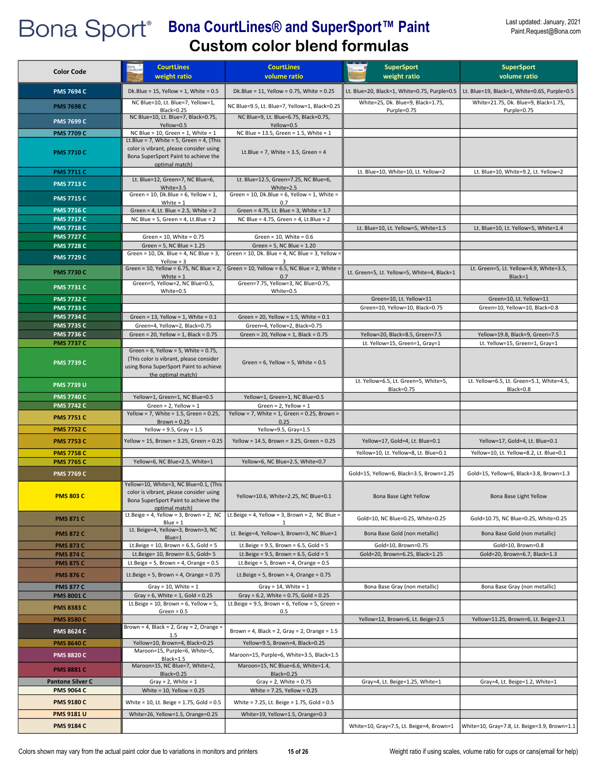| <b>Color Code</b>                      | <b>CourtLines</b><br>weight ratio                                                                                                                     | <b>CourtLines</b><br>volume ratio                                                              | <b>SuperSport</b><br>weight ratio                          | <b>SuperSport</b><br>volume ratio                         |
|----------------------------------------|-------------------------------------------------------------------------------------------------------------------------------------------------------|------------------------------------------------------------------------------------------------|------------------------------------------------------------|-----------------------------------------------------------|
| <b>PMS 7694 C</b>                      | Dk.Blue = $15$ , Yellow = $1$ , White = $0.5$                                                                                                         | Dk.Blue = 11, Yellow = 0.75, White = 0.25                                                      | Lt. Blue=20, Black=1, White=0.75, Purple=0.5               | Lt. Blue=19, Black=1, White=0.65, Purple=0.5              |
| <b>PMS 7698 C</b>                      | NC Blue=10, Lt. Blue=7, Yellow=1,<br><b>Black=0.25</b>                                                                                                | NC Blue=9.5, Lt. Blue=7, Yellow=1, Black=0.25                                                  | White=25, Dk. Blue=9, Black=1.75,<br>Purple=0.75           | White=21.75, Dk. Blue=9, Black=1.75,<br>Purple=0.75       |
| <b>PMS 7699 C</b>                      | NC Blue=10, Lt. Blue=7, Black=0.75,                                                                                                                   | NC Blue=9, Lt. Blue=6.75, Black=0.75,                                                          |                                                            |                                                           |
| <b>PMS 7709 C</b>                      | Yellow=0.5<br>NC Blue = 10, Green = 1, White = $1$                                                                                                    | Yellow=0.5<br>NC Blue = 13.5, Green = 1.5, White = 1                                           |                                                            |                                                           |
| <b>PMS 7710 C</b>                      | Lt.Blue = 7, White = 5, Green = 4, (This<br>color is vibrant, please consider using<br>Bona SuperSport Paint to achieve the<br>optimal match)         | Lt.Blue = 7, White = $3.5$ , Green = $4$                                                       |                                                            |                                                           |
| <b>PMS 7711 C</b>                      | Lt. Blue=12, Green=7, NC Blue=6,                                                                                                                      | Lt. Blue=12.5, Green=7.25, NC Blue=6,                                                          | Lt. Blue=10, White=10, Lt. Yellow=2                        | Lt. Blue=10, White=9.2, Lt. Yellow=2                      |
| <b>PMS 7713 C</b>                      | White= $3.5$<br>Green = 10, Dk.Blue = 6, Yellow = $1$ ,                                                                                               | White=2.5<br>Green = 10, Dk.Blue = $6$ , Yellow = 1, White =                                   |                                                            |                                                           |
| <b>PMS 7715 C</b>                      | White $= 1$                                                                                                                                           | 0.7                                                                                            |                                                            |                                                           |
| <b>PMS 7716 C</b><br><b>PMS 7717 C</b> | Green = $4$ , Lt. Blue = $2.5$ , White = $2$<br>NC Blue = $5$ , Green = $4$ , Lt.Blue = $2$                                                           | Green = 4.75, Lt. Blue = 3, White = 1.7<br>NC Blue = 4.75, Green = 4, Lt.Blue = 2              |                                                            |                                                           |
| <b>PMS 7718 C</b>                      |                                                                                                                                                       |                                                                                                | Lt. Blue=10, Lt. Yellow=5, White=1.5                       | Lt. Blue=10, Lt. Yellow=5, White=1.4                      |
| <b>PMS 7727 C</b>                      | Green = 10, White = 0.75                                                                                                                              | Green = $10$ , White = $0.6$                                                                   |                                                            |                                                           |
| <b>PMS 7728 C</b>                      | Green = $5$ , NC Blue = $1.25$<br>Green = 10, Dk. Blue = 4, NC Blue = 3,                                                                              | Green = $5$ , NC Blue = $1.20$<br>Green = 10, Dk. Blue = 4, NC Blue = 3, Yellow =              |                                                            |                                                           |
| <b>PMS 7729 C</b>                      | Yellow = $3$<br>Green = 10, Yellow = 6.75, NC Blue = 2,                                                                                               | 3<br>Green = 10, Yellow = 6.5, NC Blue = 2, White =                                            |                                                            | Lt. Green=5, Lt. Yellow=4.9, White=3.5,                   |
| <b>PMS 7730 C</b>                      | White = $1$                                                                                                                                           | 0.7                                                                                            | Lt. Green=5, Lt. Yellow=5, White=4, Black=1                | Black=1                                                   |
| <b>PMS 7731 C</b>                      | Green=5, Yellow=2, NC Blue=0.5,<br>White=0.5                                                                                                          | Green=7.75, Yellow=3, NC Blue=0.75,<br>White=0.5                                               |                                                            |                                                           |
| <b>PMS 7732 C</b><br><b>PMS 7733 C</b> |                                                                                                                                                       |                                                                                                | Green=10, Lt. Yellow=11<br>Green=10, Yellow=10, Black=0.75 | Green=10, Lt. Yellow=11<br>Green=10, Yellow=10, Black=0.8 |
| <b>PMS 7734 C</b>                      | Green = $13$ , Yellow = $1$ , White = $0.1$                                                                                                           | Green = 20, Yellow = 1.5, White = $0.1$                                                        |                                                            |                                                           |
| <b>PMS 7735 C</b>                      | Green=4, Yellow=2, Black=0.75                                                                                                                         | Green=4, Yellow=2, Black=0.75                                                                  |                                                            |                                                           |
| <b>PMS 7736 C</b>                      | Green = 20, Yellow = 1, Black = $0.75$                                                                                                                | Green = 20, Yellow = 1, Black = $0.75$                                                         | Yellow=20, Black=8.5, Green=7.5                            | Yellow=19.8, Black=9, Green=7.5                           |
| <b>PMS 7737 C</b>                      |                                                                                                                                                       |                                                                                                | Lt. Yellow=15, Green=1, Gray=1                             | Lt. Yellow=15, Green=1, Gray=1                            |
| <b>PMS 7739 C</b>                      | Green = $6$ , Yellow = $5$ , White = 0.75,<br>(This color is vibrant, please consider<br>using Bona SuperSport Paint to achieve<br>the optimal match) | Green = $6$ , Yellow = $5$ , White = $0.5$                                                     |                                                            |                                                           |
| <b>PMS 7739 U</b>                      |                                                                                                                                                       |                                                                                                | Lt. Yellow=6.5, Lt. Green=5, White=5,<br>Black=0.75        | Lt. Yellow=6.5, Lt. Green=5.1, White=4.5,<br>Black=0.8    |
| <b>PMS 7740 C</b>                      | Yellow=1, Green=1, NC Blue=0.5                                                                                                                        | Yellow=1, Green=1, NC Blue=0.5                                                                 |                                                            |                                                           |
| <b>PMS 7742 C</b><br><b>PMS 7751 C</b> | Green = $2$ , Yellow = $1$<br>Yellow = 7, White = 1.5, Green = 0.25,                                                                                  | Green = $2$ , Yellow = $1$<br>Yellow = 7, White = 1, Green = 0.25, Brown =                     |                                                            |                                                           |
| <b>PMS 7752 C</b>                      | Brown = $0.25$<br>Yellow = $9.5$ , Gray = $1.5$                                                                                                       | 0.25<br>Yellow=9.5, Gray=1.5                                                                   |                                                            |                                                           |
| <b>PMS 7753 C</b>                      | Yellow = 15, Brown = 3.25, Green = 0.25                                                                                                               | Yellow = 14.5, Brown = 3.25, Green = 0.25                                                      | Yellow=17, Gold=4, Lt. Blue=0.1                            | Yellow=17, Gold=4, Lt. Blue=0.1                           |
| <b>PMS 7758 C</b>                      |                                                                                                                                                       |                                                                                                | Yellow=10. Lt. Yellow=8. Lt. Blue=0.1                      | Yellow=10, Lt. Yellow=8.2, Lt. Blue=0.1                   |
| <b>PMS 7765 C</b>                      | Yellow=6, NC Blue=2.5, White=1                                                                                                                        | Yellow=6, NC Blue=2.5, White=0.7                                                               |                                                            |                                                           |
| <b>PMS 7769 C</b>                      |                                                                                                                                                       |                                                                                                | Gold=15, Yellow=6, Black=3.5, Brown=1.25                   | Gold=15, Yellow=6, Black=3.8, Brown=1.3                   |
| <b>PMS 803 C</b>                       | Yellow=10, White=3, NC Blue=0.1, (This<br>color is vibrant, please consider using<br>Bona SuperSport Paint to achieve the<br>optimal match)           | Yellow=10.6, White=2.25, NC Blue=0.1                                                           | Bona Base Light Yellow                                     | Bona Base Light Yellow                                    |
| <b>PMS 871 C</b>                       | Lt.Beige = 4, Yellow = 3, Brown = 2, NC<br>$Blue = 1$                                                                                                 | Lt.Beige = 4, Yellow = 3, Brown = 2, NC Blue =<br>$\mathbf{1}$                                 | Gold=10, NC Blue=0.25, White=0.25                          | Gold=10.75, NC Blue=0.25, White=0.25                      |
| <b>PMS 872 C</b>                       | Lt. Beige=4, Yellow=3, Brown=3, NC<br>Blue=1                                                                                                          | Lt. Beige=4, Yellow=3, Brown=3, NC Blue=1                                                      | Bona Base Gold (non metallic)                              | Bona Base Gold (non metallic)                             |
| <b>PMS 873 C</b>                       | Lt.Beige = $10$ , Brown = $6.5$ , Gold = $5$                                                                                                          | Lt.Beige = $9.5$ , Brown = $6.5$ , Gold = $5$                                                  | Gold=10, Brown=0.75                                        | Gold=10, Brown=0.8                                        |
| <b>PMS 874 C</b>                       | Lt.Beige= 10, Brown= 6.5, Gold= 5<br>Lt.Beige = $5$ , Brown = $4$ , Orange = $0.5$                                                                    | Lt.Beige = $9.5$ , Brown = $6.5$ , Gold = $5$<br>Lt.Beige = $5$ , Brown = $4$ , Orange = $0.5$ | Gold=20, Brown=6.25, Black=1.25                            | Gold=20, Brown=6.7, Black=1.3                             |
| <b>PMS 875 C</b><br><b>PMS 876 C</b>   | Lt.Beige = $5$ , Brown = $4$ , Orange = 0.75                                                                                                          | Lt.Beige = $5$ , Brown = $4$ , Orange = 0.75                                                   |                                                            |                                                           |
| <b>PMS 877 C</b>                       | Gray = 10, White = $1$                                                                                                                                | Gray = $14$ , White = $1$                                                                      | Bona Base Gray (non metallic)                              | Bona Base Gray (non metallic)                             |
| <b>PMS 8001 C</b>                      | Gray = $6$ , White = $1$ , Gold = 0.25                                                                                                                | Gray = $6.2$ , White = 0.75, Gold = 0.25                                                       |                                                            |                                                           |
| <b>PMS 8383 C</b>                      | Lt.Beige = $10$ , Brown = $6$ , Yellow = $5$ ,                                                                                                        | Lt.Beige = $9.5$ , Brown = $6$ , Yellow = $5$ , Green =                                        |                                                            |                                                           |
| <b>PMS 8580 C</b>                      | $Green = 0.5$                                                                                                                                         | 0.5                                                                                            | Yellow=12, Brown=6, Lt. Beige=2.5                          | Yellow=11.25, Brown=6, Lt. Beige=2.1                      |
| <b>PMS 8624 C</b>                      | Brown = 4, Black = 2, Gray = 2, Orange =<br>1.5                                                                                                       | Brown = 4, Black = 2, Gray = 2, Orange = $1.5$                                                 |                                                            |                                                           |
| <b>PMS 8640 C</b>                      | Yellow=10, Brown=4, Black=0.25                                                                                                                        | Yellow=9.5, Brown=4, Black=0.25                                                                |                                                            |                                                           |
| <b>PMS 8820 C</b>                      | Maroon=15, Purple=6, White=5,<br>Black=1.5                                                                                                            | Maroon=15, Purple=6, White=3.5, Black=1.5                                                      |                                                            |                                                           |
| <b>PMS 8881 C</b>                      | Maroon=15, NC Blue=7, White=2,                                                                                                                        | Maroon=15, NC Blue=6.6, White=1.4,                                                             |                                                            |                                                           |
| <b>Pantone Silver C</b>                | <b>Black=0.25</b><br>Gray = $2$ , White = $1$                                                                                                         | Black=0.25<br>Gray = $2$ , White = 0.75                                                        | Gray=4, Lt. Beige=1.25, White=1                            | Gray=4, Lt. Beige=1.2, White=1                            |
| <b>PMS 9064 C</b>                      | White = $10$ , Yellow = $0.25$                                                                                                                        | White = 7.25, Yellow = 0.25                                                                    |                                                            |                                                           |
| <b>PMS 9180 C</b>                      | White = 10, Lt. Beige = 1.75, Gold = 0.5                                                                                                              | White = 7.25, Lt. Beige = 1.75, Gold = 0.5                                                     |                                                            |                                                           |
| <b>PMS 9181 U</b>                      | White=26, Yellow=1.5, Orange=0.25                                                                                                                     | White=19, Yellow=1.5, Orange=0.3                                                               |                                                            |                                                           |
| <b>PMS 9184 C</b>                      |                                                                                                                                                       |                                                                                                | White=10, Gray=7.5, Lt. Beige=4, Brown=1                   | White=10, Gray=7.8, Lt. Beige=3.9, Brown=1.1              |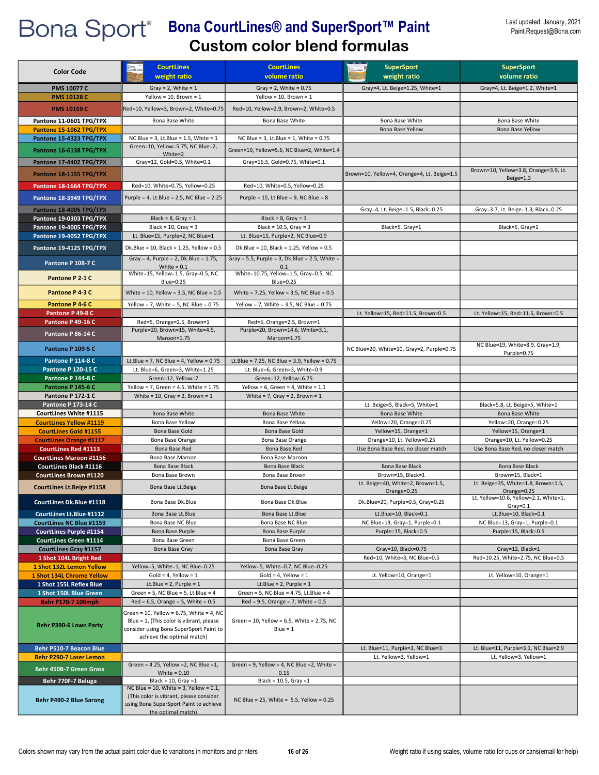| <b>Color Code</b>                                                 | <b>CourtLines</b>                                                                    | <b>CourtLines</b>                                       | <b>SuperSport</b>                                      | <b>SuperSport</b>                                      |
|-------------------------------------------------------------------|--------------------------------------------------------------------------------------|---------------------------------------------------------|--------------------------------------------------------|--------------------------------------------------------|
|                                                                   | weight ratio                                                                         | volume ratio                                            | weight ratio                                           | volume ratio                                           |
| <b>PMS 10077 C</b>                                                | Gray = $2$ , White = $1$                                                             | Gray = $2$ , White = 0.75                               | Gray=4, Lt. Beige=1.25, White=1                        | Gray=4, Lt. Beige=1.2, White=1                         |
| <b>PMS 10128 C</b>                                                | Yellow = 10, Brown = $1$                                                             | Yellow = 10, Brown = $1$                                |                                                        |                                                        |
| <b>PMS 10159 C</b>                                                | Red=10, Yellow=3, Brown=2, White=0.75                                                | Red=10, Yellow=2.9, Brown=2, White=0.5                  |                                                        |                                                        |
| Pantone 11-0601 TPG/TPX                                           | Bona Base White                                                                      | Bona Base White                                         | Bona Base White                                        | Bona Base White                                        |
| Pantone 15-1062 TPG/TPX                                           |                                                                                      |                                                         | Bona Base Yellow                                       | Bona Base Yellow                                       |
| Pantone 15-4323 TPG/TPX                                           | NC Blue = $3$ , Lt. Blue = $1.5$ , White = $1$                                       | NC Blue = $3$ , Lt.Blue = $1$ , White = 0.75            |                                                        |                                                        |
| Pantone 16-6138 TPG/TPX                                           | Green=10, Yellow=5.75, NC Blue=2,<br>White=2                                         | Green=10, Yellow=5.6, NC Blue=2, White=1.4              |                                                        |                                                        |
| Pantone 17-4402 TPG/TPX                                           | Gray=12, Gold=0.5, White=0.1                                                         | Gray=16.5, Gold=0.75, White=0.1                         |                                                        |                                                        |
| Pantone 18-1155 TPG/TPX                                           |                                                                                      |                                                         | Brown=10, Yellow=4, Orange=4, Lt. Beige=1.5            | Brown=10, Yellow=3.8, Orange=3.9, Lt.                  |
| Pantone 18-1664 TPG/TPX                                           | Red=10, White=0.75, Yellow=0.25                                                      | Red=10, White=0.5, Yellow=0.25                          |                                                        | $Beige=1.3$                                            |
|                                                                   |                                                                                      |                                                         |                                                        |                                                        |
| Pantone 18-3949 TPG/TPX                                           | Purple = 4, Lt.Blue = 2.5, NC Blue = 2.25                                            | Purple = $15$ , Lt.Blue = 9, NC Blue = 8                |                                                        |                                                        |
| Pantone 18-4005 TPG/TPX                                           |                                                                                      |                                                         | Gray=4, Lt. Beige=1.5, Black=0.25                      | Gray=3.7, Lt. Beige=1.3, Black=0.25                    |
| Pantone 19-0303 TPG/TPX                                           | Black = $8$ , Gray = 1<br>Black = $10$ , Gray = $3$                                  | Black = $8$ , Gray = 1<br>Black = $10.5$ , Gray = 3     |                                                        |                                                        |
| Pantone 19-4005 TPG/TPX<br>Pantone 19-4052 TPG/TPX                | Lt. Blue=15, Purple=2, NC Blue=1                                                     | Lt. Blue=15, Purple=2, NC Blue=0.9                      | Black=5, Gray=1                                        | Black=5, Gray=1                                        |
|                                                                   |                                                                                      |                                                         |                                                        |                                                        |
| Pantone 19-4125 TPG/TPX                                           | Dk.Blue = 10, Black = 1.25, Yellow = $0.5$                                           | Dk.Blue = 10, Black = 1.25, Yellow = $0.5$              |                                                        |                                                        |
| <b>Pantone P 108-7 C</b>                                          | Gray = 4, Purple = 2, Dk. Blue = $1.75$ ,<br>White = $0.1$                           | Gray = 5.5, Purple = 3, Dk.Blue = 2.5, White =<br>0.1   |                                                        |                                                        |
| Pantone P 2-1 C                                                   | White=15, Yellow=1.5, Gray=0.5, NC                                                   | White=10.75, Yellow=1.5, Gray=0.5, NC                   |                                                        |                                                        |
|                                                                   | <b>Blue=0.25</b>                                                                     | Blue=0.25                                               |                                                        |                                                        |
| Pantone P 4-3 C                                                   | White = $10$ , Yellow = $3.5$ , NC Blue = $0.5$                                      | White = 7.25, Yellow = 3.5, NC Blue = 0.5               |                                                        |                                                        |
| Pantone P 4-6 C                                                   | Yellow = 7, White = 5, NC Blue = $0.75$                                              | Yellow = 7, White = $3.5$ , NC Blue = $0.75$            |                                                        |                                                        |
| Pantone P 49-8 C                                                  |                                                                                      |                                                         | Lt. Yellow=15, Red=11.5, Brown=0.5                     | Lt. Yellow=15, Red=11.5, Brown=0.5                     |
| Pantone P 49-16 C                                                 | Red=5, Orange=2.5, Brown=1                                                           | Red=5, Orange=2.5, Brown=1                              |                                                        |                                                        |
| Pantone P 86-14 C                                                 | Purple=20, Brown=15, White=4.5,<br>Maroon=1.75                                       | Purple=20, Brown=14.6, White=3.1,<br>Maroon=1.75        |                                                        |                                                        |
|                                                                   |                                                                                      |                                                         | NC Blue=20, White=10, Gray=2, Purple=0.75              | NC Blue=19, White=8.9, Gray=1.9,                       |
| <b>Pantone P 109-5 C</b>                                          |                                                                                      |                                                         |                                                        | Purple=0.75                                            |
| Pantone P 114-8 C                                                 | Lt.Blue = 7, NC Blue = 4, Yellow = $0.75$                                            | Lt.Blue = 7.25, NC Blue = 3.9, Yellow = $0.75$          |                                                        |                                                        |
| <b>Pantone P 120-15 C</b><br>Pantone P 144-8 C                    | Lt. Blue=6, Green=3, White=1.25<br>Green=12, Yellow=7                                | Lt. Blue=6, Green=3, White=0.9<br>Green=12, Yellow=6.75 |                                                        |                                                        |
| <b>Pantone P 145-6 C</b>                                          | Yellow = 7, Green = 4.5, White = $1.75$                                              | Yellow = $6$ , Green = $4$ , White = $1.1$              |                                                        |                                                        |
| <b>Pantone P 172-1 C</b>                                          | White = 10, Gray = 2, Brown = $1$                                                    | White = $7$ , Gray = 2, Brown = 1                       |                                                        |                                                        |
| <b>Pantone P 173-14 C</b>                                         |                                                                                      |                                                         | Lt. Beige=5, Black=5, White=1                          | Black=5.8, Lt. Beige=5, White=1                        |
| <b>CourtLines White #1115</b>                                     | Bona Base White                                                                      | Bona Base White                                         | Bona Base White                                        | Bona Base White                                        |
| <b>CourtLines Yellow #1119</b>                                    | Bona Base Yellow                                                                     | Bona Base Yellow                                        | Yellow=20, Orange=0.25                                 | Yellow=20, Orange=0.25                                 |
| <b>CourtLines Gold #1155</b><br><b>CourtLines Orange #1117</b>    | Bona Base Gold<br>Bona Base Orange                                                   | Bona Base Gold<br>Bona Base Orange                      | Yellow=15, Orange=1<br>Orange=10, Lt. Yellow=0.25      | Yellow=15, Orange=1<br>Orange=10, Lt. Yellow=0.25      |
| <b>CourtLines Red #1113</b>                                       | Bona Base Red                                                                        | Bona Base Red                                           | Use Bona Base Red, no closer match                     | Use Bona Base Red, no closer match                     |
| <b>CourtLines Maroon #1156</b>                                    | Bona Base Maroon                                                                     | Bona Base Maroon                                        |                                                        |                                                        |
| <b>CourtLines Black #1116</b>                                     | Bona Base Black                                                                      | Bona Base Black                                         | Bona Base Black                                        | Bona Base Black                                        |
| <b>CourtLines Brown #1120</b>                                     | Bona Base Brown                                                                      | Bona Base Brown                                         | Brown=15, Black=1                                      | Brown=15, Black=1                                      |
| <b>CourtLines Lt.Beige #1158</b>                                  | Bona Base Lt. Beige                                                                  | Bona Base Lt. Beige                                     | Lt. Beige=40, White=2, Brown=1.5,<br>Orange=0.25       | Lt. Beige=35, White=1.8, Brown=1.5,<br>Orange=0.25     |
| CourtLines Dk.Blue #1118                                          | Bona Base Dk.Blue                                                                    | Bona Base Dk.Blue                                       | Dk.Blue=20, Purple=0.5, Gray=0.25                      | Lt. Yellow=10.6, Yellow=2.1, White=1,                  |
|                                                                   |                                                                                      |                                                         |                                                        | $Gray=0.1$                                             |
| <b>CourtLines Lt.Blue #1112</b>                                   | Bona Base Lt.Blue<br>Bona Base NC Blue                                               | Bona Base Lt.Blue<br>Bona Base NC Blue                  | Lt.Blue=10, Black=0.1                                  | Lt.Blue=10, Black=0.1                                  |
| <b>CourtLines NC Blue #1159</b><br><b>CourtLines Purple #1154</b> | Bona Base Purple                                                                     | Bona Base Purple                                        | NC Blue=13, Gray=1, Purple=0.1<br>Purple=15, Black=0.5 | NC Blue=13, Gray=1, Purple=0.1<br>Purple=15, Black=0.5 |
| <b>CourtLines Green #1114</b>                                     | Bona Base Green                                                                      | Bona Base Green                                         |                                                        |                                                        |
| <b>CourtLines Gray #1157</b>                                      | Bona Base Gray                                                                       | Bona Base Gray                                          | Gray=10, Black=0.75                                    | Gray=12, Black=1                                       |
| 1 Shot 104L Bright Red                                            |                                                                                      |                                                         | Red=10, White=3, NC Blue=0.5                           | Red=10.25, White=2.75, NC Blue=0.5                     |
| 1 Shot 132L Lemon Yellow                                          | Yellow=5, White=1, NC Blue=0.25                                                      | Yellow=5, White=0.7, NC Blue=0.25                       |                                                        |                                                        |
| 1 Shot 134L Chrome Yellow<br>1 Shot 155L Reflex Blue              | $Gold = 4, Yellow = 1$<br>Lt.Blue = $2$ , Purple = $1$                               | $Gold = 4, Yellow = 1$<br>Lt.Blue = $2$ , Purple = $1$  | Lt. Yellow=10, Orange=1                                | Lt. Yellow=10, Orange=1                                |
| 1 Shot 150L Blue Green                                            | Green = 5, NC Blue = 5, Lt.Blue = 4                                                  | Green = 5, NC Blue = 4.75, Lt.Blue = 4                  |                                                        |                                                        |
| Behr P170-7 100mph                                                | $Red = 6.5$ , Orange = 5, White = 0.5                                                | $Red = 9.5$ , Orange = 7, White = 0.5                   |                                                        |                                                        |
|                                                                   | Green = 10, Yellow = 6.75, White = 4, NC                                             |                                                         |                                                        |                                                        |
| Behr P390-6 Lawn Party                                            | Blue = 1, (This color is vibrant, please                                             | Green = 10, Yellow = 6.5, White = 2.75, NC              |                                                        |                                                        |
|                                                                   | consider using Bona SuperSport Paint to                                              | $Blue = 1$                                              |                                                        |                                                        |
|                                                                   | achieve the optimal match)                                                           |                                                         |                                                        |                                                        |
| Behr P510-7 Beacon Blue                                           |                                                                                      |                                                         | Lt. Blue=11, Purple=3, NC Blue=3                       | Lt. Blue=11, Purple=3.1, NC Blue=2.9                   |
| <b>Behr P290-7 Laser Lemon</b>                                    | Green = 4.25, Yellow = 2, NC Blue = 1,                                               | Green = 9, Yellow = 4, NC Blue = 2, White =             | Lt. Yellow=3, Yellow=1                                 | Lt. Yellow=3, Yellow=1                                 |
| Behr 450B-7 Green Grass                                           | White = $0.10$                                                                       | 0.15                                                    |                                                        |                                                        |
| Behr 770F-7 Beluga                                                | Black = $10$ , Gray = 1                                                              | Black = $10.5$ , Gray = 1                               |                                                        |                                                        |
|                                                                   | NC Blue = 10, White = 3, Yellow = $0.1$ ,<br>(This color is vibrant, please consider |                                                         |                                                        |                                                        |
| Behr P490-2 Blue Sarong                                           | using Bona SuperSport Paint to achieve                                               | NC Blue = 25, White = 5.5, Yellow = 0.25                |                                                        |                                                        |
|                                                                   | the optimal match)                                                                   |                                                         |                                                        |                                                        |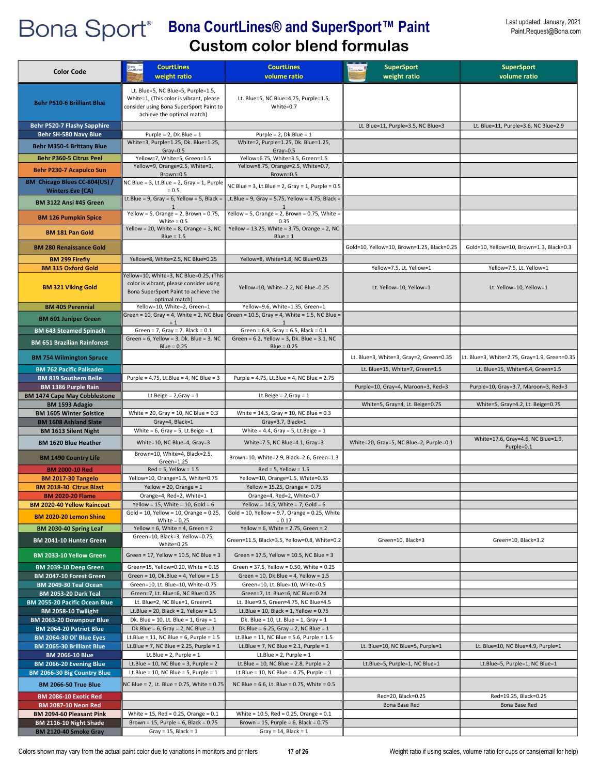| <b>Color Code</b>                                              | <b>CourtLines</b>                                                                                                                                      | <b>CourtLines</b>                                                                                         | <b>SuperSport</b>                          | <b>SuperSport</b>                                |
|----------------------------------------------------------------|--------------------------------------------------------------------------------------------------------------------------------------------------------|-----------------------------------------------------------------------------------------------------------|--------------------------------------------|--------------------------------------------------|
|                                                                | weight ratio                                                                                                                                           | volume ratio                                                                                              | weight ratio                               | volume ratio                                     |
| <b>Behr P510-6 Brilliant Blue</b>                              | Lt. Blue=5, NC Blue=5, Purple=1.5,<br>White=1, (This color is vibrant, please<br>consider using Bona SuperSport Paint to<br>achieve the optimal match) | Lt. Blue=5, NC Blue=4.75, Purple=1.5,<br>White=0.7                                                        |                                            |                                                  |
| <b>Behr P520-7 Flashy Sapphire</b>                             |                                                                                                                                                        |                                                                                                           | Lt. Blue=11, Purple=3.5, NC Blue=3         | Lt. Blue=11, Purple=3.6, NC Blue=2.9             |
| Behr SH-580 Navy Blue                                          | Purple = $2$ , Dk.Blue = $1$                                                                                                                           | Purple = $2$ , Dk.Blue = $1$                                                                              |                                            |                                                  |
| <b>Behr M350-4 Brittany Blue</b>                               | White=3, Purple=1.25, Dk. Blue=1.25,<br>$Gray=0.5$                                                                                                     | White=2, Purple=1.25, Dk. Blue=1.25,<br>$Gray = 0.5$                                                      |                                            |                                                  |
| <b>Behr P360-5 Citrus Peel</b>                                 | Yellow=7, White=5, Green=1.5                                                                                                                           | Yellow=6.75, White=3.5, Green=1.5                                                                         |                                            |                                                  |
| <b>Behr P230-7 Acapulco Sun</b>                                | Yellow=9, Orange=2.5, White=1,<br>Brown=0.5                                                                                                            | Yellow=8.75, Orange=2.5, White=0.7,<br>Brown=0.5                                                          |                                            |                                                  |
| BM Chicago Blues CC-804(US) /<br><b>Winters Eve (CA)</b>       | NC Blue = 3, Lt.Blue = 2, Gray = 1, Purple<br>$= 0.5$                                                                                                  | NC Blue = 3, Lt.Blue = 2, Gray = 1, Purple = $0.5$                                                        |                                            |                                                  |
| <b>BM 3122 Ansi #45 Green</b>                                  | Lt.Blue = 9, Gray = 6, Yellow = 5, Black =                                                                                                             | Lt.Blue = 9, Gray = 5.75, Yellow = 4.75, Black =                                                          |                                            |                                                  |
| <b>BM 126 Pumpkin Spice</b>                                    | Yellow = 5, Orange = 2, Brown = $0.75$ ,<br>White = $0.5$                                                                                              | Yellow = 5, Orange = 2, Brown = 0.75, White =<br>0.35                                                     |                                            |                                                  |
| <b>BM 181 Pan Gold</b>                                         | Yellow = 20, White = 8, Orange = 3, NC<br>$Blue = 1.5$                                                                                                 | Yellow = 13.25, White = 3.75, Orange = 2, NC<br>$Blue = 1$                                                |                                            |                                                  |
| <b>BM 280 Renaissance Gold</b>                                 |                                                                                                                                                        |                                                                                                           | Gold=10, Yellow=10, Brown=1.25, Black=0.25 | Gold=10, Yellow=10, Brown=1.3, Black=0.3         |
| <b>BM 299 Firefly</b>                                          | Yellow=8, White=2.5, NC Blue=0.25                                                                                                                      | Yellow=8, White=1.8, NC Blue=0.25                                                                         |                                            |                                                  |
| <b>BM 315 Oxford Gold</b>                                      | Yellow=10, White=3, NC Blue=0.25, (This                                                                                                                |                                                                                                           | Yellow=7.5, Lt. Yellow=1                   | Yellow=7.5, Lt. Yellow=1                         |
| <b>BM 321 Viking Gold</b>                                      | color is vibrant, please consider using<br>Bona SuperSport Paint to achieve the<br>optimal match)                                                      | Yellow=10, White=2.2, NC Blue=0.25                                                                        | Lt. Yellow=10, Yellow=1                    | Lt. Yellow=10, Yellow=1                          |
| <b>BM 405 Perennial</b>                                        | Yellow=10, White=2, Green=1                                                                                                                            | Yellow=9.6, White=1.35, Green=1                                                                           |                                            |                                                  |
| <b>BM 601 Juniper Green</b>                                    | $= 1$                                                                                                                                                  | Green = 10, Gray = 4, White = 2, NC Blue Green = 10.5, Gray = 4, White = 1.5, NC Blue =<br>$\overline{1}$ |                                            |                                                  |
| <b>BM 643 Steamed Spinach</b>                                  | Green = $7$ , Gray = $7$ , Black = $0.1$                                                                                                               | Green = $6.9$ , Gray = $6.5$ , Black = $0.1$                                                              |                                            |                                                  |
| <b>BM 651 Brazilian Rainforest</b>                             | Green = $6$ , Yellow = $3$ , Dk. Blue = $3$ , NC<br>$Blue = 0.25$                                                                                      | Green = 6.2, Yellow = 3, Dk. Blue = 3.1, NC<br>Blue = $0.25$                                              |                                            |                                                  |
| <b>BM 754 Wilmington Spruce</b>                                |                                                                                                                                                        |                                                                                                           | Lt. Blue=3, White=3, Gray=2, Green=0.35    | Lt. Blue=3, White=2.75, Gray=1.9, Green=0.35     |
| <b>BM 762 Pacific Palisades</b>                                |                                                                                                                                                        |                                                                                                           | Lt. Blue=15, White=7, Green=1.5            | Lt. Blue=15, White=6.4, Green=1.5                |
| <b>BM 819 Southern Belle</b>                                   | Purple = 4.75, Lt.Blue = 4, NC Blue = 3                                                                                                                | Purple = 4.75, Lt.Blue = 4, NC Blue = 2.75                                                                |                                            |                                                  |
| BM 1386 Purple Rain                                            |                                                                                                                                                        |                                                                                                           | Purple=10, Gray=4, Maroon=3, Red=3         | Purple=10, Gray=3.7, Maroon=3, Red=3             |
| <b>BM 1474 Cape May Cobblestone</b>                            | Lt.Beige = $2,$ Gray = 1                                                                                                                               | Lt.Beige = $2,$ Gray = 1                                                                                  |                                            |                                                  |
| BM 1593 Adagio                                                 |                                                                                                                                                        |                                                                                                           | White=5, Gray=4, Lt. Beige=0.75            | White=5, Gray=4.2, Lt. Beige=0.75                |
| <b>BM 1605 Winter Solstice</b><br><b>BM 1608 Ashland Slate</b> | White = 20, Gray = 10, NC Blue = $0.3$<br>Gray=4, Black=1                                                                                              | White = $14.5$ , Gray = $10$ , NC Blue = $0.3$<br>Gray=3.7, Black=1                                       |                                            |                                                  |
| <b>BM 1613 Silent Night</b>                                    | White = $6$ , Gray = $5$ , Lt. Beige = $1$                                                                                                             | White = 4.4, Gray = 5, Lt.Beige = $1$                                                                     |                                            |                                                  |
| <b>BM 1620 Blue Heather</b>                                    | White=10, NC Blue=4, Gray=3                                                                                                                            | White=7.5, NC Blue=4.1, Gray=3                                                                            | White=20, Gray=5, NC Blue=2, Purple=0.1    | White=17.6, Gray=4.6, NC Blue=1.9,<br>Purple=0.1 |
| <b>BM 1490 Country Life</b>                                    | Brown=10, White=4, Black=2.5,<br>Green=1.25                                                                                                            | Brown=10, White=2.9, Black=2.6, Green=1.3                                                                 |                                            |                                                  |
| <b>BM 2000-10 Red</b>                                          | $Red = 5$ , Yellow = 1.5                                                                                                                               | $Red = 5$ , Yellow = 1.5                                                                                  |                                            |                                                  |
| <b>BM 2017-30 Tangelo</b><br><b>BM 2018-30 Citrus Blast</b>    | Yellow=10, Orange=1.5, White=0.75<br>Yellow = 20, Orange = $1$                                                                                         | Yellow=10, Orange=1.5, White=0.55<br>Yellow = $15.25$ , Orange = $0.75$                                   |                                            |                                                  |
| <b>BM 2020-20 Flame</b>                                        | Orange=4, Red=2, White=1                                                                                                                               | Orange=4, Red=2, White=0.7                                                                                |                                            |                                                  |
| <b>BM 2020-40 Yellow Raincoat</b>                              | Yellow = 15, White = 10, Gold = $6$                                                                                                                    | Yellow = $14.5$ , White = 7, Gold = 6                                                                     |                                            |                                                  |
| <b>BM 2020-20 Lemon Shine</b>                                  | $Gold = 10$ , Yellow = 10, Orange = 0.25,                                                                                                              | Gold = 10, Yellow = 9.7, Orange = 0.25, White                                                             |                                            |                                                  |
| BM 2030-40 Spring Leaf                                         | White = $0.25$<br>Yellow = 6, White = 4, Green = 2                                                                                                     | $= 0.17$<br>Yellow = $6$ , White = 2.75, Green = 2                                                        |                                            |                                                  |
| BM 2041-10 Hunter Green                                        | Green=10, Black=3, Yellow=0.75,                                                                                                                        | Green=11.5, Black=3.5, Yellow=0.8, White=0.2                                                              | Green=10, Black=3                          | Green=10, Black=3.2                              |
| BM 2033-10 Yellow Green                                        | White=0.25<br>Green = 17, Yellow = 10.5, NC Blue = 3                                                                                                   | Green = $17.5$ , Yellow = $10.5$ , NC Blue = 3                                                            |                                            |                                                  |
| BM 2039-10 Deep Green                                          | Green=15, Yellow=0.20, White = 0.15                                                                                                                    | Green = 37.5, Yellow = 0.50, White = 0.25                                                                 |                                            |                                                  |
| BM 2047-10 Forest Green                                        | Green = $10$ , Dk. Blue = $4$ , Yellow = $1.5$                                                                                                         | Green = $10$ , Dk.Blue = $4$ , Yellow = $1.5$                                                             |                                            |                                                  |
| BM 2049-30 Teal Ocean                                          | Green=10, Lt. Blue=10, White=0.75                                                                                                                      | Green=10, Lt. Blue=10, White=0.5                                                                          |                                            |                                                  |
| <b>BM 2053-20 Dark Teal</b>                                    | Green=7, Lt. Blue=6, NC Blue=0.25                                                                                                                      | Green=7, Lt. Blue=6, NC Blue=0.24                                                                         |                                            |                                                  |
| <b>BM 2055-20 Pacific Ocean Blue</b>                           | Lt. Blue=2, NC Blue=1, Green=1                                                                                                                         | Lt. Blue=9.5, Green=4.75, NC Blue=4.5                                                                     |                                            |                                                  |
| BM 2058-10 Twilight<br>BM 2063-20 Downpour Blue                | Lt.Blue = 20, Black = 2, Yellow = $1.5$<br>Dk. Blue = 10, Lt. Blue = 1, Gray = 1                                                                       | Lt.Blue = $10$ , Black = $1$ , Yellow = $0.75$<br>Dk. Blue = 10, Lt. Blue = 1, Gray = 1                   |                                            |                                                  |
| BM 2064-20 Patriot Blue                                        | Dk.Blue = $6$ , Gray = $2$ , NC Blue = $1$                                                                                                             | Dk.Blue = $6.25$ , Gray = $2$ , NC Blue = $1$                                                             |                                            |                                                  |
| BM 2064-30 Ol' Blue Eyes                                       | Lt.Blue = 11, NC Blue = $6$ , Purple = 1.5                                                                                                             | Lt.Blue = 11, NC Blue = 5.6, Purple = $1.5$                                                               |                                            |                                                  |
| <b>BM 2065-30 Brilliant Blue</b>                               | Lt.Blue = 7, NC Blue = 2.25, Purple = $1$                                                                                                              | Lt.Blue = 7, NC Blue = $2.1$ , Purple = 1                                                                 | Lt. Blue=10, NC Blue=5, Purple=1           | Lt. Blue=10, NC Blue=4.9, Purple=1               |
| <b>BM 2066-10 Blue</b>                                         | Lt.Blue = $2$ , Purple = $1$                                                                                                                           | Lt.Blue = $2$ , Purple = $1$                                                                              |                                            |                                                  |
| BM 2066-20 Evening Blue<br>BM 2066-30 Big Country Blue         | Lt.Blue = 10, NC Blue = 3, Purple = $2$<br>Lt.Blue = 10, NC Blue = 5, Purple = $1$                                                                     | Lt.Blue = 10, NC Blue = 2.8, Purple = 2<br>Lt.Blue = 10, NC Blue = 4.75, Purple = 1                       | Lt.Blue=5, Purple=1, NC Blue=1             | Lt.Blue=5, Purple=1, NC Blue=1                   |
| <b>BM 2066-50 True Blue</b>                                    | NC Blue = 7, Lt. Blue = 0.75, White = 0.75                                                                                                             | NC Blue = $6.6$ , Lt. Blue = 0.75, White = 0.5                                                            |                                            |                                                  |
| BM 2086-10 Exotic Red                                          |                                                                                                                                                        |                                                                                                           | Red=20, Black=0.25                         | Red=19.25, Black=0.25                            |
| <b>BM 2087-10 Neon Red</b>                                     |                                                                                                                                                        |                                                                                                           | Bona Base Red                              | Bona Base Red                                    |
| BM 2094-60 Pleasant Pink                                       | White = $15$ , Red = 0.25, Orange = $0.1$                                                                                                              | White = $10.5$ , Red = 0.25, Orange = $0.1$                                                               |                                            |                                                  |
| BM 2116-10 Night Shade                                         | Brown = $15$ , Purple = $6$ , Black = $0.75$                                                                                                           | Brown = $15$ , Purple = $6$ , Black = $0.75$                                                              |                                            |                                                  |
| BM 2120-40 Smoke Gray                                          | Gray = $15$ , Black = $1$                                                                                                                              | Gray = $14$ , Black = $1$                                                                                 |                                            |                                                  |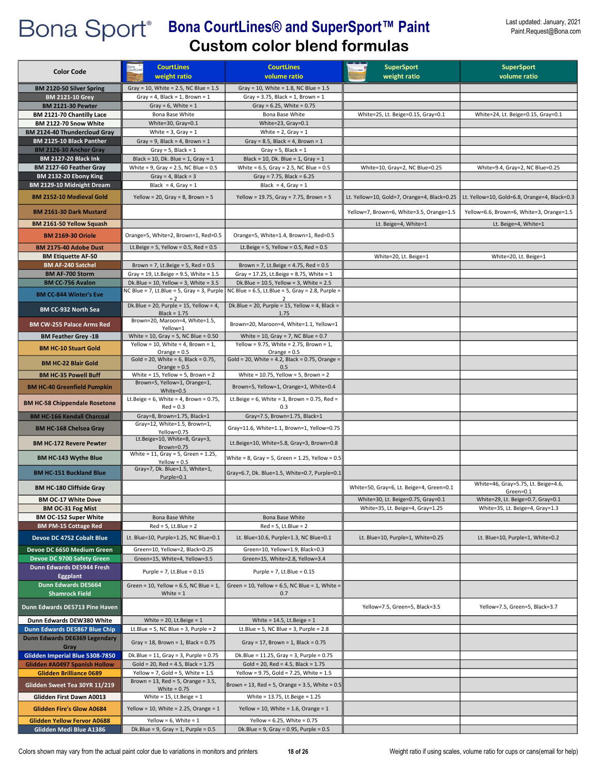| <b>Color Code</b>                                              | <b>CourtLines</b><br>weight ratio                                                             | <b>CourtLines</b><br>volume ratio                                                                        | <b>SuperSport</b><br>weight ratio           | <b>SuperSport</b><br>volume ratio            |
|----------------------------------------------------------------|-----------------------------------------------------------------------------------------------|----------------------------------------------------------------------------------------------------------|---------------------------------------------|----------------------------------------------|
| BM 2120-50 Silver Spring                                       | Gray = 10, White = 2.5, NC Blue = 1.5                                                         | Gray = 10, White = 1.8, NC Blue = $1.5$                                                                  |                                             |                                              |
| <b>BM 2121-10 Grey</b>                                         | Gray = 4, Black = 1, Brown = $1$                                                              | Gray = $3.75$ , Black = 1, Brown = 1                                                                     |                                             |                                              |
| <b>BM 2121-30 Pewter</b>                                       | Gray = $6$ , White = $1$                                                                      | Gray = $6.25$ , White = $0.75$                                                                           |                                             |                                              |
| BM 2121-70 Chantilly Lace<br>BM 2122-70 Snow White             | Bona Base White<br>White=30, Gray=0.1                                                         | Bona Base White<br>White=23, Gray=0.1                                                                    | White=25, Lt. Beige=0.15, Gray=0.1          | White=24, Lt. Beige=0.15, Gray=0.1           |
| <b>BM 2124-40 Thundercloud Gray</b>                            | White = $3$ , Gray = $1$                                                                      | White = $2$ , Gray = $1$                                                                                 |                                             |                                              |
| BM 2125-10 Black Panther                                       | Gray = 9, Black = 4, Brown = $1$                                                              | Gray = 8.5, Black = 4, Brown = $1$                                                                       |                                             |                                              |
| BM 2126-30 Anchor Gray                                         | Gray = $5$ , Black = $1$                                                                      | Gray = $5$ , Black = $1$                                                                                 |                                             |                                              |
| <b>BM 2127-20 Black Ink</b>                                    | Black = 10, Dk. Blue = 1, Gray = 1                                                            | Black = 10, Dk. Blue = 1, Gray = 1                                                                       |                                             |                                              |
| BM 2127-60 Feather Gray<br>BM 2132-20 Ebony King               | White = $9$ , Gray = $2.5$ , NC Blue = $0.5$<br>Gray = $4$ , Black = $3$                      | White = $6.5$ , Gray = $2.5$ , NC Blue = $0.5$<br>Gray = 7.75, Black = $6.25$                            | White=10, Gray=2, NC Blue=0.25              | White=9.4, Gray=2, NC Blue=0.25              |
| BM 2129-10 Midnight Dream                                      | Black = $4$ , Gray = 1                                                                        | Black = $4$ , Gray = 1                                                                                   |                                             |                                              |
| BM 2152-10 Medieval Gold                                       | Yellow = 20, Gray = 8, Brown = $5$                                                            | Yellow = 19.75, Gray = 7.75, Brown = 5                                                                   | Lt. Yellow=10, Gold=7, Orange=4, Black=0.25 | Lt. Yellow=10, Gold=6.8, Orange=4, Black=0.3 |
| <b>BM 2161-30 Dark Mustard</b>                                 |                                                                                               |                                                                                                          | Yellow=7, Brown=6, White=3.5, Orange=1.5    | Yellow=6.6, Brown=6, White=3, Orange=1.5     |
| BM 2161-50 Yellow Squash                                       |                                                                                               |                                                                                                          | Lt. Beige=4, White=1                        | Lt. Beige=4, White=1                         |
| <b>BM 2169-30 Oriole</b><br>BM 2175-40 Adobe Dust              | Orange=5, White=2, Brown=1, Red=0.5<br>Lt.Beige = 5, Yellow = $0.5$ , Red = $0.5$             | Orange=5, White=1.4, Brown=1, Red=0.5<br>Lt.Beige = 5, Yellow = $0.5$ , Red = $0.5$                      |                                             |                                              |
| <b>BM Etiquette AF-50</b>                                      |                                                                                               |                                                                                                          | White=20, Lt. Beige=1                       | White=20, Lt. Beige=1                        |
| <b>BM AF-240 Satchel</b>                                       | Brown = 7, Lt.Beige = 5, Red = $0.5$                                                          | Brown = 7, Lt.Beige = $4.75$ , Red = $0.5$                                                               |                                             |                                              |
| <b>BM AF-700 Storm</b>                                         | Gray = 19, Lt. Beige = 9.5, White = $1.5$                                                     | Gray = 17.25, Lt.Beige = 8.75, White = 1                                                                 |                                             |                                              |
| <b>BM CC-756 Avalon</b>                                        | Dk.Blue = $10$ , Yellow = $3$ , White = $3.5$                                                 | Dk.Blue = $10.5$ , Yellow = 3, White = $2.5$                                                             |                                             |                                              |
| <b>BM CC-844 Winter's Eve</b>                                  | NC Blue = 7, Lt.Blue = 5, Gray = 3, Purple<br>$= 2$<br>Dk.Blue = 20, Purple = 15, Yellow = 4, | NC Blue = $6.5$ , Lt.Blue = $5$ , Gray = 2.8, Purple =<br>Dk.Blue = 20, Purple = 15, Yellow = 4, Black = |                                             |                                              |
| BM CC-932 North Sea                                            | $Black = 1.75$<br>Brown=20, Maroon=4, White=1.5,                                              | 1.75                                                                                                     |                                             |                                              |
| <b>BM CW-255 Palace Arms Red</b><br><b>BM Feather Grey -1B</b> | Yellow=1<br>White = $10$ , Gray = 5, NC Blue = $0.50$                                         | Brown=20, Maroon=4, White=1.1, Yellow=1<br>White = 10, Gray = 7, NC Blue = $0.7$                         |                                             |                                              |
|                                                                | Yellow = 10, White = 4, Brown = 1,                                                            | Yellow = 9.75, White = 2.75, Brown = 1,                                                                  |                                             |                                              |
| <b>BM HC-10 Stuart Gold</b><br><b>BM HC-22 Blair Gold</b>      | Orange = $0.5$<br>$Gold = 20$ , White = 6, Black = 0.75,                                      | Orange = $0.5$<br>Gold = 20, White = 4.2, Black = $0.75$ , Orange =                                      |                                             |                                              |
|                                                                | Orange = $0.5$                                                                                | 0.5                                                                                                      |                                             |                                              |
| <b>BM HC-35 Powell Buff</b>                                    | White = $15$ , Yellow = $5$ , Brown = $2$<br>Brown=5, Yellow=1, Orange=1,                     | White = $10.75$ , Yellow = 5, Brown = 2                                                                  |                                             |                                              |
| <b>BM HC-40 Greenfield Pumpkin</b>                             | White=0.5                                                                                     | Brown=5, Yellow=1, Orange=1, White=0.4                                                                   |                                             |                                              |
| <b>BM HC-58 Chippendale Rosetone</b>                           | Lt.Beige = $6$ , White = $4$ , Brown = 0.75,<br>$Red = 0.3$                                   | Lt.Beige = $6$ , White = $3$ , Brown = 0.75, Red =<br>0.3                                                |                                             |                                              |
| <b>BM HC-166 Kendall Charcoal</b>                              | Gray=8, Brown=1.75, Black=1                                                                   | Gray=7.5, Brown=1.75, Black=1                                                                            |                                             |                                              |
| <b>BM HC-168 Chelsea Gray</b>                                  | Gray=12, White=1.5, Brown=1,<br>Yellow=0.75<br>Lt.Beige=10, White=8, Gray=3,                  | Gray=11.6, White=1.1, Brown=1, Yellow=0.75                                                               |                                             |                                              |
| <b>BM HC-172 Revere Pewter</b>                                 | Brown=0.75<br>White = 11, Gray = 5, Green = 1.25,                                             | Lt.Beige=10, White=5.8, Gray=3, Brown=0.8                                                                |                                             |                                              |
| <b>BM HC-143 Wythe Blue</b>                                    | Yellow = $0.5$<br>Gray=7, Dk. Blue=1.5, White=1,                                              | White = 8, Gray = 5, Green = 1.25, Yellow = $0.5$                                                        |                                             |                                              |
| <b>BM HC-151 Buckland Blue</b>                                 | Purple=0.1                                                                                    | Gray=6.7, Dk. Blue=1.5, White=0.7, Purple=0.1                                                            |                                             | White=46, Gray=5.75, Lt. Beige=4.6,          |
| <b>BM HC-180 Cliffside Gray</b>                                |                                                                                               |                                                                                                          | White=50, Gray=6, Lt. Beige=4, Green=0.1    | Green=0.1                                    |
| <b>BM OC-17 White Dove</b>                                     |                                                                                               |                                                                                                          | White=30, Lt. Beige=0.75, Gray=0.1          | White=29, Lt. Beige=0.7, Gray=0.1            |
| <b>BM OC-31 Fog Mist</b><br><b>BM OC-152 Super White</b>       | Bona Base White                                                                               | Bona Base White                                                                                          | White=35, Lt. Beige=4, Gray=1.25            | White=35, Lt. Beige=4, Gray=1.3              |
| <b>BM PM-15 Cottage Red</b>                                    | $Red = 5$ , Lt.Blue = 2                                                                       | $Red = 5$ , Lt.Blue = 2                                                                                  |                                             |                                              |
| Devoe DC 4752 Cobalt Blue                                      | Lt. Blue=10, Purple=1.25, NC Blue=0.1                                                         | Lt. Blue=10.6, Purple=1.3, NC Blue=0.1                                                                   | Lt. Blue=10, Purple=1, White=0.25           | Lt. Blue=10, Purple=1, White=0.2             |
| Devoe DC 6650 Medium Green                                     | Green=10, Yellow=2, Black=0.25                                                                | Green=10, Yellow=1.9, Black=0.3                                                                          |                                             |                                              |
| Devoe DC 9700 Safety Green                                     | Green=15, White=4, Yellow=3.5                                                                 | Green=15, White=2.8, Yellow=3.4                                                                          |                                             |                                              |
| Dunn Edwards DE5944 Fresh<br>Eggplant                          | Purple = $7$ , Lt.Blue = $0.15$                                                               | Purple = $7$ , Lt.Blue = $0.15$                                                                          |                                             |                                              |
| Dunn Edwards DE5664<br><b>Shamrock Field</b>                   | Green = 10, Yellow = 6.5, NC Blue = 1,<br>White $= 1$                                         | Green = $10$ , Yellow = $6.5$ , NC Blue = $1$ , White =<br>0.7                                           |                                             |                                              |
| Dunn Edwards DE5713 Pine Haven                                 |                                                                                               |                                                                                                          | Yellow=7.5, Green=5, Black=3.5              | Yellow=7.5, Green=5, Black=3.7               |
| Dunn Edwards DEW380 White                                      | White = $20$ , Lt. Beige = $1$                                                                | White = $14.5$ , Lt. Beige = $1$                                                                         |                                             |                                              |
| Dunn Edwards DE5867 Blue Chip                                  | Lt.Blue = 5, NC Blue = 3, Purple = $2$                                                        | Lt.Blue = 5, NC Blue = 3, Purple = $2.8$                                                                 |                                             |                                              |
| Dunn Edwards DE6369 Legendary<br>Gray                          | Gray = 18, Brown = 1, Black = $0.75$                                                          | Gray = 17, Brown = 1, Black = $0.75$                                                                     |                                             |                                              |
| Glidden Imperial Blue 5308-7850                                | Dk.Blue = $11$ , Gray = 3, Purple = 0.75                                                      | Dk.Blue = 11.25, Gray = 3, Purple = 0.75                                                                 |                                             |                                              |
| Glidden #A0497 Spanish Hollow                                  | $Gold = 20$ , Red = 4.5, Black = 1.75                                                         | $Gold = 20$ , Red = 4.5, Black = 1.75                                                                    |                                             |                                              |
| <b>Glidden Brilliance 0689</b>                                 | Yellow = 7, Gold = 5, White = $1.5$<br>Brown = $13$ , Red = $5$ , Orange = $3.5$ ,            | Yellow = 9.75, Gold = 7.25, White = 1.5                                                                  |                                             |                                              |
| Glidden Sweet Tea 30YR 11/219                                  | White = $0.75$                                                                                | Brown = 13, Red = 5, Orange = 3.5, White = $0.5$                                                         |                                             |                                              |
| Glidden First Dawn A0013                                       | White = $15$ , Lt.Beige = $1$                                                                 | White = 13.75, Lt. Beige = 1.25                                                                          |                                             |                                              |
| <b>Glidden Fire's Glow A0684</b>                               | Yellow = 10, White = 2.25, Orange = $1$                                                       | Yellow = 10, White = 1.6, Orange = $1$                                                                   |                                             |                                              |
| <b>Glidden Yellow Fervor A0688</b>                             | Yellow = $6$ , White = $1$                                                                    | Yellow = $6.25$ , White = $0.75$                                                                         |                                             |                                              |
| Glidden Medi Blue A1386                                        | Dk.Blue = $9$ , Gray = $1$ , Purple = $0.5$                                                   | Dk.Blue = $9$ , Gray = 0.95, Purple = 0.5                                                                |                                             |                                              |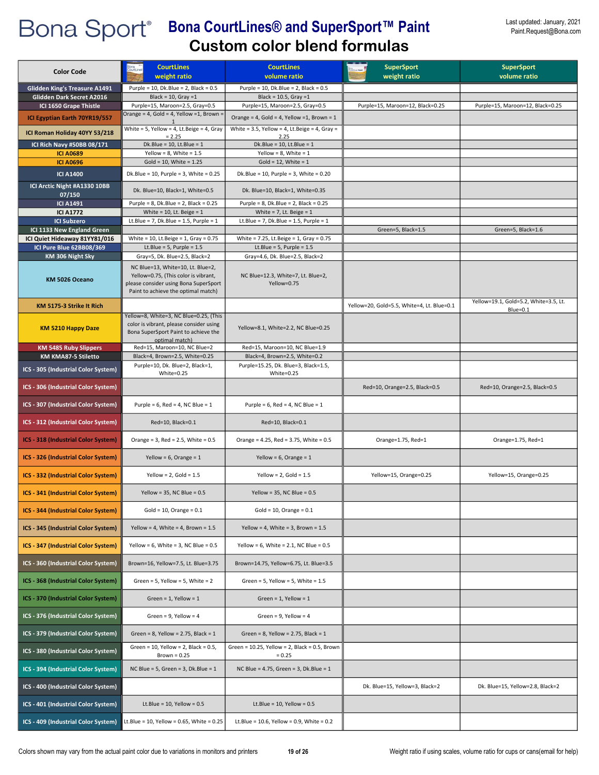| <b>Color Code</b>                                                          | <b>CourtLines</b><br>weight ratio                                                                                                                         | <b>CourtLines</b><br>volume ratio                                                | <b>SuperSport</b><br>weight ratio          | <b>SuperSport</b><br>volume ratio                 |
|----------------------------------------------------------------------------|-----------------------------------------------------------------------------------------------------------------------------------------------------------|----------------------------------------------------------------------------------|--------------------------------------------|---------------------------------------------------|
| <b>Glidden King's Treasure A1491</b>                                       | Purple = 10, Dk.Blue = $2$ , Black = $0.5$                                                                                                                | Purple = $10$ , Dk.Blue = $2$ , Black = $0.5$                                    |                                            |                                                   |
| Glidden Dark Secret A2016                                                  | Black = $10$ , Gray = 1                                                                                                                                   | Black = $10.5$ , Gray = 1                                                        |                                            |                                                   |
| ICI 1650 Grape Thistle<br>ICI Egyptian Earth 70YR19/557                    | Purple=15, Maroon=2.5, Gray=0.5<br>Orange = 4, Gold = 4, Yellow = 1, Brown =                                                                              | Purple=15, Maroon=2.5, Gray=0.5<br>Orange = 4, Gold = 4, Yellow = 1, Brown = $1$ | Purple=15, Maroon=12, Black=0.25           | Purple=15, Maroon=12, Black=0.25                  |
|                                                                            | White = 5, Yellow = 4, Lt.Beige = 4, Gray                                                                                                                 | White = 3.5, Yellow = 4, Lt.Beige = 4, Gray =                                    |                                            |                                                   |
| ICI Roman Holiday 40YY 53/218                                              | $= 2.25$                                                                                                                                                  | 2.25                                                                             |                                            |                                                   |
| ICI Rich Navy #50BB 08/171<br><b>ICI A0689</b>                             | $Dk.Blue = 10$ , Lt.Blue = 1<br>Yellow = $8$ , White = $1.5$                                                                                              | $Dk.Blue = 10$ , Lt.Blue = 1<br>Yellow = $8$ , White = $1$                       |                                            |                                                   |
| <b>ICI A0696</b>                                                           | Gold = $10$ , White = $1.25$                                                                                                                              | Gold = $12$ , White = $1$                                                        |                                            |                                                   |
| <b>ICI A1400</b>                                                           | Dk.Blue = $10$ , Purple = 3, White = $0.25$                                                                                                               | Dk.Blue = $10$ , Purple = $3$ , White = $0.20$                                   |                                            |                                                   |
| ICI Arctic Night #A1330 10BB<br>07/150                                     | Dk. Blue=10, Black=1, White=0.5                                                                                                                           | Dk. Blue=10, Black=1, White=0.35                                                 |                                            |                                                   |
| <b>ICI A1491</b><br><b>ICI A1772</b>                                       | Purple = $8$ , Dk.Blue = $2$ , Black = $0.25$<br>White = $10$ , Lt. Beige = $1$                                                                           | Purple = $8$ , Dk.Blue = $2$ , Black = $0.25$<br>White = $7$ , Lt. Beige = $1$   |                                            |                                                   |
| <b>ICI Subzero</b>                                                         | Lt.Blue = $7$ , Dk.Blue = 1.5, Purple = 1                                                                                                                 | Lt.Blue = 7, Dk.Blue = $1.5$ , Purple = $1$                                      |                                            |                                                   |
| ICI 1133 New England Green                                                 |                                                                                                                                                           |                                                                                  | Green=5, Black=1.5                         | Green=5, Black=1.6                                |
| ICI Quiet Hideaway 81YY81/016<br>ICI Pure Blue 62BB08/369                  | White = 10, Lt.Beige = $1$ , Gray = 0.75<br>Lt.Blue = $5$ , Purple = $1.5$                                                                                | White = $7.25$ , Lt.Beige = 1, Gray = $0.75$<br>Lt.Blue = $5$ , Purple = $1.5$   |                                            |                                                   |
| KM 306 Night Sky                                                           | Gray=5, Dk. Blue=2.5, Black=2                                                                                                                             | Gray=4.6, Dk. Blue=2.5, Black=2                                                  |                                            |                                                   |
| KM 5026 Oceano                                                             | NC Blue=13, White=10, Lt. Blue=2,<br>Yellow=0.75, (This color is vibrant,<br>please consider using Bona SuperSport<br>Paint to achieve the optimal match) | NC Blue=12.3, White=7, Lt. Blue=2,<br>Yellow=0.75                                |                                            |                                                   |
| KM 5175-3 Strike It Rich                                                   |                                                                                                                                                           |                                                                                  | Yellow=20, Gold=5.5, White=4, Lt. Blue=0.1 | Yellow=19.1, Gold=5.2, White=3.5, Lt.<br>Blue=0.1 |
| <b>KM 5210 Happy Daze</b>                                                  | Yellow=8, White=3, NC Blue=0.25, (This<br>color is vibrant, please consider using<br>Bona SuperSport Paint to achieve the<br>optimal match)               | Yellow=8.1, White=2.2, NC Blue=0.25                                              |                                            |                                                   |
| <b>KM 5485 Ruby Slippers</b>                                               | Red=15, Maroon=10, NC Blue=2                                                                                                                              | Red=15, Maroon=10, NC Blue=1.9                                                   |                                            |                                                   |
| KM KMA87-5 Stiletto                                                        | Black=4, Brown=2.5, White=0.25<br>Purple=10, Dk. Blue=2, Black=1,                                                                                         | Black=4, Brown=2.5, White=0.2<br>Purple=15.25, Dk. Blue=3, Black=1.5,            |                                            |                                                   |
| ICS - 305 (Industrial Color System)                                        | White=0.25                                                                                                                                                | White=0.25                                                                       |                                            |                                                   |
| ICS - 306 (Industrial Color System)                                        |                                                                                                                                                           |                                                                                  | Red=10, Orange=2.5, Black=0.5              | Red=10, Orange=2.5, Black=0.5                     |
| ICS - 307 (Industrial Color System)                                        | Purple = $6$ , Red = $4$ , NC Blue = $1$                                                                                                                  | Purple = $6$ , Red = $4$ , NC Blue = $1$                                         |                                            |                                                   |
| ICS - 312 (Industrial Color System)                                        | Red=10, Black=0.1<br>Orange = $3$ , Red = $2.5$ , White = $0.5$                                                                                           | Red=10, Black=0.1<br>Orange = 4.25, Red = 3.75, White = 0.5                      |                                            |                                                   |
| ICS - 318 (Industrial Color System)<br>ICS - 326 (Industrial Color System) | Yellow = $6$ , Orange = $1$                                                                                                                               | Yellow = $6$ , Orange = $1$                                                      | Orange=1.75, Red=1                         | Orange=1.75, Red=1                                |
| ICS - 332 (Industrial Color System)                                        | Yellow = $2$ , Gold = $1.5$                                                                                                                               | Yellow = $2$ , Gold = $1.5$                                                      | Yellow=15, Orange=0.25                     | Yellow=15, Orange=0.25                            |
| ICS - 341 (Industrial Color System)                                        | Yellow = $35$ , NC Blue = $0.5$                                                                                                                           | Yellow = 35, NC Blue = $0.5$                                                     |                                            |                                                   |
| ICS - 344 (Industrial Color System)                                        | Gold = $10$ , Orange = $0.1$                                                                                                                              | Gold = $10$ , Orange = $0.1$                                                     |                                            |                                                   |
| ICS - 345 (Industrial Color System)                                        | Yellow = 4, White = 4, Brown = $1.5$                                                                                                                      | Yellow = 4, White = 3, Brown = $1.5$                                             |                                            |                                                   |
| ICS - 347 (Industrial Color System)                                        | Yellow = 6, White = 3, NC Blue = $0.5$                                                                                                                    | Yellow = 6, White = $2.1$ , NC Blue = $0.5$                                      |                                            |                                                   |
| ICS - 360 (Industrial Color System)                                        | Brown=16, Yellow=7.5, Lt. Blue=3.75                                                                                                                       | Brown=14.75, Yellow=6.75, Lt. Blue=3.5                                           |                                            |                                                   |
| ICS - 368 (Industrial Color System)                                        | Green = 5, Yellow = 5, White = $2$                                                                                                                        | Green = $5$ , Yellow = $5$ , White = $1.5$                                       |                                            |                                                   |
| ICS - 370 (Industrial Color System)                                        | Green = $1$ , Yellow = $1$                                                                                                                                | Green = $1$ , Yellow = $1$                                                       |                                            |                                                   |
| ICS - 376 (Industrial Color System)                                        | Green = $9$ , Yellow = $4$                                                                                                                                | Green = $9$ , Yellow = $4$                                                       |                                            |                                                   |
| ICS - 379 (Industrial Color System)                                        | Green = 8, Yellow = 2.75, Black = $1$                                                                                                                     | Green = $8$ , Yellow = 2.75, Black = 1                                           |                                            |                                                   |
| ICS - 380 (Industrial Color System)                                        | Green = $10$ , Yellow = $2$ , Black = $0.5$ ,<br>Brown = $0.25$                                                                                           | Green = 10.25, Yellow = 2, Black = 0.5, Brown<br>$= 0.25$                        |                                            |                                                   |
| ICS - 394 (Industrial Color System)                                        | NC Blue = $5$ , Green = $3$ , Dk. Blue = $1$                                                                                                              | NC Blue = $4.75$ , Green = $3$ , Dk. Blue = $1$                                  |                                            |                                                   |
| ICS - 400 (Industrial Color System)                                        |                                                                                                                                                           |                                                                                  | Dk. Blue=15, Yellow=3, Black=2             | Dk. Blue=15, Yellow=2.8, Black=2                  |
| ICS - 401 (Industrial Color System)                                        | Lt.Blue = $10$ , Yellow = $0.5$                                                                                                                           | Lt.Blue = $10$ , Yellow = $0.5$                                                  |                                            |                                                   |
| ICS - 409 (Industrial Color System)                                        | Lt.Blue = 10, Yellow = 0.65, White = $0.25$                                                                                                               | Lt.Blue = 10.6, Yellow = 0.9, White = 0.2                                        |                                            |                                                   |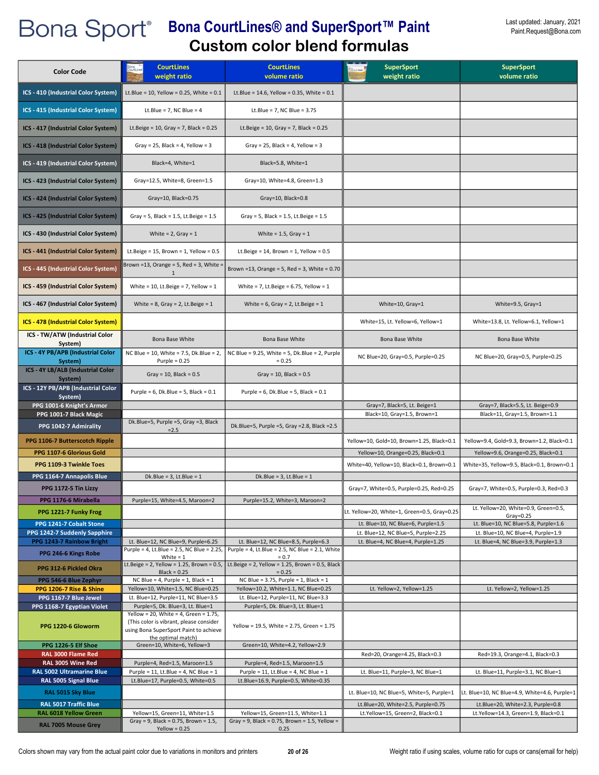| <b>Color Code</b>                                          | <b>CourtLines</b><br>weight ratio                                                                                                                   | <b>CourtLines</b><br>volume ratio                                           | <b>SuperSport</b><br>weight ratio                                               | <b>SuperSport</b><br>volume ratio                                                  |
|------------------------------------------------------------|-----------------------------------------------------------------------------------------------------------------------------------------------------|-----------------------------------------------------------------------------|---------------------------------------------------------------------------------|------------------------------------------------------------------------------------|
| ICS - 410 (Industrial Color System)                        | Lt.Blue = 10, Yellow = 0.25, White = $0.1$                                                                                                          | Lt.Blue = $14.6$ , Yellow = 0.35, White = 0.1                               |                                                                                 |                                                                                    |
| ICS - 415 (Industrial Color System)                        | Lt.Blue = $7$ , NC Blue = $4$                                                                                                                       | Lt.Blue = $7$ , NC Blue = $3.75$                                            |                                                                                 |                                                                                    |
| ICS - 417 (Industrial Color System)                        | Lt.Beige = $10$ , Gray = 7, Black = $0.25$                                                                                                          | Lt.Beige = 10, Gray = 7, Black = $0.25$                                     |                                                                                 |                                                                                    |
| ICS - 418 (Industrial Color System)                        | Gray = 25, Black = 4, Yellow = $3$                                                                                                                  | Gray = 25, Black = 4, Yellow = 3                                            |                                                                                 |                                                                                    |
| ICS - 419 (Industrial Color System)                        | Black=4, White=1                                                                                                                                    | Black=5.8, White=1                                                          |                                                                                 |                                                                                    |
| ICS - 423 (Industrial Color System)                        | Gray=12.5, White=8, Green=1.5                                                                                                                       | Gray=10, White=4.8, Green=1.3                                               |                                                                                 |                                                                                    |
| ICS - 424 (Industrial Color System)                        | Gray=10, Black=0.75                                                                                                                                 | Gray=10, Black=0.8                                                          |                                                                                 |                                                                                    |
| ICS - 425 (Industrial Color System)                        | Gray = 5, Black = $1.5$ , Lt.Beige = $1.5$                                                                                                          | Gray = 5, Black = 1.5, Lt. Beige = $1.5$                                    |                                                                                 |                                                                                    |
| ICS - 430 (Industrial Color System)                        | White = $2$ , Gray = $1$                                                                                                                            | White = $1.5$ , Gray = $1$                                                  |                                                                                 |                                                                                    |
| ICS - 441 (Industrial Color System)                        | Lt.Beige = $15$ , Brown = $1$ , Yellow = $0.5$                                                                                                      | Lt.Beige = $14$ , Brown = $1$ , Yellow = $0.5$                              |                                                                                 |                                                                                    |
| ICS - 445 (Industrial Color System)                        | Brown =13, Orange = 5, Red = 3, White =<br>$\mathbf{1}$                                                                                             | Brown = 13, Orange = 5, Red = 3, White = $0.70$                             |                                                                                 |                                                                                    |
| ICS - 459 (Industrial Color System)                        | White = $10$ , Lt. Beige = $7$ , Yellow = $1$                                                                                                       | White = 7, Lt. Beige = $6.75$ , Yellow = 1                                  |                                                                                 |                                                                                    |
| ICS - 467 (Industrial Color System)                        | White = $8$ , Gray = $2$ , Lt. Beige = $1$                                                                                                          | White = $6$ , Gray = $2$ , Lt. Beige = $1$                                  | White=10, Gray=1                                                                | White=9.5, Gray=1                                                                  |
| ICS - 478 (Industrial Color System)                        |                                                                                                                                                     |                                                                             | White=15, Lt. Yellow=6, Yellow=1                                                | White=13.8, Lt. Yellow=6.1, Yellow=1                                               |
| ICS - TW/ATW (Industrial Color<br>System)                  | Bona Base White                                                                                                                                     | Bona Base White                                                             | Bona Base White                                                                 | Bona Base White                                                                    |
| ICS - 4Y PB/APB (Industrial Color<br>System)               | NC Blue = 10, White = 7.5, Dk.Blue = 2,<br>Purple = $0.25$                                                                                          | NC Blue = $9.25$ , White = $5$ , Dk.Blue = $2$ , Purple<br>$= 0.25$         | NC Blue=20, Gray=0.5, Purple=0.25                                               | NC Blue=20, Gray=0.5, Purple=0.25                                                  |
| ICS - 4Y LB/ALB (Industrial Color<br>System)               | Gray = $10$ , Black = $0.5$                                                                                                                         | Gray = $10$ , Black = $0.5$                                                 |                                                                                 |                                                                                    |
| ICS - 12Y PB/APB (Industrial Color<br>System)              | Purple = $6$ , Dk.Blue = $5$ , Black = $0.1$                                                                                                        | Purple = $6$ , Dk.Blue = $5$ , Black = $0.1$                                |                                                                                 |                                                                                    |
| PPG 1001-6 Knight's Armor<br>PPG 1001-7 Black Magic        |                                                                                                                                                     |                                                                             | Gray=7, Black=5, Lt. Beige=1<br>Black=10, Gray=1.5, Brown=1                     | Gray=7, Black=5.5, Lt. Beige=0.9<br>Black=11, Gray=1.5, Brown=1.1                  |
| PPG 1042-7 Admirality                                      | Dk.Blue=5, Purple =5, Gray =3, Black<br>$= 2.5$                                                                                                     | Dk.Blue=5, Purple =5, Gray =2.8, Black =2.5                                 |                                                                                 |                                                                                    |
| PPG 1106-7 Butterscotch Ripple<br>PPG 1107-6 Glorious Gold |                                                                                                                                                     |                                                                             | Yellow=10, Gold=10, Brown=1.25, Black=0.1<br>Yellow=10, Orange=0.25, Black=0.1  | Yellow=9.4, Gold=9.3, Brown=1.2, Black=0.1<br>Yellow=9.6, Orange=0.25, Black=0.1   |
| PPG 1109-3 Twinkle Toes                                    |                                                                                                                                                     |                                                                             | White=40, Yellow=10, Black=0.1, Brown=0.1                                       | White=35, Yellow=9.5, Black=0.1, Brown=0.1                                         |
| PPG 1164-7 Annapolis Blue                                  | $Dk.Blue = 3, Lt.Blue = 1$                                                                                                                          | Dk.Blue = $3$ , Lt.Blue = $1$                                               |                                                                                 |                                                                                    |
| PPG 1172-5 Tin Lizzy<br>PPG 1176-6 Mirabella               | Purple=15, White=4.5, Maroon=2                                                                                                                      | Purple=15.2, White=3, Maroon=2                                              | Gray=7, White=0.5, Purple=0.25, Red=0.25                                        | Gray=7, White=0.5, Purple=0.3, Red=0.3                                             |
| PPG 1221-7 Funky Frog                                      |                                                                                                                                                     |                                                                             | Lt. Yellow=20, White=1, Green=0.5, Gray=0.25                                    | Lt. Yellow=20, White=0.9, Green=0.5,<br>$Gray=0.25$                                |
| PPG 1241-7 Cobalt Stone                                    |                                                                                                                                                     |                                                                             | Lt. Blue=10, NC Blue=6, Purple=1.5                                              | Lt. Blue=10, NC Blue=5.8, Purple=1.6                                               |
| PPG 1242-7 Suddenly Sapphire<br>PPG 1243-7 Rainbow Bright  | Lt. Blue=12, NC Blue=9, Purple=6.25                                                                                                                 | Lt. Blue=12, NC Blue=8.5, Purple=6.3                                        | Lt. Blue=12, NC Blue=5, Purple=2.25<br>Lt. Blue=4, NC Blue=4, Purple=1.25       | Lt. Blue=10, NC Blue=4, Purple=1.9<br>Lt. Blue=4, NC Blue=3.9, Purple=1.3          |
| PPG 246-6 Kings Robe                                       | Purple = 4, Lt.Blue = 2.5, NC Blue = 2.25,<br>White $= 1$                                                                                           | Purple = 4, Lt.Blue = $2.5$ , NC Blue = $2.1$ , White<br>$= 0.7$            |                                                                                 |                                                                                    |
| PPG 312-6 Pickled Okra                                     | Lt.Beige = $2$ , Yellow = 1.25, Brown = 0.5,<br>$Black = 0.25$                                                                                      | Lt.Beige = $2$ , Yellow = 1.25, Brown = 0.5, Black<br>$= 0.25$              |                                                                                 |                                                                                    |
| PPG 546-6 Blue Zephyr                                      | NC Blue = 4, Purple = 1, Black = $1$                                                                                                                | NC Blue = $3.75$ , Purple = 1, Black = 1                                    |                                                                                 |                                                                                    |
| PPG 1206-7 Rise & Shine<br>PPG 1167-7 Blue Jewel           | Yellow=10, White=1.5, NC Blue=0.25<br>Lt. Blue=12, Purple=11, NC Blue=3.5                                                                           | Yellow=10.2, White=1.1, NC Blue=0.25<br>Lt. Blue=12, Purple=11, NC Blue=3.3 | Lt. Yellow=2, Yellow=1.25                                                       | Lt. Yellow=2, Yellow=1.25                                                          |
| PPG 1168-7 Egyptian Violet                                 | Purple=5, Dk. Blue=3, Lt. Blue=1                                                                                                                    | Purple=5, Dk. Blue=3, Lt. Blue=1                                            |                                                                                 |                                                                                    |
| PPG 1220-6 Gloworm                                         | Yellow = 20, White = 4, Green = $1.75$ ,<br>(This color is vibrant, please consider<br>using Bona SuperSport Paint to achieve<br>the optimal match) | Yellow = 19.5, White = 2.75, Green = 1.75                                   |                                                                                 |                                                                                    |
| PPG 1226-5 Elf Shoe                                        | Green=10, White=6, Yellow=3                                                                                                                         | Green=10, White=4.2, Yellow=2.9                                             |                                                                                 |                                                                                    |
| RAL 3000 Flame Red<br>RAL 3005 Wine Red                    | Purple=4, Red=1.5, Maroon=1.5                                                                                                                       | Purple=4, Red=1.5, Maroon=1.5                                               | Red=20, Orange=4.25, Black=0.3                                                  | Red=19.3, Orange=4.1, Black=0.3                                                    |
| RAL 5002 Ultramarine Blue                                  | Purple = 11, Lt.Blue = 4, NC Blue = $1$                                                                                                             | Purple = 11, Lt.Blue = 4, NC Blue = 1                                       | Lt. Blue=11, Purple=3, NC Blue=1                                                | Lt. Blue=11, Purple=3.1, NC Blue=1                                                 |
| RAL 5005 Signal Blue                                       | Lt.Blue=17, Purple=0.5, White=0.5                                                                                                                   | Lt.Blue=16.9, Purple=0.5, White=0.35                                        |                                                                                 |                                                                                    |
| RAL 5015 Sky Blue<br><b>RAL 5017 Traffic Blue</b>          |                                                                                                                                                     |                                                                             | Lt. Blue=10, NC Blue=5, White=5, Purple=1<br>Lt.Blue=20, White=2.5, Purple=0.75 | Lt. Blue=10, NC Blue=4.9, White=4.6, Purple=1<br>Lt.Blue=20, White=2.3, Purple=0.8 |
| RAL 6018 Yellow Green                                      | Yellow=15, Green=11, White=1.5                                                                                                                      | Yellow=15, Green=11.5, White=1.1                                            | Lt.Yellow=15, Green=2, Black=0.1                                                | Lt.Yellow=14.3, Green=1.9, Black=0.1                                               |
| <b>RAL 7005 Mouse Grey</b>                                 | Gray = 9, Black = $0.75$ , Brown = 1.5,<br>$Yellow = 0.25$                                                                                          | Gray = 9, Black = 0.75, Brown = 1.5, Yellow =<br>0.25                       |                                                                                 |                                                                                    |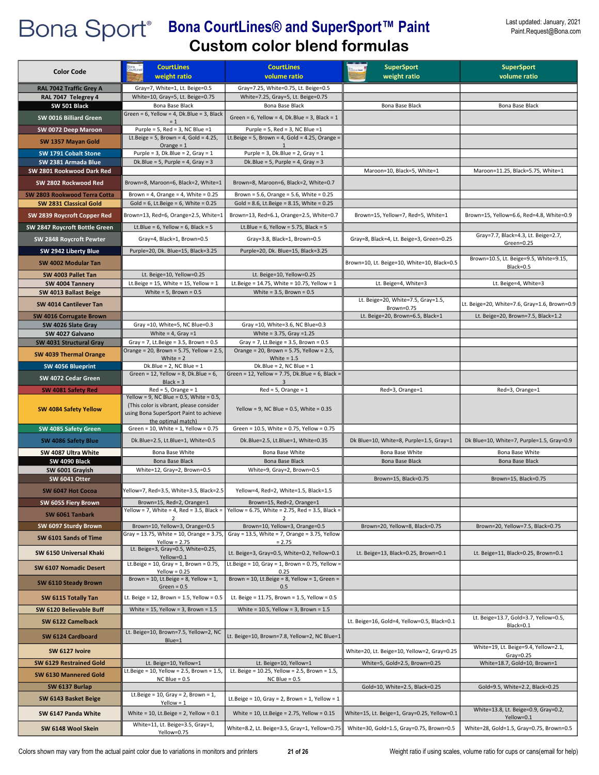| <b>Color Code</b>                                      | <b>CourtLines</b><br>weight ratio                                                                                                                  | <b>CourtLines</b><br>volume ratio                                                                                              | <b>SuperSport</b><br>weight ratio            | <b>SuperSport</b><br>volume ratio                      |
|--------------------------------------------------------|----------------------------------------------------------------------------------------------------------------------------------------------------|--------------------------------------------------------------------------------------------------------------------------------|----------------------------------------------|--------------------------------------------------------|
| RAL 7042 Traffic Grey A                                | Gray=7, White=1, Lt. Beige=0.5                                                                                                                     | Gray=7.25, White=0.75, Lt. Beige=0.5                                                                                           |                                              |                                                        |
| RAL 7047 Telegrey 4                                    | White=10, Gray=5, Lt. Beige=0.75                                                                                                                   | White=7.25, Gray=5, Lt. Beige=0.75                                                                                             |                                              |                                                        |
| SW 501 Black                                           | Bona Base Black                                                                                                                                    | Bona Base Black                                                                                                                | Bona Base Black                              | Bona Base Black                                        |
| SW 0016 Billiard Green                                 | Green = $6$ , Yellow = $4$ , Dk.Blue = $3$ , Black<br>$= 1$                                                                                        | Green = $6$ , Yellow = $4$ , Dk.Blue = $3$ , Black = $1$                                                                       |                                              |                                                        |
| SW 0072 Deep Maroon                                    | Purple = 5. Red = 3. NC Blue = $1$                                                                                                                 | Purple = $5$ , Red = $3$ , NC Blue = 1                                                                                         |                                              |                                                        |
| SW 1357 Mayan Gold                                     | Lt.Beige = $5$ , Brown = $4$ , Gold = $4.25$ ,<br>Orange = $1$                                                                                     | Lt.Beige = $5$ , Brown = 4, Gold = 4.25, Orange =                                                                              |                                              |                                                        |
| SW 1791 Cobalt Stone                                   | Purple = $3$ , Dk.Blue = $2$ , Gray = $1$                                                                                                          | Purple = $3$ , Dk.Blue = $2$ , Gray = $1$                                                                                      |                                              |                                                        |
| SW 2381 Armada Blue                                    | Dk.Blue = 5, Purple = 4, Gray = 3                                                                                                                  | Dk.Blue = $5$ , Purple = $4$ , Gray = $3$                                                                                      |                                              |                                                        |
| SW 2801 Rookwood Dark Red                              |                                                                                                                                                    |                                                                                                                                | Maroon=10, Black=5, White=1                  | Maroon=11.25, Black=5.75, White=1                      |
| SW 2802 Rockwood Red                                   | Brown=8, Maroon=6, Black=2, White=1                                                                                                                | Brown=8, Maroon=6, Black=2, White=0.7                                                                                          |                                              |                                                        |
| SW 2803 Rookwood Terra Cotta<br>SW 2831 Classical Gold | Brown = 4, Orange = 4, White = $0.25$<br>Gold = $6$ , Lt. Beige = $6$ , White = 0.25                                                               | Brown = 5.6, Orange = 5.6, White = $0.25$<br>Gold = 8.6, Lt.Beige = 8.15, White = $0.25$                                       |                                              |                                                        |
| SW 2839 Roycroft Copper Red                            | Brown=13, Red=6, Orange=2.5, White=1                                                                                                               | Brown=13, Red=6.1, Orange=2.5, White=0.7                                                                                       | Brown=15, Yellow=7, Red=5, White=1           | Brown=15, Yellow=6.6, Red=4.8, White=0.9               |
| SW 2847 Roycroft Bottle Green                          | Lt.Blue = $6$ , Yellow = $6$ , Black = $5$                                                                                                         | Lt.Blue = $6$ , Yellow = $5.75$ , Black = $5$                                                                                  |                                              |                                                        |
| SW 2848 Roycroft Pewter                                | Gray=4, Black=1, Brown=0.5                                                                                                                         | Gray=3.8, Black=1, Brown=0.5                                                                                                   | Gray=8, Black=4, Lt. Beige=3, Green=0.25     | Gray=7.7, Black=4.3, Lt. Beige=2.7,<br>Green=0.25      |
| SW 2942 Liberty Blue                                   | Purple=20, Dk. Blue=15, Black=3.25                                                                                                                 | Purple=20, Dk. Blue=15, Black=3.25                                                                                             |                                              |                                                        |
| SW 4002 Modular Tan                                    |                                                                                                                                                    |                                                                                                                                | Brown=10, Lt. Beige=10, White=10, Black=0.5  | Brown=10.5, Lt. Beige=9.5, White=9.15,<br>Black=0.5    |
| SW 4003 Pallet Tan                                     | Lt. Beige=10, Yellow=0.25                                                                                                                          | Lt. Beige=10, Yellow=0.25                                                                                                      |                                              |                                                        |
| SW 4004 Tannery                                        | Lt.Beige = $15$ , White = $15$ , Yellow = $1$                                                                                                      | Lt.Beige = 14.75, White = 10.75, Yellow = 1                                                                                    | Lt. Beige=4, White=3                         | Lt. Beige=4, White=3                                   |
| SW 4013 Ballast Beige                                  | White = $5$ , Brown = $0.5$                                                                                                                        | White = $3.5$ , Brown = $0.5$                                                                                                  | Lt. Beige=20, White=7.5, Gray=1.5,           |                                                        |
| SW 4014 Cantilever Tan                                 |                                                                                                                                                    |                                                                                                                                | Brown=0.75                                   | Lt. Beige=20, White=7.6, Gray=1.6, Brown=0.9           |
| SW 4016 Corrugate Brown                                | Gray =10, White=5, NC Blue=0.3                                                                                                                     |                                                                                                                                | Lt. Beige=20, Brown=6.5, Black=1             | Lt. Beige=20, Brown=7.5, Black=1.2                     |
| SW 4026 Slate Gray<br>SW 4027 Galvano                  | White = $4$ , Gray = 1                                                                                                                             | Gray =10, White=3.6, NC Blue=0.3<br>White = 3.75, Gray = 1.25                                                                  |                                              |                                                        |
| SW 4031 Structural Gray                                | Gray = 7, Lt.Beige = $3.5$ , Brown = $0.5$                                                                                                         | Gray = 7, Lt.Beige = $3.5$ , Brown = $0.5$                                                                                     |                                              |                                                        |
| SW 4039 Thermal Orange                                 | Orange = 20, Brown = 5.75, Yellow = 2.5,<br>White $= 2$                                                                                            | Orange = 20, Brown = 5.75, Yellow = 2.5,<br>White = $1.5$                                                                      |                                              |                                                        |
| SW 4056 Blueprint                                      | Dk.Blue = $2$ , NC Blue = $1$                                                                                                                      | Dk.Blue = $2$ , NC Blue = $1$                                                                                                  |                                              |                                                        |
| SW 4072 Cedar Green                                    | Green = 12, Yellow = 8, Dk.Blue = $6$ ,<br>$Black = 3$                                                                                             | Green = 12, Yellow = 7.75, Dk.Blue = 6, Black =                                                                                |                                              |                                                        |
| SW 4081 Safety Red                                     | $Red = 5$ , Orange = 1                                                                                                                             | $Red = 5$ , Orange = 1                                                                                                         | Red=3, Orange=1                              | Red=3, Orange=1                                        |
| SW 4084 Safety Yellow                                  | Yellow = 9, NC Blue = 0.5, White = 0.5,<br>(This color is vibrant, please consider<br>using Bona SuperSport Paint to achieve<br>the optimal match) | Yellow = 9, NC Blue = $0.5$ , White = $0.35$                                                                                   |                                              |                                                        |
| SW 4085 Safety Green                                   | Green = $10$ , White = $1$ , Yellow = $0.75$                                                                                                       | Green = 10.5, White = 0.75, Yellow = 0.75                                                                                      |                                              |                                                        |
| SW 4086 Safety Blue                                    | Dk.Blue=2.5, Lt.Blue=1, White=0.5                                                                                                                  | Dk.Blue=2.5, Lt.Blue=1, White=0.35                                                                                             | Dk Blue=10, White=8, Purple=1.5, Gray=1      | Dk Blue=10, White=7, Purple=1.5, Gray=0.9              |
| SW 4087 Ultra White<br>SW 4090 Black                   | Bona Base White<br>Bona Base Black                                                                                                                 | Bona Base White<br>Bona Base Black                                                                                             | Bona Base White<br>Bona Base Black           | Bona Base White<br>Bona Base Black                     |
| SW 6001 Grayish                                        | White=12, Gray=2, Brown=0.5                                                                                                                        | White=9, Gray=2, Brown=0.5                                                                                                     |                                              |                                                        |
| <b>SW 6041 Otter</b>                                   |                                                                                                                                                    |                                                                                                                                | Brown=15, Black=0.75                         | Brown=15, Black=0.75                                   |
| SW 6047 Hot Cocoa                                      | Yellow=7, Red=3.5, White=3.5, Black=2.5                                                                                                            | Yellow=4, Red=2, White=1.5, Black=1.5                                                                                          |                                              |                                                        |
| SW 6055 Fiery Brown                                    | Brown=15, Red=2, Orange=1                                                                                                                          | Brown=15, Red=2, Orange=1<br>Yellow = 7, White = 4, Red = 3.5, Black = $\vert$ Yellow = 6.75, White = 2.75, Red = 3.5, Black = |                                              |                                                        |
| SW 6061 Tanbark                                        | $\mathcal{P}$                                                                                                                                      |                                                                                                                                |                                              |                                                        |
| SW 6097 Sturdy Brown                                   | Brown=10, Yellow=3, Orange=0.5<br>Gray = 13.75, White = 10, Orange = 3.75,                                                                         | Brown=10, Yellow=3, Orange=0.5<br>Gray = 13.5, White = 7, Orange = 3.75, Yellow                                                | Brown=20, Yellow=8, Black=0.75               | Brown=20, Yellow=7.5, Black=0.75                       |
| SW 6101 Sands of Time                                  | $Yellow = 2.75$                                                                                                                                    | $= 2.75$                                                                                                                       |                                              |                                                        |
| SW 6150 Universal Khaki                                | Lt. Beige=3, Gray=0.5, White=0.25,<br>Yellow=0.1                                                                                                   | Lt. Beige=3, Gray=0.5, White=0.2, Yellow=0.1                                                                                   | Lt. Beige=13, Black=0.25, Brown=0.1          | Lt. Beige=11, Black=0.25, Brown=0.1                    |
| SW 6107 Nomadic Desert                                 | Lt.Beige = $10$ , Gray = $1$ , Brown = 0.75,<br>$Yellow = 0.25$                                                                                    | Lt.Beige = $10$ , Gray = $1$ , Brown = 0.75, Yellow =<br>0.25                                                                  |                                              |                                                        |
| SW 6110 Steady Brown                                   | Brown = 10, Lt.Beige = 8, Yellow = $1$ ,<br>Green = $0.5$                                                                                          | Brown = 10, Lt.Beige = $8$ , Yellow = 1, Green =<br>0.5                                                                        |                                              |                                                        |
| SW 6115 Totally Tan                                    | Lt. Beige = 12, Brown = 1.5, Yellow = 0.5                                                                                                          | Lt. Beige = 11.75, Brown = 1.5, Yellow = 0.5                                                                                   |                                              |                                                        |
| SW 6120 Believable Buff                                | White = $15$ , Yellow = 3, Brown = $1.5$                                                                                                           | White = $10.5$ , Yellow = 3, Brown = $1.5$                                                                                     |                                              |                                                        |
| SW 6122 Camelback                                      |                                                                                                                                                    |                                                                                                                                | Lt. Beige=16, Gold=4, Yellow=0.5, Black=0.1  | Lt. Beige=13.7, Gold=3.7, Yellow=0.5,<br>Black=0.1     |
| SW 6124 Cardboard                                      | Lt. Beige=10, Brown=7.5, Yellow=2, NC<br>Blue=1                                                                                                    | Lt. Beige=10, Brown=7.8, Yellow=2, NC Blue=1                                                                                   |                                              |                                                        |
| SW 6127 Ivoire                                         |                                                                                                                                                    |                                                                                                                                | White=20, Lt. Beige=10, Yellow=2, Gray=0.25  | White=19, Lt. Beige=9.4, Yellow=2.1,<br>$Gray = 0.25$  |
| SW 6129 Restrained Gold                                | Lt. Beige=10, Yellow=1                                                                                                                             | Lt. Beige=10, Yellow=1                                                                                                         | White=5, Gold=2.5, Brown=0.25                | White=18.7, Gold=10, Brown=1                           |
| SW 6130 Mannered Gold                                  | Lt.Beige = $10$ , Yellow = $2.5$ , Brown = $1.5$ ,<br>$NC$ Blue = $0.5$                                                                            | Lt. Beige = 10.25, Yellow = 2.5, Brown = 1.5,<br>$NC$ Blue = $0.5$                                                             |                                              |                                                        |
| SW 6137 Burlap                                         |                                                                                                                                                    |                                                                                                                                | Gold=10, White=2.5, Black=0.25               | Gold=9.5, White=2.2, Black=0.25                        |
| SW 6143 Basket Beige                                   | Lt.Beige = $10$ , Gray = 2, Brown = 1,<br>$Yellow = 1$                                                                                             | Lt.Beige = $10$ , Gray = 2, Brown = 1, Yellow = 1                                                                              |                                              |                                                        |
| SW 6147 Panda White                                    | White = 10, Lt.Beige = 2, Yellow = $0.1$                                                                                                           | White = 10, Lt.Beige = 2.75, Yellow = 0.15                                                                                     | White=15, Lt. Beige=1, Gray=0.25, Yellow=0.1 | White=13.8, Lt. Beige=0.9, Gray=0.2,                   |
| SW 6148 Wool Skein                                     | White=11, Lt. Beige=3.5, Gray=1,<br>Yellow=0.75                                                                                                    | White=8.2, Lt. Beige=3.5, Gray=1, Yellow=0.75                                                                                  | White=30, Gold=1.5, Gray=0.75, Brown=0.5     | Yellow=0.1<br>White=28, Gold=1.5, Gray=0.75, Brown=0.5 |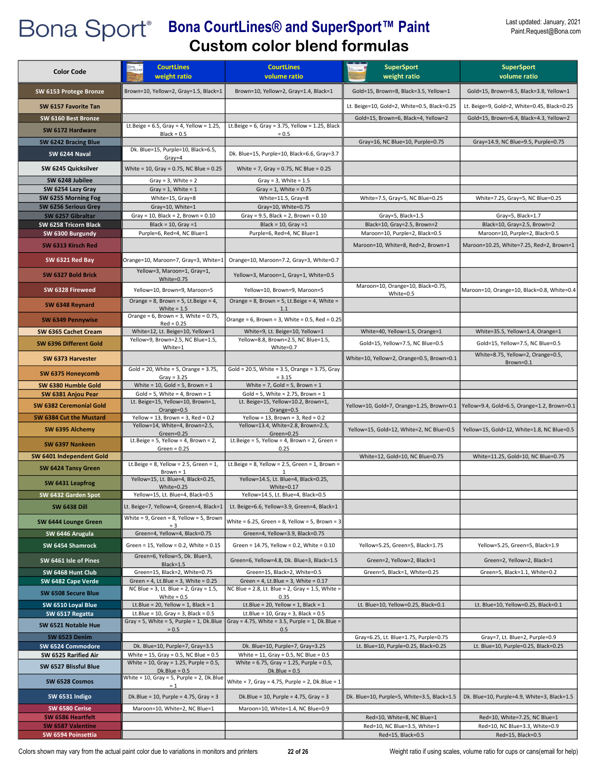| <b>Color Code</b>                         | <b>CourtLines</b><br>weight ratio                                                         | <b>CourtLines</b><br>volume ratio                                                                 | <b>SuperSport</b><br>weight ratio                                                  | <b>SuperSport</b><br>volume ratio                                                      |
|-------------------------------------------|-------------------------------------------------------------------------------------------|---------------------------------------------------------------------------------------------------|------------------------------------------------------------------------------------|----------------------------------------------------------------------------------------|
| SW 6153 Protege Bronze                    | Brown=10, Yellow=2, Gray=1.5, Black=1                                                     | Brown=10, Yellow=2, Gray=1.4, Black=1                                                             | Gold=15, Brown=8, Black=3.5, Yellow=1                                              | Gold=15, Brown=8.5, Black=3.8, Yellow=1                                                |
|                                           |                                                                                           |                                                                                                   |                                                                                    |                                                                                        |
| SW 6157 Favorite Tan                      |                                                                                           |                                                                                                   | Lt. Beige=10, Gold=2, White=0.5, Black=0.25<br>Gold=15, Brown=6, Black=4, Yellow=2 | Lt. Beige=9, Gold=2, White=0.45, Black=0.25<br>Gold=15, Brown=6.4, Black=4.3, Yellow=2 |
| SW 6160 Best Bronze<br>SW 6172 Hardware   | Lt.Beige = $6.5$ , Gray = $4$ , Yellow = 1.25,                                            | Lt.Beige = $6$ , Gray = 3.75, Yellow = 1.25, Black                                                |                                                                                    |                                                                                        |
| SW 6242 Bracing Blue                      | $Black = 0.5$                                                                             | $= 0.5$                                                                                           | Gray=16, NC Blue=10, Purple=0.75                                                   | Gray=14.9, NC Blue=9.5, Purple=0.75                                                    |
| SW 6244 Naval                             | Dk. Blue=15, Purple=10, Black=6.5,                                                        | Dk. Blue=15, Purple=10, Black=6.6, Gray=3.7                                                       |                                                                                    |                                                                                        |
| SW 6245 Quicksilver                       | Gray=4<br>White = 10, Gray = 0.75, NC Blue = 0.25                                         | White = 7, Gray = $0.75$ , NC Blue = $0.25$                                                       |                                                                                    |                                                                                        |
| SW 6248 Jubilee                           | Gray = $3$ , White = $2$                                                                  | Gray = $3$ , White = $1.5$                                                                        |                                                                                    |                                                                                        |
| SW 6254 Lazy Gray                         | Gray = $1$ , White = $1$                                                                  | Gray = $1$ , White = 0.75                                                                         |                                                                                    |                                                                                        |
| SW 6255 Morning Fog                       | White=15, Gray=8                                                                          | White=11.5, Gray=8                                                                                | White=7.5, Gray=5, NC Blue=0.25                                                    | White=7.25, Gray=5, NC Blue=0.25                                                       |
| SW 6256 Serious Grey<br>SW 6257 Gibraltar | Gray=10, White=1<br>Gray = 10, Black = $2$ , Brown = $0.10$                               | Gray=10, White=0.75<br>Gray = $9.5$ , Black = $2$ , Brown = $0.10$                                | Gray=5, Black=1.5                                                                  | Gray=5, Black=1.7                                                                      |
| SW 6258 Tricorn Black                     | Black = $10$ , Gray = $1$                                                                 | Black = $10$ , Gray = $1$                                                                         | Black=10, Gray=2.5, Brown=2                                                        | Black=10, Gray=2.5, Brown=2                                                            |
| SW 6300 Burgundy                          | Purple=6, Red=4, NC Blue=1                                                                | Purple=6, Red=4, NC Blue=1                                                                        | Maroon=10, Purple=2, Black=0.5                                                     | Maroon=10, Purple=2, Black=0.5                                                         |
| SW 6313 Kirsch Red                        |                                                                                           |                                                                                                   | Maroon=10, White=8, Red=2, Brown=1                                                 | Maroon=10.25, White=7.25, Red=2, Brown=1                                               |
| SW 6321 Red Bay                           | Orange=10, Maroon=7, Gray=3, White=1                                                      | Orange=10, Maroon=7.2, Gray=3, White=0.7                                                          |                                                                                    |                                                                                        |
| SW 6327 Bold Brick                        | Yellow=3, Maroon=1, Gray=1,<br>White=0.75                                                 | Yellow=3, Maroon=1, Gray=1, White=0.5                                                             |                                                                                    |                                                                                        |
| SW 6328 Fireweed                          | Yellow=10, Brown=9, Maroon=5                                                              | Yellow=10, Brown=9, Maroon=5                                                                      | Maroon=10, Orange=10, Black=0.75,<br>White=0.5                                     | Maroon=10, Orange=10, Black=0.8, White=0.4                                             |
| SW 6348 Reynard                           | Orange = $8$ , Brown = $5$ , Lt. Beige = $4$ ,<br>White = $1.5$                           | Orange = 8, Brown = 5, Lt.Beige = 4, White =<br>1.1                                               |                                                                                    |                                                                                        |
| SW 6349 Pennywise                         | Orange = $6$ , Brown = $3$ , White = 0.75,                                                | Orange = $6$ , Brown = $3$ , White = 0.5, Red = 0.25                                              |                                                                                    |                                                                                        |
| SW 6365 Cachet Cream                      | $Red = 0.25$<br>White=12, Lt. Beige=10, Yellow=1                                          | White=9, Lt. Beige=10, Yellow=1                                                                   | White=40, Yellow=1.5, Orange=1                                                     | White=35.5, Yellow=1.4, Orange=1                                                       |
| SW 6396 Different Gold                    | Yellow=9, Brown=2.5, NC Blue=1.5,                                                         | Yellow=8.8, Brown=2.5, NC Blue=1.5,                                                               | Gold=15, Yellow=7.5, NC Blue=0.5                                                   | Gold=15, Yellow=7.5, NC Blue=0.5                                                       |
| SW 6373 Harvester                         | White=1                                                                                   | White=0.7                                                                                         | White=10, Yellow=2, Orange=0.5, Brown=0.1                                          | White=8.75, Yellow=2, Orange=0.5,                                                      |
| SW 6375 Honeycomb                         | Gold = 20, White = 5, Orange = $3.75$ ,                                                   | Gold = 20.5, White = 3.5, Orange = 3.75, Gray                                                     |                                                                                    | Brown=0.1                                                                              |
| SW 6380 Humble Gold                       | $Gray = 3.25$<br>White = $10$ , Gold = $5$ , Brown = $1$                                  | $= 3.15$<br>White = $7$ , Gold = $5$ , Brown = $1$                                                |                                                                                    |                                                                                        |
| SW 6381 Anjou Pear                        | Gold = 5, White = 4, Brown = $1$                                                          | Gold = 5, White = 2.75, Brown = $1$                                                               |                                                                                    |                                                                                        |
| SW 6382 Ceremonial Gold                   | Lt. Beige=15, Yellow=10, Brown=1,<br>Orange=0.5                                           | Lt. Beige=15, Yellow=10.2, Brown=1,<br>Orange=0.5                                                 | Yellow=10, Gold=7, Orange=1.25, Brown=0.1                                          | Yellow=9.4, Gold=6.5, Orange=1.2, Brown=0.1                                            |
| SW 6384 Cut the Mustard                   | Yellow = 13, Brown = 3, Red = $0.2$                                                       | Yellow = 13, Brown = 3, Red = $0.2$                                                               |                                                                                    |                                                                                        |
| SW 6395 Alchemy                           | Yellow=14, White=4, Brown=2.5,<br>Green=0.25                                              | Yellow=13.4, White=2.8, Brown=2.5,<br>Green=0.25                                                  | Yellow=15, Gold=12, White=2, NC Blue=0.5                                           | Yellow=15, Gold=12, White=1.8, NC Blue=0.5                                             |
| SW 6397 Nankeen                           | Lt.Beige = $5$ , Yellow = $4$ , Brown = $2$ ,<br>Green = $0.25$                           | Lt.Beige = 5, Yellow = 4, Brown = 2, Green =<br>0.25                                              |                                                                                    |                                                                                        |
| SW 6401 Independent Gold                  | Lt.Beige = $8$ , Yellow = $2.5$ , Green = $1$ ,                                           | Lt.Beige = $8$ , Yellow = $2.5$ , Green = $1$ , Brown =                                           | White=12, Gold=10, NC Blue=0.75                                                    | White=11.25, Gold=10, NC Blue=0.75                                                     |
| SW 6424 Tansy Green                       | $Brown = 1$                                                                               |                                                                                                   |                                                                                    |                                                                                        |
| SW 6431 Leapfrog                          | Yellow=15, Lt. Blue=4, Black=0.25,<br>White=0.25                                          | Yellow=14.5, Lt. Blue=4, Black=0.25,<br>White=0.17                                                |                                                                                    |                                                                                        |
| SW 6432 Garden Spot                       | Yellow=15, Lt. Blue=4, Black=0.5                                                          | Yellow=14.5, Lt. Blue=4, Black=0.5                                                                |                                                                                    |                                                                                        |
| <b>SW 6438 Dill</b>                       | Lt. Beige=7, Yellow=4, Green=4, Black=1                                                   | Lt. Beige=6.6, Yellow=3.9, Green=4, Black=1                                                       |                                                                                    |                                                                                        |
| SW 6444 Lounge Green                      | White = $9$ , Green = $8$ , Yellow = $5$ , Brown<br>$= 3$                                 | White = $6.25$ , Green = $8$ , Yellow = $5$ , Brown = $3$                                         |                                                                                    |                                                                                        |
| SW 6446 Arugula                           | Green=4, Yellow=4, Black=0.75                                                             | Green=4, Yellow=3.9, Black=0.75                                                                   |                                                                                    |                                                                                        |
| SW 6454 Shamrock                          | Green = $15$ , Yellow = 0.2, White = 0.15                                                 | Green = 14.75, Yellow = 0.2, White = 0.10                                                         | Yellow=5.25, Green=5, Black=1.75                                                   | Yellow=5.25, Green=5, Black=1.9                                                        |
| SW 6461 Isle of Pines                     | Green=6, Yellow=5, Dk. Blue=3,<br>Black=1.5                                               | Green=6, Yellow=4.8, Dk. Blue=3, Black=1.5                                                        | Green=2, Yellow=2, Black=1                                                         | Green=2, Yellow=2, Black=1                                                             |
| SW 6468 Hunt Club                         | Green=15, Black=2, White=0.75                                                             | Green=15, Black=2, White=0.5                                                                      | Green=5, Black=1, White=0.25                                                       | Green=5, Black=1.1, White=0.2                                                          |
| SW 6482 Cape Verde<br>SW 6508 Secure Blue | Green = $4$ , Lt.Blue = $3$ , White = $0.25$<br>NC Blue = 3, Lt. Blue = 2, Gray = $1.5$ , | Green = 4, Lt.Blue = 3, White = $0.17$<br>NC Blue = $2.8$ , Lt. Blue = $2$ , Gray = 1.5, White =  |                                                                                    |                                                                                        |
| SW 6510 Loyal Blue                        | White = $0.5$<br>Lt.Blue = 20, Yellow = $1$ , Black = $1$                                 | 0.35<br>Lt.Blue = 20, Yellow = 1, Black = 1                                                       | Lt. Blue=10, Yellow=0.25, Black=0.1                                                | Lt. Blue=10, Yellow=0.25, Black=0.1                                                    |
| SW 6517 Regatta                           | Lt.Blue = $10$ , Gray = 3, Black = $0.5$                                                  | Lt.Blue = $10$ , Gray = 3, Black = $0.5$                                                          |                                                                                    |                                                                                        |
| SW 6521 Notable Hue                       | $= 0.5$                                                                                   | Gray = 5, White = 5, Purple = 1, Dk.Blue   Gray = 4.75, White = 3.5, Purple = 1, Dk.Blue =<br>0.5 |                                                                                    |                                                                                        |
| SW 6523 Denim                             |                                                                                           |                                                                                                   | Gray=6.25, Lt. Blue=1.75, Purple=0.75                                              | Gray=7, Lt. Blue=2, Purple=0.9                                                         |
| SW 6524 Commodore<br>SW 6525 Rarified Air | Dk. Blue=10, Purple=7, Gray=3.5<br>White = $15$ , Gray = 0.5, NC Blue = 0.5               | Dk. Blue=10, Purple=7, Gray=3.25<br>White = $11$ , Gray = 0.5, NC Blue = 0.5                      | Lt. Blue=10, Purple=0.25, Black=0.25                                               | Lt. Blue=10, Purple=0.25, Black=0.25                                                   |
| SW 6527 Blissful Blue                     | White = 10, Gray = 1.25, Purple = $0.5$ ,                                                 | White = $6.75$ , Gray = 1.25, Purple = 0.5,                                                       |                                                                                    |                                                                                        |
| SW 6528 Cosmos                            | $Dk.Blue = 0.5$<br>White = 10, Gray = 5, Purple = 2, Dk.Blue<br>$= 1$                     | $Dk.Blue = 0.5$<br>White = 7, Gray = 4.75, Purple = 2, Dk.Blue = 1                                |                                                                                    |                                                                                        |
| SW 6531 Indigo                            | Dk.Blue = $10$ , Purple = $4.75$ , Gray = $3$                                             | Dk.Blue = $10$ , Purple = $4.75$ , Gray = $3$                                                     | Dk. Blue=10, Purple=5, White=3.5, Black=1.5                                        | Dk. Blue=10, Purple=4.9, White=3, Black=1.5                                            |
| SW 6580 Cerise                            | Maroon=10, White=2, NC Blue=1                                                             | Maroon=10, White=1.4, NC Blue=0.9                                                                 |                                                                                    |                                                                                        |
| SW 6586 Heartfelt                         |                                                                                           |                                                                                                   | Red=10, White=8, NC Blue=1                                                         | Red=10, White=7.25, NC Blue=1                                                          |
| SW 6587 Valentine<br>SW 6594 Poinsettia   |                                                                                           |                                                                                                   | Red=10, NC Blue=3.5, White=1<br>Red=15, Black=0.5                                  | Red=10, NC Blue=3.3, White=0.9<br>Red=15, Black=0.5                                    |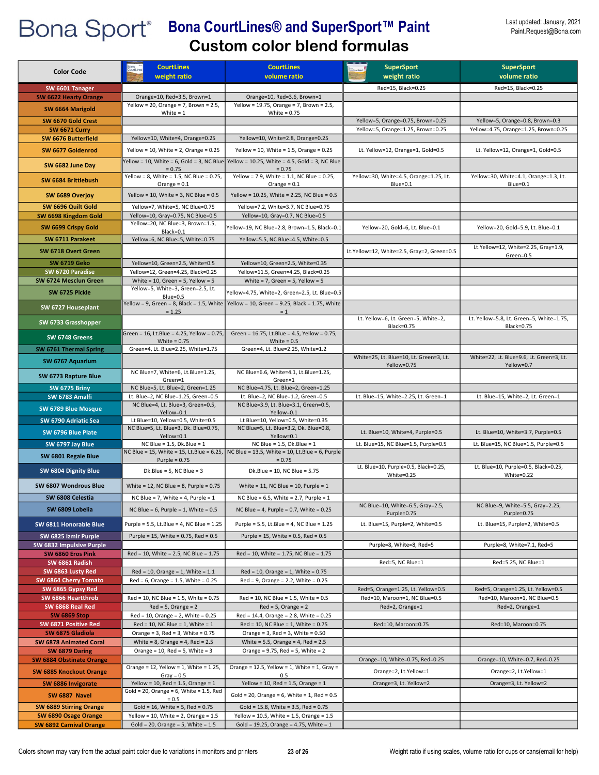| <b>Color Code</b>                         | <b>CourtLines</b><br>weight ratio                                              | <b>CourtLines</b><br>volume ratio                                                                    | <b>SuperSport</b><br>weight ratio                        | <b>SuperSport</b><br>volume ratio                             |
|-------------------------------------------|--------------------------------------------------------------------------------|------------------------------------------------------------------------------------------------------|----------------------------------------------------------|---------------------------------------------------------------|
| SW 6601 Tanager                           |                                                                                |                                                                                                      | Red=15, Black=0.25                                       | Red=15, Black=0.25                                            |
| <b>SW 6622 Hearty Orange</b>              | Orange=10, Red=3.5, Brown=1                                                    | Orange=10, Red=3.6, Brown=1                                                                          |                                                          |                                                               |
| SW 6664 Marigold                          | Yellow = 20, Orange = 7, Brown = $2.5$ ,<br>White $= 1$                        | Yellow = 19.75, Orange = 7, Brown = 2.5,<br>White = $0.75$                                           |                                                          |                                                               |
| SW 6670 Gold Crest                        |                                                                                |                                                                                                      | Yellow=5, Orange=0.75, Brown=0.25                        | Yellow=5, Orange=0.8, Brown=0.3                               |
| <b>SW 6671 Curry</b>                      |                                                                                |                                                                                                      | Yellow=5, Orange=1.25, Brown=0.25                        | Yellow=4.75, Orange=1.25, Brown=0.25                          |
| SW 6676 Butterfield                       | Yellow=10, White=4, Orange=0.25                                                | Yellow=10, White=2.8, Orange=0.25                                                                    |                                                          |                                                               |
| SW 6677 Goldenrod                         | Yellow = 10, White = $2$ , Orange = 0.25                                       | Yellow = 10, White = 1.5, Orange = $0.25$                                                            | Lt. Yellow=12, Orange=1, Gold=0.5                        | Lt. Yellow=12, Orange=1, Gold=0.5                             |
| SW 6682 June Day                          | $= 0.75$                                                                       | Yellow = 10, White = 6, Gold = 3, NC Blue Yellow = 10.25, White = 4.5, Gold = 3, NC Blue<br>$= 0.75$ |                                                          |                                                               |
| SW 6684 Brittlebush                       | Yellow = 8, White = 1.5, NC Blue = $0.25$ ,<br>Orange = $0.1$                  | Yellow = 7.9, White = 1.1, NC Blue = 0.25,<br>Orange = $0.1$                                         | Yellow=30, White=4.5, Orange=1.25, Lt.<br>Blue=0.1       | Yellow=30, White=4.1, Orange=1.3, Lt.<br>Blue=0.1             |
| SW 6689 Overjoy                           | Yellow = 10, White = 3, NC Blue = $0.5$                                        | Yellow = 10.25, White = 2.25, NC Blue = 0.5                                                          |                                                          |                                                               |
| SW 6696 Quilt Gold                        | Yellow=7, White=5, NC Blue=0.75                                                | Yellow=7.2, White=3.7, NC Blue=0.75                                                                  |                                                          |                                                               |
| SW 6698 Kingdom Gold                      | Yellow=10, Gray=0.75, NC Blue=0.5<br>Yellow=20, NC Blue=3, Brown=1.5,          | Yellow=10, Gray=0.7, NC Blue=0.5                                                                     |                                                          |                                                               |
| SW 6699 Crispy Gold                       | Black=0.1                                                                      | Yellow=19, NC Blue=2.8, Brown=1.5, Black=0.1                                                         | Yellow=20, Gold=6, Lt. Blue=0.1                          | Yellow=20, Gold=5.9, Lt. Blue=0.1                             |
| SW 6711 Parakeet                          | Yellow=6, NC Blue=5, White=0.75                                                | Yellow=5.5, NC Blue=4.5, White=0.5                                                                   |                                                          |                                                               |
| SW 6718 Overt Green                       |                                                                                |                                                                                                      | Lt.Yellow=12, White=2.5, Gray=2, Green=0.5               | Lt.Yellow=12, White=2.25, Gray=1.9,<br>Green=0.5              |
| <b>SW 6719 Geko</b>                       | Yellow=10, Green=2.5, White=0.5                                                | Yellow=10, Green=2.5, White=0.35                                                                     |                                                          |                                                               |
| SW 6720 Paradise<br>SW 6724 Mesclun Green | Yellow=12, Green=4.25, Black=0.25<br>White = $10$ , Green = $5$ , Yellow = $5$ | Yellow=11.5, Green=4.25, Black=0.25<br>White = $7$ , Green = $5$ , Yellow = $5$                      |                                                          |                                                               |
|                                           | Yellow=5, White=3, Green=2.5, Lt.                                              |                                                                                                      |                                                          |                                                               |
| SW 6725 Pickle                            | Blue=0.5                                                                       | Yellow=4.75, White=2, Green=2.5, Lt. Blue=0.5                                                        |                                                          |                                                               |
| SW 6727 Houseplant                        | $= 1.25$                                                                       | Yellow = 9, Green = 8, Black = 1.5, White   Yellow = 10, Green = 9.25, Black = 1.75, White<br>$= 1$  |                                                          |                                                               |
| SW 6733 Grasshopper                       |                                                                                |                                                                                                      | Lt. Yellow=6, Lt. Green=5, White=2,<br><b>Black=0.75</b> | Lt. Yellow=5.8, Lt. Green=5, White=1.75,<br><b>Black=0.75</b> |
| SW 6748 Greens                            | Green = 16, Lt.Blue = 4.25, Yellow = 0.75,<br>White = $0.75$                   | Green = 16.75, Lt.Blue = 4.5, Yellow = 0.75,<br>White = $0.5$                                        |                                                          |                                                               |
| SW 6761 Thermal Spring                    | Green=4, Lt. Blue=2.25, White=1.75                                             | Green=4, Lt. Blue=2.25, White=1.2                                                                    | White=25, Lt. Blue=10, Lt. Green=3, Lt.                  | White=22, Lt. Blue=9.6, Lt. Green=3, Lt.                      |
| SW 6767 Aquarium                          |                                                                                |                                                                                                      | Yellow=0.75                                              | Yellow=0.7                                                    |
| SW 6773 Rapture Blue                      | NC Blue=7, White=6, Lt.Blue=1.25,<br>Green=1                                   | NC Blue=6.6, White=4.1, Lt.Blue=1.25,<br>Green=1                                                     |                                                          |                                                               |
| <b>SW 6775 Briny</b>                      | NC Blue=5, Lt. Blue=2, Green=1.25                                              | NC Blue=4.75, Lt. Blue=2, Green=1.25                                                                 |                                                          |                                                               |
| SW 6783 Amalfi                            | Lt. Blue=2, NC Blue=1.25, Green=0.5                                            | Lt. Blue=2, NC Blue=1.2, Green=0.5                                                                   | Lt. Blue=15, White=2.25, Lt. Green=1                     | Lt. Blue=15, White=2, Lt. Green=1                             |
| SW 6789 Blue Mosque                       | NC Blue=4, Lt. Blue=3, Green=0.5,<br>Yellow=0.1                                | NC Blue=3.9, Lt. Blue=3.1, Green=0.5,<br>Yellow=0.1                                                  |                                                          |                                                               |
| SW 6790 Adriatic Sea                      | Lt Blue=10, Yellow=0.5, White=0.5                                              | Lt Blue=10, Yellow=0.5, White=0.35                                                                   |                                                          |                                                               |
| SW 6796 Blue Plate                        | NC Blue=5, Lt. Blue=3, Dk. Blue=0.75,                                          | NC Blue=5, Lt. Blue=3.2, Dk. Blue=0.8,                                                               | Lt. Blue=10, White=4, Purple=0.5                         | Lt. Blue=10, White=3.7, Purple=0.5                            |
|                                           | Yellow=0.1                                                                     | Yellow=0.1<br>NC Blue = $1.5$ . Dk. Blue = $1$                                                       |                                                          | Lt. Blue=15, NC Blue=1.5, Purple=0.5                          |
| SW 6797 Jay Blue                          | NC Blue = $1.5$ , Dk. Blue = $1$                                               | NC Blue = 15, White = 15, Lt. Blue = 6.25, NC Blue = 13.5, White = 10, Lt. Blue = 6, Purple          | Lt. Blue=15, NC Blue=1.5, Purple=0.5                     |                                                               |
| SW 6801 Regale Blue                       | Purple = $0.75$                                                                | $= 0.75$                                                                                             | Lt. Blue=10, Purple=0.5, Black=0.25,                     | Lt. Blue=10, Purple=0.5, Black=0.25,                          |
| SW 6804 Dignity Blue                      | Dk.Blue = $5$ , NC Blue = $3$                                                  | Dk.Blue = 10, NC Blue = 5.75                                                                         | White=0.25                                               | White=0.22                                                    |
| SW 6807 Wondrous Blue                     | White = 12, NC Blue = 8, Purple = $0.75$                                       | White = 11, NC Blue = 10, Purple = $1$                                                               |                                                          |                                                               |
| SW 6808 Celestia                          | NC Blue = 7, White = 4, Purple = $1$                                           | NC Blue = $6.5$ , White = $2.7$ , Purple = $1$                                                       | NC Blue=10, White=6.5, Gray=2.5,                         | NC Blue=9, White=5.5, Gray=2.25,                              |
| SW 6809 Lobelia                           | NC Blue = $6$ , Purple = 1, White = $0.5$                                      | NC Blue = 4, Purple = $0.7$ , White = $0.25$                                                         | Purple=0.75                                              | Purple=0.75                                                   |
| SW 6811 Honorable Blue                    | Purple = 5.5, Lt.Blue = 4, NC Blue = 1.25                                      | Purple = 5.5, Lt.Blue = 4, NC Blue = 1.25                                                            | Lt. Blue=15, Purple=2, White=0.5                         | Lt. Blue=15, Purple=2, White=0.5                              |
| SW 6825 Izmir Purple                      | Purple = 15, White = 0.75, Red = 0.5                                           | Purple = $15$ , White = 0.5, Red = 0.5                                                               |                                                          |                                                               |
| SW 6832 Impulsive Purple                  |                                                                                |                                                                                                      | Purple=8, White=8, Red=5                                 | Purple=8, White=7.1, Red=5                                    |
| SW 6860 Eros Pink                         | Red = 10, White = 2.5, NC Blue = 1.75                                          | Red = 10, White = 1.75, NC Blue = 1.75                                                               | Red=5, NC Blue=1                                         | Red=5.25, NC Blue=1                                           |
| SW 6861 Radish<br>SW 6863 Lusty Red       | $Red = 10$ , Orange = 1, White = 1.1                                           | $Red = 10$ , Orange = 1, White = 0.75                                                                |                                                          |                                                               |
| SW 6864 Cherry Tomato                     | $Red = 6$ , Orange = 1.5, White = 0.25                                         | $Red = 9$ , Orange = 2.2, White = 0.25                                                               |                                                          |                                                               |
| SW 6865 Gypsy Red                         |                                                                                |                                                                                                      | Red=5, Orange=1.25, Lt. Yellow=0.5                       | Red=5, Orange=1.25, Lt. Yellow=0.5                            |
| SW 6866 Heartthrob                        | Red = 10, NC Blue = 1.5, White = 0.75                                          | Red = 10, NC Blue = 1.5, White = 0.5                                                                 | Red=10, Maroon=1, NC Blue=0.5                            | Red=10, Maroon=1, NC Blue=0.5                                 |
| SW 6868 Real Red                          | $Red = 5$ , Orange = 2                                                         | $Red = 5$ , Orange = 2                                                                               | Red=2, Orange=1                                          | Red=2, Orange=1                                               |
| <b>SW 6869 Stop</b>                       | $Red = 10$ , Orange = 2, White = 0.25<br>$Red = 10$ , NC Blue = 1, White = 1   | Red = 14.4, Orange = 2.8, White = 0.25<br>$Red = 10$ , NC Blue = 1, White = 0.75                     |                                                          |                                                               |
| SW 6871 Positive Red<br>SW 6875 Gladiola  | Orange = $3$ , Red = $3$ , White = 0.75                                        | Orange = $3$ , Red = $3$ , White = $0.50$                                                            | Red=10, Maroon=0.75                                      | Red=10, Maroon=0.75                                           |
| SW 6878 Animated Coral                    | White = $8$ , Orange = $4$ , Red = $2.5$                                       | White = 5.5, Orange = 4, Red = $2.5$                                                                 |                                                          |                                                               |
| SW 6879 Daring                            | Orange = $10$ , Red = $5$ , White = $3$                                        | Orange = $9.75$ , Red = $5$ , White = $2$                                                            |                                                          |                                                               |
| <b>SW 6884 Obstinate Orange</b>           |                                                                                |                                                                                                      | Orange=10, White=0.75, Red=0.25                          | Orange=10, White=0.7, Red=0.25                                |
| <b>SW 6885 Knockout Orange</b>            | Orange = 12, Yellow = 1, White = 1.25,<br>$Gray = 0.5$                         | Orange = $12.5$ , Yellow = 1, White = 1, Gray =<br>0.5                                               | Orange=2, Lt.Yellow=1                                    | Orange=2, Lt.Yellow=1                                         |
| SW 6886 Invigorate                        | Yellow = 10, Red = 1.5, Orange = $1$                                           | Yellow = 10, Red = 1.5, Orange = $1$                                                                 | Orange=3, Lt. Yellow=2                                   | Orange=3, Lt. Yellow=2                                        |
| SW 6887 Navel                             | Gold = 20, Orange = $6$ , White = 1.5, Red<br>$= 0.5$                          | Gold = 20, Orange = 6, White = 1, Red = $0.5$                                                        |                                                          |                                                               |
| <b>SW 6889 Stirring Orange</b>            | Gold = $16$ , White = $5$ , Red = $0.75$                                       | Gold = 15.8, White = 3.5, Red = 0.75                                                                 |                                                          |                                                               |
| SW 6890 Osage Orange                      | Yellow = 10, White = 2, Orange = $1.5$                                         | Yellow = $10.5$ , White = 1.5, Orange = 1.5                                                          |                                                          |                                                               |
| <b>SW 6892 Carnival Orange</b>            | Gold = 20, Orange = 5, White = $1.5$                                           | Gold = 19.25, Orange = 4.75, White = 1                                                               |                                                          |                                                               |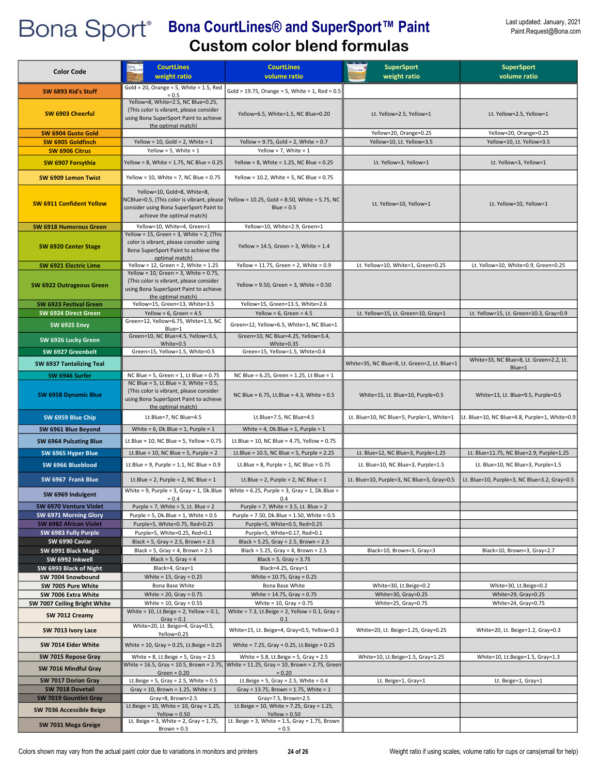| <b>Color Code</b>                              | <b>CourtLines</b><br>weight ratio                                                                                                                        | <b>CourtLines</b><br>volume ratio                                                                                                 | <b>SuperSport</b><br>weight ratio            | <b>SuperSport</b><br>volume ratio                 |
|------------------------------------------------|----------------------------------------------------------------------------------------------------------------------------------------------------------|-----------------------------------------------------------------------------------------------------------------------------------|----------------------------------------------|---------------------------------------------------|
| SW 6893 Kid's Stuff                            | Gold = 20, Orange = 5, White = $1.5$ , Red                                                                                                               | Gold = 19.75, Orange = 5, White = 1, Red = $0.5$                                                                                  |                                              |                                                   |
| SW 6903 Cheerful                               | $= 0.5$<br>Yellow=8, White=2.5, NC Blue=0.25,<br>(This color is vibrant, please consider<br>using Bona SuperSport Paint to achieve<br>the optimal match) | Yellow=6.5, White=1.5, NC Blue=0.20                                                                                               | Lt. Yellow=2.5, Yellow=1                     | Lt. Yellow=2.5, Yellow=1                          |
| SW 6904 Gusto Gold                             |                                                                                                                                                          |                                                                                                                                   | Yellow=20, Orange=0.25                       | Yellow=20, Orange=0.25                            |
| SW 6905 Goldfinch<br>SW 6906 Citrus            | Yellow = 10, Gold = 2, White = $1$<br>Yellow = $5$ , White = $1$                                                                                         | Yellow = $9.75$ , Gold = $2$ , White = $0.7$<br>Yellow = 7, White = $1$                                                           | Yellow=10, Lt. Yellow=3.5                    | Yellow=10, Lt. Yellow=3.5                         |
|                                                |                                                                                                                                                          |                                                                                                                                   |                                              |                                                   |
| SW 6907 Forsythia                              | Yellow = 8, White = 1.75, NC Blue = 0.25                                                                                                                 | Yellow = 8, White = 1.25, NC Blue = $0.25$                                                                                        | Lt. Yellow=3, Yellow=1                       | Lt. Yellow=3, Yellow=1                            |
| SW 6909 Lemon Twist                            | Yellow = 10, White = 7, NC Blue = $0.75$                                                                                                                 | Yellow = $10.2$ , White = 5, NC Blue = $0.75$                                                                                     |                                              |                                                   |
| <b>SW 6911 Confident Yellow</b>                | Yellow=10, Gold=8, White=8,<br>NCBlue=0.5, (This color is vibrant, please<br>consider using Bona SuperSport Paint to<br>achieve the optimal match)       | Yellow = 10.25, Gold = 8.50, White = 5.75, NC<br>$Blue = 0.5$                                                                     | Lt. Yellow=10, Yellow=1                      | Lt. Yellow=10, Yellow=1                           |
| <b>SW 6918 Humorous Green</b>                  | Yellow=10, White=4, Green=1                                                                                                                              | Yellow=10, White=2.9, Green=1                                                                                                     |                                              |                                                   |
| SW 6920 Center Stage                           | Yellow = 15, Green = 3, White = 2, (This<br>color is vibrant, please consider using<br>Bona SuperSport Paint to achieve the<br>optimal match)            | Yellow = $14.5$ , Green = 3, White = $1.4$                                                                                        |                                              |                                                   |
| SW 6921 Electric Lime                          | Yellow = 12, Green = 2, White = $1.25$<br>Yellow = 10, Green = 3, White = $0.75$ ,                                                                       | Yellow = $11.75$ , Green = 2, White = 0.9                                                                                         | Lt. Yellow=10, White=1, Green=0.25           | Lt. Yellow=10, White=0.9, Green=0.25              |
| <b>SW 6922 Outrageous Green</b>                | (This color is vibrant, please consider<br>using Bona SuperSport Paint to achieve<br>the optimal match)                                                  | Yellow = $9.50$ , Green = $3$ , White = $0.50$                                                                                    |                                              |                                                   |
| SW 6923 Festival Green                         | Yellow=15, Green=13, White=3.5                                                                                                                           | Yellow=15, Green=13.5, White=2.6                                                                                                  |                                              |                                                   |
| SW 6924 Direct Green                           | Yellow = $6$ , Green = $4.5$<br>Green=12, Yellow=6.75, White=1.5, NC                                                                                     | Yellow = $6$ , Green = $4.5$                                                                                                      | Lt. Yellow=15, Lt. Green=10, Gray=1          | Lt. Yellow=15, Lt. Green=10.3, Gray=0.9           |
| <b>SW 6925 Envy</b>                            | Blue=1<br>Green=10, NC Blue=4.5, Yellow=3.5,                                                                                                             | Green=12, Yellow=6.5, White=1, NC Blue=1<br>Green=10, NC Blue=4.25, Yellow=3.4,                                                   |                                              |                                                   |
| SW 6926 Lucky Green                            | White=0.5                                                                                                                                                | White=0.35                                                                                                                        |                                              |                                                   |
| SW 6927 Greenbelt                              | Green=15, Yellow=1.5, White=0.5                                                                                                                          | Green=15, Yellow=1.5, White=0.4                                                                                                   |                                              |                                                   |
| SW 6937 Tantalizing Teal                       |                                                                                                                                                          |                                                                                                                                   | White=35, NC Blue=8, Lt. Green=2, Lt. Blue=1 | White=33, NC Blue=8, Lt. Green=2.2, Lt.<br>Blue=1 |
| SW 6946 Surfer                                 | NC Blue = 5, Green = 1, Lt Blue = 0.75                                                                                                                   | NC Blue = 6.25, Green = 1.25, Lt Blue = 1                                                                                         |                                              |                                                   |
| SW 6958 Dynamic Blue                           | NC Blue = 5, Lt.Blue = 3, White = $0.5$ ,<br>(This color is vibrant, please consider<br>using Bona SuperSport Paint to achieve<br>the optimal match)     | NC Blue = $6.75$ , Lt.Blue = 4.3, White = 0.5                                                                                     | White=15, Lt. Blue=10, Purple=0.5            | White=13, Lt. Blue=9.5, Purple=0.5                |
| SW 6959 Blue Chip                              | Lt.Blue=7, NC Blue=4.5                                                                                                                                   | Lt.Blue=7.5, NC Blue=4.5                                                                                                          | Lt. Blue=10, NC Blue=5, Purple=1, White=1    | Lt. Blue=10, NC Blue=4.8, Purple=1, White=0.9     |
| SW 6961 Blue Beyond                            | White = $6$ , Dk. Blue = $1$ , Purple = $1$                                                                                                              | White = 4, Dk.Blue = 1, Purple = $1$                                                                                              |                                              |                                                   |
| SW 6964 Pulsating Blue                         | Lt.Blue = 10, NC Blue = 5, Yellow = $0.75$                                                                                                               | Lt.Blue = 10, NC Blue = 4.75, Yellow = $0.75$                                                                                     |                                              |                                                   |
| SW 6965 Hyper Blue                             | Lt.Blue = 10, NC Blue = 5, Purple = $2$                                                                                                                  | Lt.Blue = $10.5$ , NC Blue = $5$ , Purple = $2.25$                                                                                | Lt. Blue=12, NC Blue=3, Purple=1.25          | Lt. Blue=11.75, NC Blue=2.9, Purple=1.25          |
| SW 6966 Blueblood                              | Lt.Blue = 9, Purple = $1.1$ , NC Blue = $0.9$                                                                                                            | Lt.Blue = 8, Purple = 1, NC Blue = $0.75$                                                                                         | Lt. Blue=10, NC Blue=3, Purple=1.5           | Lt. Blue=10, NC Blue=3, Purple=1.5                |
| SW 6967 Frank Blue                             | Lt.Blue = 2, Purple = 2, NC Blue = $1$                                                                                                                   | Lt.Blue = 2, Purple = 2, NC Blue = $1$                                                                                            | Lt. Blue=10, Purple=3, NC Blue=3, Gray=0.5   | Lt. Blue=10, Purple=3, NC Blue=3.2, Gray=0.5      |
| SW 6969 Indulgent                              | White = $9$ , Purple = $3$ , Gray = $1$ , Dk. Blue<br>$= 0.4$                                                                                            | White = $6.25$ , Purple = $3$ , Gray = $1$ , Dk. Blue =<br>0.4                                                                    |                                              |                                                   |
| SW 6970 Venture Violet                         | Purple = 7, White = 5, Lt. Blue = $2$                                                                                                                    | Purple = 7, White = $3.5$ , Lt. Blue = $2$                                                                                        |                                              |                                                   |
| SW 6971 Morning Glory                          | Purple = $5$ , Dk.Blue = $1$ , White = $0.5$                                                                                                             | Purple = 7.50, Dk.Blue = 1.50, White = 0.5                                                                                        |                                              |                                                   |
| SW 6982 African Violet<br>SW 6983 Fully Purple | Purple=5, White=0.75, Red=0.25<br>Purple=5, White=0.25, Red=0.1                                                                                          | Purple=5, White=0.5, Red=0.25<br>Purple=5, White=0.17, Red=0.1                                                                    |                                              |                                                   |
| SW 6990 Caviar                                 | Black = 5, Gray = $2.5$ , Brown = $2.5$                                                                                                                  | Black = 5.25, Gray = 2.5, Brown = $2.5$                                                                                           |                                              |                                                   |
| SW 6991 Black Magic                            | Black = 5, Gray = 4, Brown = $2.5$                                                                                                                       | Black = 5.25, Gray = 4, Brown = $2.5$                                                                                             | Black=10, Brown=3, Gray=3                    | Black=10, Brown=3, Gray=2.7                       |
| SW 6992 Inkwell                                | Black = $5$ , Gray = $4$                                                                                                                                 | Black = $5$ , Gray = $3.75$<br>Black=4.25, Gray=1                                                                                 |                                              |                                                   |
| SW 6993 Black of Night<br>SW 7004 Snowbound    | Black=4, Gray=1<br>White = $15$ , Gray = $0.25$                                                                                                          | White = $10.75$ , Gray = $0.25$                                                                                                   |                                              |                                                   |
| SW 7005 Pure White                             | Bona Base White                                                                                                                                          | Bona Base White                                                                                                                   | White=30, Lt.Beige=0.2                       | White=30, Lt.Beige=0.2                            |
| SW 7006 Extra White                            | White = $20$ , Gray = $0.75$                                                                                                                             | White = 14.75, Gray = 0.75                                                                                                        | White=30, Gray=0.25                          | White=29, Gray=0.25                               |
| SW 7007 Ceiling Bright White                   | White = $10$ , Gray = $0.55$<br>White = $10$ , Lt. Beige = 2, Yellow = 0.1,                                                                              | White = $10$ , Gray = $0.75$<br>White = $7.3$ , Lt.Beige = $2$ , Yellow = 0.1, Gray =                                             | White=25, Gray=0.75                          | White=24, Gray=0.75                               |
| SW 7012 Creamy                                 | Gray = $0.1$                                                                                                                                             | 0.1                                                                                                                               |                                              |                                                   |
| SW 7013 Ivory Lace                             | White=20, Lt. Beige=4, Gray=0.5,<br>Yellow=0.25<br>White = 10, Gray = 0.25, Lt. Beige = 0.25                                                             | White=15, Lt. Beige=4, Gray=0.5, Yellow=0.3<br>White = $7.25$ , Gray = 0.25, Lt.Beige = 0.25                                      | White=20, Lt. Beige=1.25, Gray=0.25          | White=20, Lt. Beige=1.2, Gray=0.3                 |
| SW 7014 Eider White                            |                                                                                                                                                          |                                                                                                                                   |                                              |                                                   |
| SW 7015 Repose Gray                            | White = $8$ , Lt. Beige = $5$ , Gray = $2.5$                                                                                                             | White = 5.8, Lt.Beige = 5, Gray = $2.5$<br>White = 16.5, Gray = 10.5, Brown = 2.75, White = 11.25, Gray = 10, Brown = 2.75, Green | White=10, Lt.Beige=1.5, Gray=1.25            | White=10, Lt.Beige=1.5, Gray=1.3                  |
| SW 7016 Mindful Gray                           | Green = $0.20$                                                                                                                                           | $= 0.20$                                                                                                                          |                                              |                                                   |
| SW 7017 Dorian Gray<br>SW 7018 Dovetail        | Lt.Beige = $5$ , Gray = 2.5, White = 0.5<br>Gray = 10, Brown = 1.25, White = $1$                                                                         | Lt.Beige = $5$ , Gray = 2.5, White = 0.4<br>Gray = 13.75, Brown = 1.75, White = 1                                                 | Lt. Beige=1, Gray=1                          | Lt. Beige=1, Gray=1                               |
| SW 7019 Gountlet Gray                          | Gray=8, Brown=2.5                                                                                                                                        | Gray=7.5, Brown=2.5                                                                                                               |                                              |                                                   |
| SW 7036 Accessible Beige                       | Lt.Beige = 10, White = 10, Gray = 1.25,                                                                                                                  | Lt.Beige = 10, White = 7.25, Gray = 1.25,                                                                                         |                                              |                                                   |
| SW 7031 Mega Greige                            | $Yellow = 0.50$<br>Lt. Beige = $3$ , White = $2$ , Gray = 1.75,<br>$Brown = 0.5$                                                                         | $Yellow = 0.50$<br>Lt. Beige = $3$ , White = 1.5, Gray = 1.75, Brown<br>$= 0.5$                                                   |                                              |                                                   |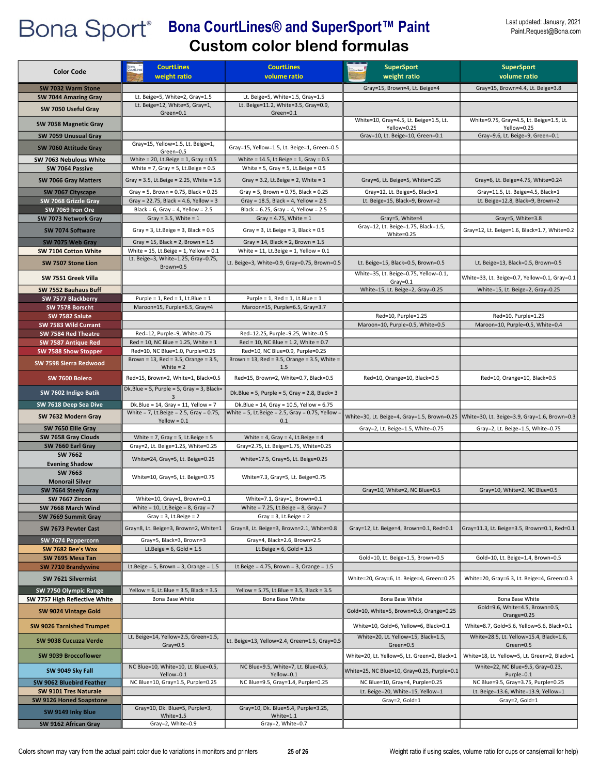| <b>Color Code</b>                             | <b>CourtLines</b>                                                                     | <b>CourtLines</b>                                                           | <b>SuperSport</b>                                                           | <b>SuperSport</b>                                                                          |
|-----------------------------------------------|---------------------------------------------------------------------------------------|-----------------------------------------------------------------------------|-----------------------------------------------------------------------------|--------------------------------------------------------------------------------------------|
|                                               | weight ratio                                                                          | volume ratio                                                                | weight ratio                                                                | volume ratio                                                                               |
| SW 7032 Warm Stone                            |                                                                                       |                                                                             | Gray=15, Brown=4, Lt. Beige=4                                               | Gray=15, Brown=4.4, Lt. Beige=3.8                                                          |
| SW 7044 Amazing Gray                          | Lt. Beige=5, White=2, Gray=1.5<br>Lt. Beige=12, White=5, Gray=1,                      | Lt. Beige=5, White=1.5, Gray=1.5<br>Lt. Beige=11.2, White=3.5, Gray=0.9,    |                                                                             |                                                                                            |
| SW 7050 Useful Gray                           | Green=0.1                                                                             | Green=0.1                                                                   | White=10, Gray=4.5, Lt. Beige=1.5, Lt.                                      | White=9.75, Gray=4.5, Lt. Beige=1.5, Lt.                                                   |
| SW 7058 Magnetic Gray                         |                                                                                       |                                                                             | Yellow=0.25                                                                 | Yellow=0.25                                                                                |
| SW 7059 Unusual Gray                          |                                                                                       |                                                                             | Gray=10, Lt. Beige=10, Green=0.1                                            | Gray=9.6, Lt. Beige=9, Green=0.1                                                           |
| SW 7060 Attitude Gray                         | Gray=15, Yellow=1.5, Lt. Beige=1,<br>Green=0.5                                        | Gray=15, Yellow=1.5, Lt. Beige=1, Green=0.5                                 |                                                                             |                                                                                            |
| SW 7063 Nebulous White                        | White = 20, Lt.Beige = $1$ , Gray = 0.5                                               | White = $14.5$ , Lt.Beige = 1, Gray = $0.5$                                 |                                                                             |                                                                                            |
| SW 7064 Passive                               | White = $7$ , Gray = $5$ , Lt. Beige = $0.5$                                          | White = $5$ , Gray = $5$ , Lt. Beige = $0.5$                                |                                                                             |                                                                                            |
| SW 7066 Gray Matters                          | Gray = 3.5, Lt.Beige = 2.25, White = $1.5$                                            | Gray = $3.2$ , Lt. Beige = $2$ , White = $1$                                | Gray=6, Lt. Beige=5, White=0.25                                             | Gray=6, Lt. Beige=4.75, White=0.24                                                         |
| SW 7067 Cityscape                             | Gray = 5, Brown = $0.75$ , Black = $0.25$                                             | Gray = 5, Brown = $0.75$ , Black = $0.25$                                   | Gray=12, Lt. Beige=5, Black=1                                               | Gray=11.5, Lt. Beige=4.5, Black=1                                                          |
| SW 7068 Grizzle Gray                          | Gray = 22.75, Black = 4.6, Yellow = 3                                                 | Gray = $18.5$ , Black = 4, Yellow = $2.5$                                   | Lt. Beige=15, Black=9, Brown=2                                              | Lt. Beige=12.8, Black=9, Brown=2                                                           |
| SW 7069 Iron Ore<br>SW 7073 Network Gray      | Black = $6$ , Gray = $4$ , Yellow = $2.5$<br>Gray = $3.5$ , White = $1$               | Black = $6.25$ , Gray = $4$ , Yellow = $2.5$<br>Gray = $4.75$ , White = $1$ | Gray=5, White=4                                                             | Gray=5, White=3.8                                                                          |
|                                               |                                                                                       |                                                                             | Gray=12, Lt. Beige=1.75, Black=1.5,                                         |                                                                                            |
| SW 7074 Software                              | Gray = $3$ , Lt.Beige = $3$ , Black = $0.5$                                           | Gray = $3$ , Lt.Beige = $3$ , Black = $0.5$                                 | White=0.25                                                                  | Gray=12, Lt. Beige=1.6, Black=1.7, White=0.2                                               |
| SW 7075 Web Gray                              | Gray = 15, Black = 2, Brown = $1.5$<br>White = $15$ , Lt.Beige = $1$ , Yellow = $0.1$ | Gray = 14, Black = 2, Brown = $1.5$                                         |                                                                             |                                                                                            |
| SW 7104 Cotton White                          | Lt. Beige=3, White=1.25, Gray=0.75,                                                   | White = $11$ , Lt.Beige = $1$ , Yellow = $0.1$                              |                                                                             |                                                                                            |
| SW 7507 Stone Lion                            | Brown=0.5                                                                             | Lt. Beige=3, White=0.9, Gray=0.75, Brown=0.5                                | Lt. Beige=15, Black=0.5, Brown=0.5<br>White=35, Lt. Beige=0.75, Yellow=0.1, | Lt. Beige=13, Black=0.5, Brown=0.5                                                         |
| SW 7551 Greek Villa                           |                                                                                       |                                                                             | $Gray = 0.1$                                                                | White=33, Lt. Beige=0.7, Yellow=0.1, Gray=0.1                                              |
| SW 7552 Bauhaus Buff                          |                                                                                       |                                                                             | White=15, Lt. Beige=2, Gray=0.25                                            | White=15, Lt. Beige=2, Gray=0.25                                                           |
| SW 7577 Blackberry                            | Purple = $1$ , Red = $1$ , Lt.Blue = $1$                                              | Purple = $1$ , Red = $1$ , Lt.Blue = $1$                                    |                                                                             |                                                                                            |
| SW 7578 Borscht<br>SW 7582 Salute             | Maroon=15, Purple=6.5, Gray=4                                                         | Maroon=15, Purple=6.5, Gray=3.7                                             | Red=10, Purple=1.25                                                         | Red=10, Purple=1.25                                                                        |
| SW 7583 Wild Currant                          |                                                                                       |                                                                             | Maroon=10, Purple=0.5, White=0.5                                            | Maroon=10, Purple=0.5, White=0.4                                                           |
| SW 7584 Red Theatre                           | Red=12, Purple=9, White=0.75                                                          | Red=12.25, Purple=9.25, White=0.5                                           |                                                                             |                                                                                            |
| SW 7587 Antique Red                           | $Red = 10$ , NC Blue = 1.25, White = 1                                                | $Red = 10$ , NC Blue = 1.2, White = 0.7                                     |                                                                             |                                                                                            |
| SW 7588 Show Stopper                          | Red=10, NC Blue=1.0, Purple=0.25                                                      | Red=10, NC Blue=0.9, Purple=0.25                                            |                                                                             |                                                                                            |
| SW 7598 Sierra Redwood                        | Brown = $13$ , Red = $3.5$ , Orange = $3.5$ ,<br>White $= 2$                          | Brown = 13, Red = 3.5, Orange = 3.5, White =<br>1.5                         |                                                                             |                                                                                            |
| SW 7600 Bolero                                | Red=15, Brown=2, White=1, Black=0.5                                                   | Red=15, Brown=2, White=0.7, Black=0.5                                       | Red=10, Orange=10, Black=0.5                                                | Red=10, Orange=10, Black=0.5                                                               |
| SW 7602 Indigo Batik                          | Dk.Blue = 5, Purple = 5, Gray = 3, Black=<br>3                                        | Dk.Blue = 5, Purple = 5, Gray = 2.8, Black= 3                               |                                                                             |                                                                                            |
| SW 7618 Deep Sea Dive                         | Dk.Blue = $14$ , Gray = $11$ , Yellow = 7                                             | Dk.Blue = 14, Gray = 10.5, Yellow = 6.75                                    |                                                                             |                                                                                            |
| SW 7632 Modern Gray                           | White = 7, Lt.Beige = $2.5$ , Gray = 0.75,<br>$Yellow = 0.1$                          | White = 5, Lt.Beige = 2.5, Gray = 0.75, Yellow<br>0.1                       |                                                                             | White=30, Lt. Beige=4, Gray=1.5, Brown=0.25   White=30, Lt. Beige=3.9, Gray=1.6, Brown=0.3 |
| SW 7650 Ellie Gray                            |                                                                                       |                                                                             | Gray=2, Lt. Beige=1.5, White=0.75                                           | Gray=2, Lt. Beige=1.5, White=0.75                                                          |
| SW 7658 Gray Clouds                           | White = $7$ , Gray = $5$ , Lt. Beige = $5$                                            | White = 4, Gray = 4, Lt. Beige = 4                                          |                                                                             |                                                                                            |
| SW 7660 Earl Gray<br>SW 7662                  | Gray=2, Lt. Beige=1.25, White=0.25                                                    | Gray=2.75, Lt. Beige=1.75, White=0.25                                       |                                                                             |                                                                                            |
| <b>Evening Shadow</b>                         | White=24, Gray=5, Lt. Beige=0.25                                                      | White=17.5, Gray=5, Lt. Beige=0.25                                          |                                                                             |                                                                                            |
| SW 7663                                       | White=10, Gray=5, Lt. Beige=0.75                                                      | White=7.3, Gray=5, Lt. Beige=0.75                                           |                                                                             |                                                                                            |
| <b>Monorail Silver</b><br>SW 7664 Steely Gray |                                                                                       |                                                                             | Gray=10, White=2, NC Blue=0.5                                               | Gray=10, White=2, NC Blue=0.5                                                              |
| SW 7667 Zircon                                | White=10, Gray=1, Brown=0.1                                                           | White=7.1, Gray=1, Brown=0.1                                                |                                                                             |                                                                                            |
| SW 7668 March Wind                            | White = 10, Lt.Beige = $8$ , Gray = 7                                                 | White = $7.25$ , Lt.Beige = 8, Gray= 7                                      |                                                                             |                                                                                            |
| SW 7669 Summit Gray                           | Gray = $3$ , Lt. Beige = $2$                                                          | Gray = $3$ , Lt. Beige = $2$                                                |                                                                             |                                                                                            |
| SW 7673 Pewter Cast                           | Gray=8, Lt. Beige=3, Brown=2, White=1                                                 | Gray=8, Lt. Beige=3, Brown=2.1, White=0.8                                   | Gray=12, Lt. Beige=4, Brown=0.1, Red=0.1                                    | Gray=11.3, Lt. Beige=3.5, Brown=0.1, Red=0.1                                               |
| SW 7674 Peppercorn                            | Gray=5, Black=3, Brown=3                                                              | Gray=4, Black=2.6, Brown=2.5                                                |                                                                             |                                                                                            |
| SW 7682 Bee's Wax                             | Lt.Beige = $6$ , Gold = $1.5$                                                         | Lt.Beige = $6$ , Gold = $1.5$                                               |                                                                             |                                                                                            |
| SW 7695 Mesa Tan<br><b>SW 7710 Brandywine</b> | Lt.Beige = $5$ , Brown = $3$ , Orange = $1.5$                                         | Lt.Beige = $4.75$ , Brown = $3$ , Orange = $1.5$                            | Gold=10, Lt. Beige=1.5, Brown=0.5                                           | Gold=10, Lt. Beige=1.4, Brown=0.5                                                          |
| SW 7621 Silvermist                            |                                                                                       |                                                                             | White=20, Gray=6, Lt. Beige=4, Green=0.25                                   | White=20, Gray=6.3, Lt. Beige=4, Green=0.3                                                 |
| SW 7750 Olympic Range                         | Yellow = $6$ , Lt.Blue = $3.5$ , Black = $3.5$                                        | Yellow = 5.75, Lt.Blue = 3.5, Black = $3.5$                                 |                                                                             |                                                                                            |
| SW 7757 High Reflective White                 | Bona Base White                                                                       | Bona Base White                                                             | Bona Base White                                                             | Bona Base White                                                                            |
| SW 9024 Vintage Gold                          |                                                                                       |                                                                             | Gold=10, White=5, Brown=0.5, Orange=0.25                                    | Gold=9.6, White=4.5, Brown=0.5,                                                            |
| <b>SW 9026 Tarnished Trumpet</b>              |                                                                                       |                                                                             | White=10, Gold=6, Yellow=6, Black=0.1                                       | Orange=0.25<br>White=8.7, Gold=5.6, Yellow=5.6, Black=0.1                                  |
| SW 9038 Cucuzza Verde                         | Lt. Beige=14, Yellow=2.5, Green=1.5,                                                  | Lt. Beige=13, Yellow=2.4, Green=1.5, Gray=0.5                               | White=20, Lt. Yellow=15, Black=1.5,                                         | White=28.5, Lt. Yellow=15.4, Black=1.6,                                                    |
| SW 9039 Broccoflower                          | $Gray = 0.5$                                                                          |                                                                             | Green=0.5<br>White=20, Lt. Yellow=5, Lt. Green=2, Black=1                   | Green=0.5<br>White=18, Lt. Yellow=5, Lt. Green=2, Black=1                                  |
| SW 9049 Sky Fall                              | NC Blue=10, White=10, Lt. Blue=0.5,<br>Yellow=0.1                                     | NC Blue=9.5, White=7, Lt. Blue=0.5,<br>Yellow=0.1                           | White=25, NC Blue=10, Gray=0.25, Purple=0.1                                 | White=22, NC Blue=9.5, Gray=0.23,<br>Purple=0.1                                            |
| SW 9062 Bluebird Feather                      | NC Blue=10, Gray=1.5, Purple=0.25                                                     | NC Blue=9.5, Gray=1.4, Purple=0.25                                          | NC Blue=10, Gray=4, Purple=0.25                                             | NC Blue=9.5, Gray=3.75, Purple=0.25                                                        |
| SW 9101 Tres Naturale                         |                                                                                       |                                                                             | Lt. Beige=20, White=15, Yellow=1                                            | Lt. Beige=13.6, White=13.9, Yellow=1                                                       |
| SW 9126 Honed Soapstone                       | Gray=10, Dk. Blue=5, Purple=3,                                                        | Gray=10, Dk. Blue=5.4, Purple=3.25,                                         | Gray=2, Gold=1                                                              | Gray=2, Gold=1                                                                             |
| SW 9149 Inky Blue                             | White=1.5                                                                             | $White=1.1$                                                                 |                                                                             |                                                                                            |
| SW 9162 African Gray                          | Gray=2, White=0.9                                                                     | Gray=2, White=0.7                                                           |                                                                             |                                                                                            |